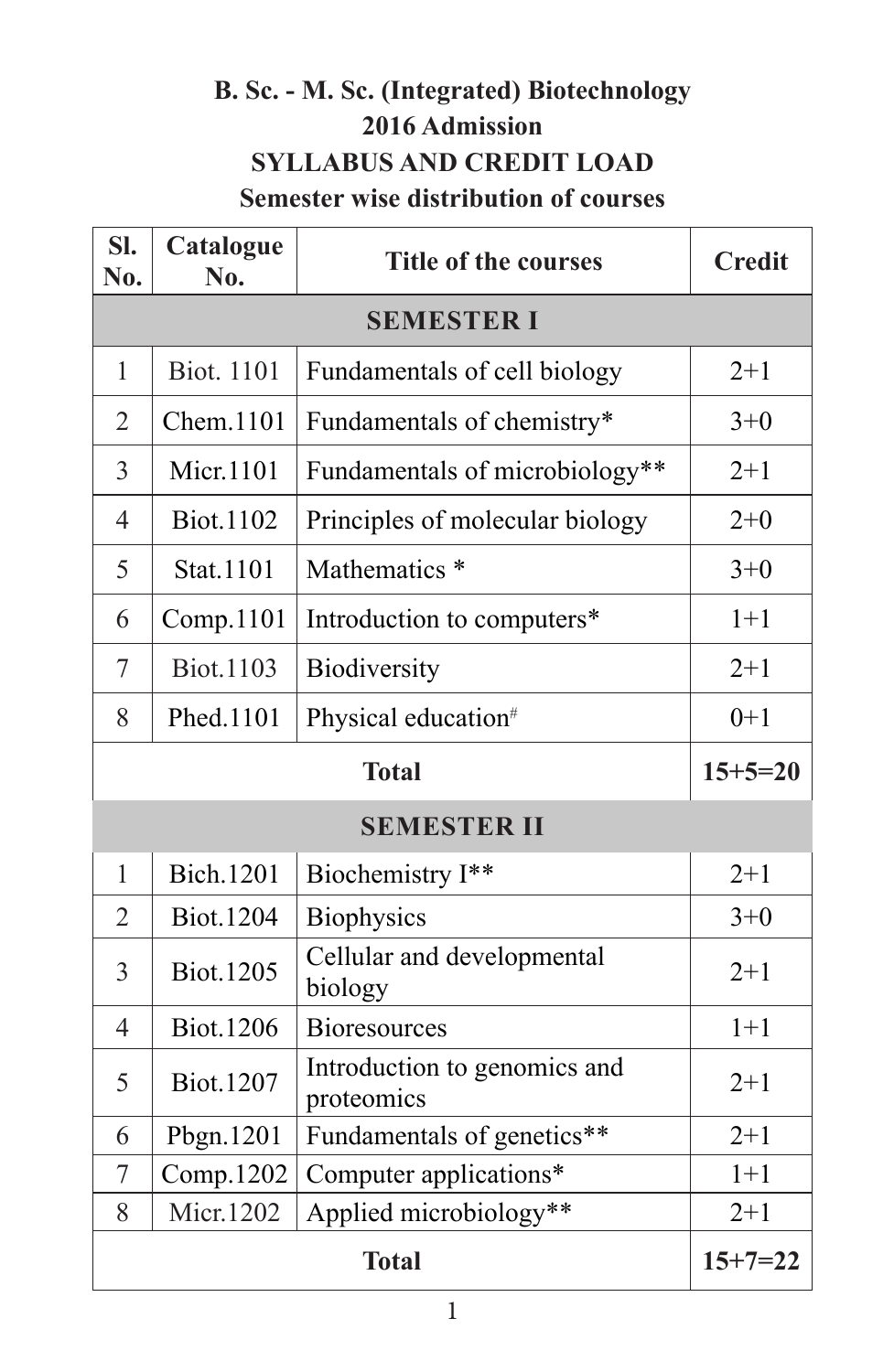# **B. Sc. - M. Sc. (Integrated) Biotechnology 2016 Admission SYLLABUS AND CREDIT LOAD Semester wise distribution of courses**

| Sl.<br>No.     | Catalogue<br>N <sub>0</sub> . | <b>Title of the courses</b>                | <b>Credit</b> |
|----------------|-------------------------------|--------------------------------------------|---------------|
|                |                               | <b>SEMESTER I</b>                          |               |
| 1              | <b>Biot.</b> 1101             | Fundamentals of cell biology               | $2 + 1$       |
| $\overline{2}$ | Chem.1101                     | Fundamentals of chemistry*                 | $3 + 0$       |
| 3              | Micr.1101                     | Fundamentals of microbiology**             | $2 + 1$       |
| $\overline{4}$ | Biot.1102                     | Principles of molecular biology            | $2+0$         |
| 5              | Stat.1101                     | Mathematics *                              | $3+0$         |
| 6              | Comp.1101                     | Introduction to computers*                 | $1+1$         |
| $\tau$         | Biot.1103                     | Biodiversity                               | $2+1$         |
| 8              | Phed.1101                     | Physical education <sup>#</sup>            | $0+1$         |
|                |                               | <b>Total</b>                               | $15+5=20$     |
|                |                               | <b>SEMESTER II</b>                         |               |
| $\mathbf{1}$   | <b>Bich.1201</b>              | Biochemistry I**                           | $2 + 1$       |
| $\overline{2}$ | <b>Biot.1204</b>              | Biophysics                                 | $3 + 0$       |
| 3              | <b>Biot.1205</b>              | Cellular and developmental<br>biology      | $2+1$         |
| $\overline{4}$ | <b>Biot.1206</b>              | <b>Bioresources</b>                        | $1+1$         |
| 5              | <b>Biot.1207</b>              | Introduction to genomics and<br>proteomics | $2 + 1$       |
| 6              | Pbgn.1201                     | Fundamentals of genetics**                 | $2 + 1$       |
| $\tau$         | Comp.1202                     | Computer applications*                     | $1+1$         |
| 8              | Micr.1202                     | Applied microbiology**                     | $2 + 1$       |
|                | $15+7=22$                     |                                            |               |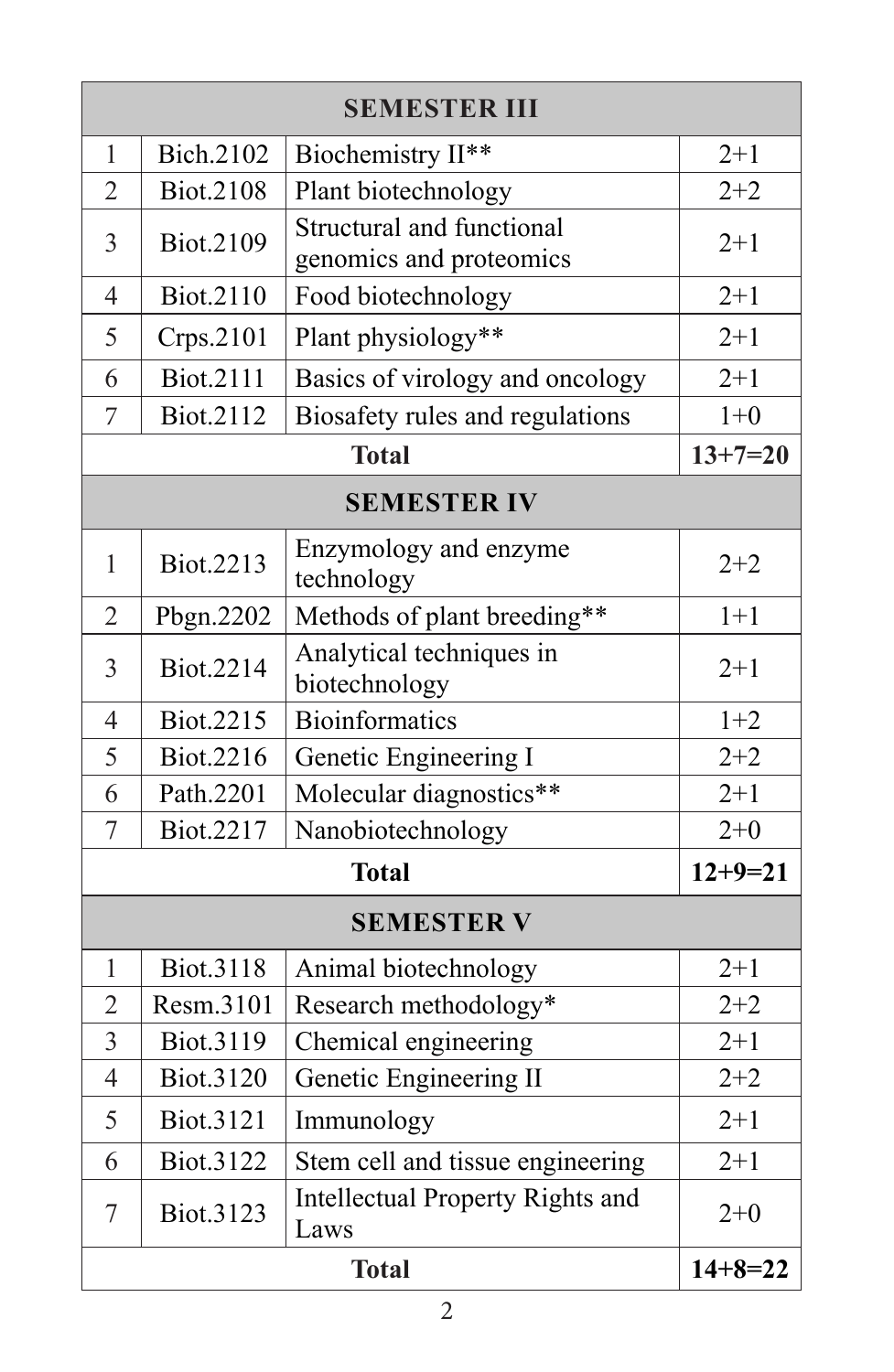| <b>SEMESTER III</b>       |                               |                                                      |         |  |
|---------------------------|-------------------------------|------------------------------------------------------|---------|--|
| 1                         | Bich.2102                     | Biochemistry II**                                    | $2+1$   |  |
| $\overline{2}$            | <b>Biot.2108</b>              | Plant biotechnology                                  | $2 + 2$ |  |
| 3                         | Biot.2109                     | Structural and functional<br>genomics and proteomics | $2+1$   |  |
| $\overline{4}$            | Biot.2110                     | Food biotechnology                                   | $2+1$   |  |
| 5                         | $C$ rps.2101                  | Plant physiology**                                   | $2 + 1$ |  |
| 6                         | Biot.2111                     | Basics of virology and oncology                      | $2 + 1$ |  |
| 7                         | Biot.2112                     | Biosafety rules and regulations                      | $1 + 0$ |  |
| $13+7=20$<br><b>Total</b> |                               |                                                      |         |  |
| <b>SEMESTER IV</b>        |                               |                                                      |         |  |
| 1                         | Biot.2213                     | Enzymology and enzyme<br>technology                  | $2 + 2$ |  |
| $\overline{2}$            | Pbgn.2202                     | Methods of plant breeding**                          | $1 + 1$ |  |
| 3                         | Biot.2214                     | Analytical techniques in<br>biotechnology            | $2 + 1$ |  |
| $\overline{4}$            | Biot.2215                     | <b>Bioinformatics</b>                                | $1+2$   |  |
| 5                         | Biot.2216                     | Genetic Engineering I                                | $2 + 2$ |  |
| 6                         | Path.2201                     | Molecular diagnostics**                              | $2 + 1$ |  |
| 7                         | Biot.2217                     | Nanobiotechnology                                    | $2 + 0$ |  |
| <b>Total</b><br>$12+9=21$ |                               |                                                      |         |  |
| <b>SEMESTER V</b>         |                               |                                                      |         |  |
| $\mathbf{1}$              | <b>Biot.3118</b>              | Animal biotechnology                                 | $2+1$   |  |
| $\overline{2}$            | Resm.3101                     | Research methodology*                                | $2 + 2$ |  |
| 3                         | Biot.3119                     | Chemical engineering                                 | $2+1$   |  |
| $\overline{4}$            | Biot.3120                     | Genetic Engineering II                               | $2 + 2$ |  |
| 5                         | Biot.3121                     | Immunology                                           | $2+1$   |  |
| 6                         | Biot.3122                     | Stem cell and tissue engineering                     | $2+1$   |  |
| 7                         | Biot.3123                     | Intellectual Property Rights and<br>Laws             | $2+0$   |  |
|                           | <b>Total</b><br>$14 + 8 = 22$ |                                                      |         |  |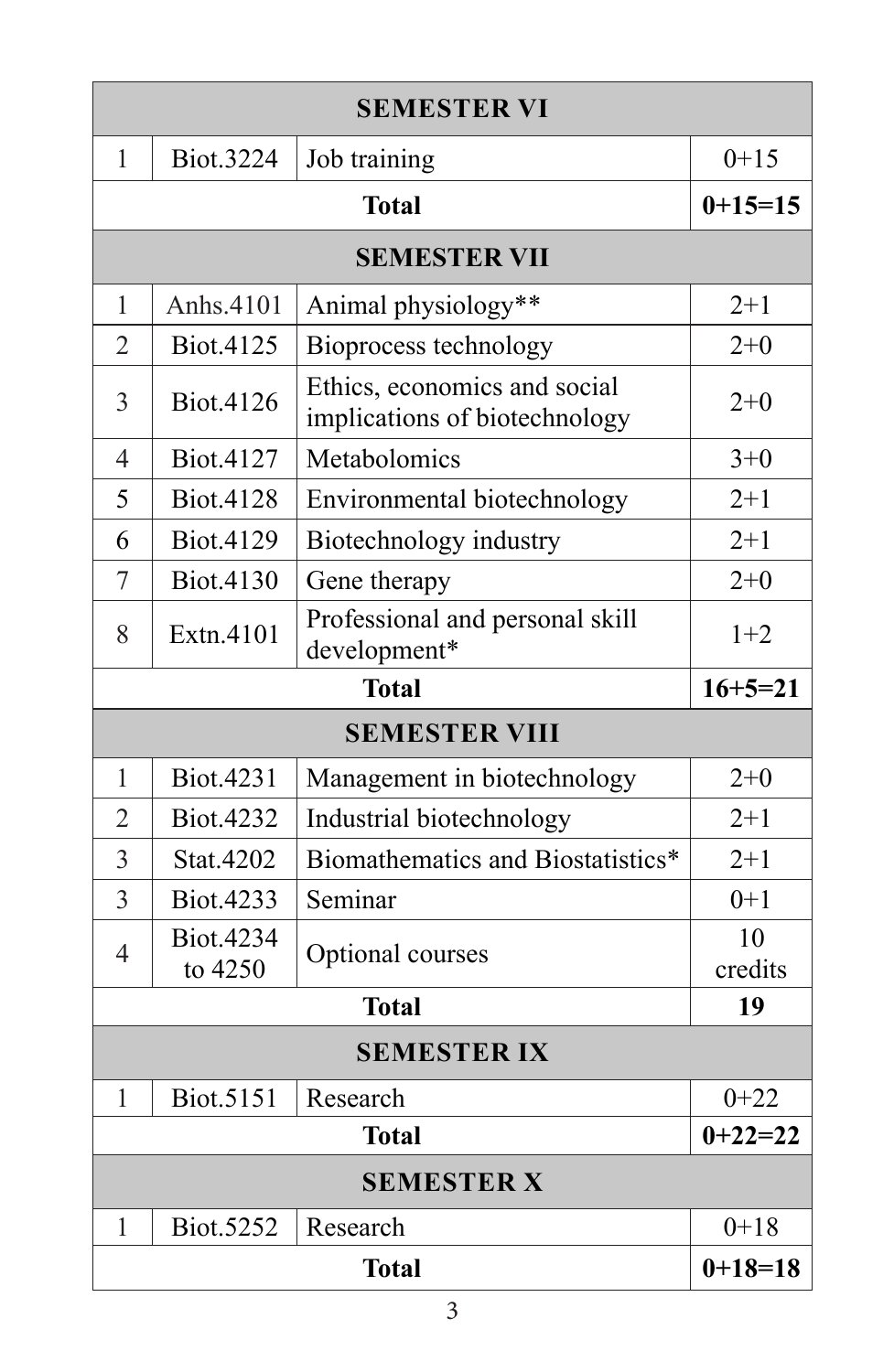| <b>SEMESTER VI</b>        |                      |                                                               |               |  |
|---------------------------|----------------------|---------------------------------------------------------------|---------------|--|
| 1                         | Biot.3224            | Job training                                                  | $0+15$        |  |
|                           | $0+15=15$            |                                                               |               |  |
|                           |                      | <b>SEMESTER VII</b>                                           |               |  |
| $\mathbf{1}$              | Anhs.4101            | Animal physiology**                                           | $2+1$         |  |
| $\overline{2}$            | Biot.4125            | Bioprocess technology                                         | $2+0$         |  |
| 3                         | Biot.4126            | Ethics, economics and social<br>implications of biotechnology | $2+0$         |  |
| $\overline{4}$            | Biot.4127            | Metabolomics                                                  | $3+0$         |  |
| 5                         | <b>Biot.4128</b>     | Environmental biotechnology                                   | $2 + 1$       |  |
| 6                         | Biot.4129            | Biotechnology industry                                        | $2 + 1$       |  |
| 7                         | Biot.4130            | Gene therapy                                                  | $2+0$         |  |
| 8                         | Extn.4101            | Professional and personal skill<br>development*               | $1+2$         |  |
|                           |                      | <b>Total</b>                                                  | $16 + 5 = 21$ |  |
|                           |                      | <b>SEMESTER VIII</b>                                          |               |  |
| $\mathbf{1}$              | Biot.4231            | Management in biotechnology                                   | $2 + 0$       |  |
| $\overline{2}$            | Biot.4232            | Industrial biotechnology                                      | $2+1$         |  |
| 3                         | Stat.4202            | Biomathematics and Biostatistics*                             | $2 + 1$       |  |
| 3                         | Biot.4233            | Seminar                                                       | $0+1$         |  |
| $\overline{4}$            | Biot.4234<br>to 4250 | Optional courses                                              | 10<br>credits |  |
| <b>Total</b><br>19        |                      |                                                               |               |  |
| <b>SEMESTER IX</b>        |                      |                                                               |               |  |
| I                         | Biot.5151            | Research                                                      | $0 + 22$      |  |
| <b>Total</b><br>$0+22=22$ |                      |                                                               |               |  |
| <b>SEMESTER X</b>         |                      |                                                               |               |  |
| 1                         | Biot.5252            | Research                                                      | $0+18$        |  |
| <b>Total</b><br>$0+18=18$ |                      |                                                               |               |  |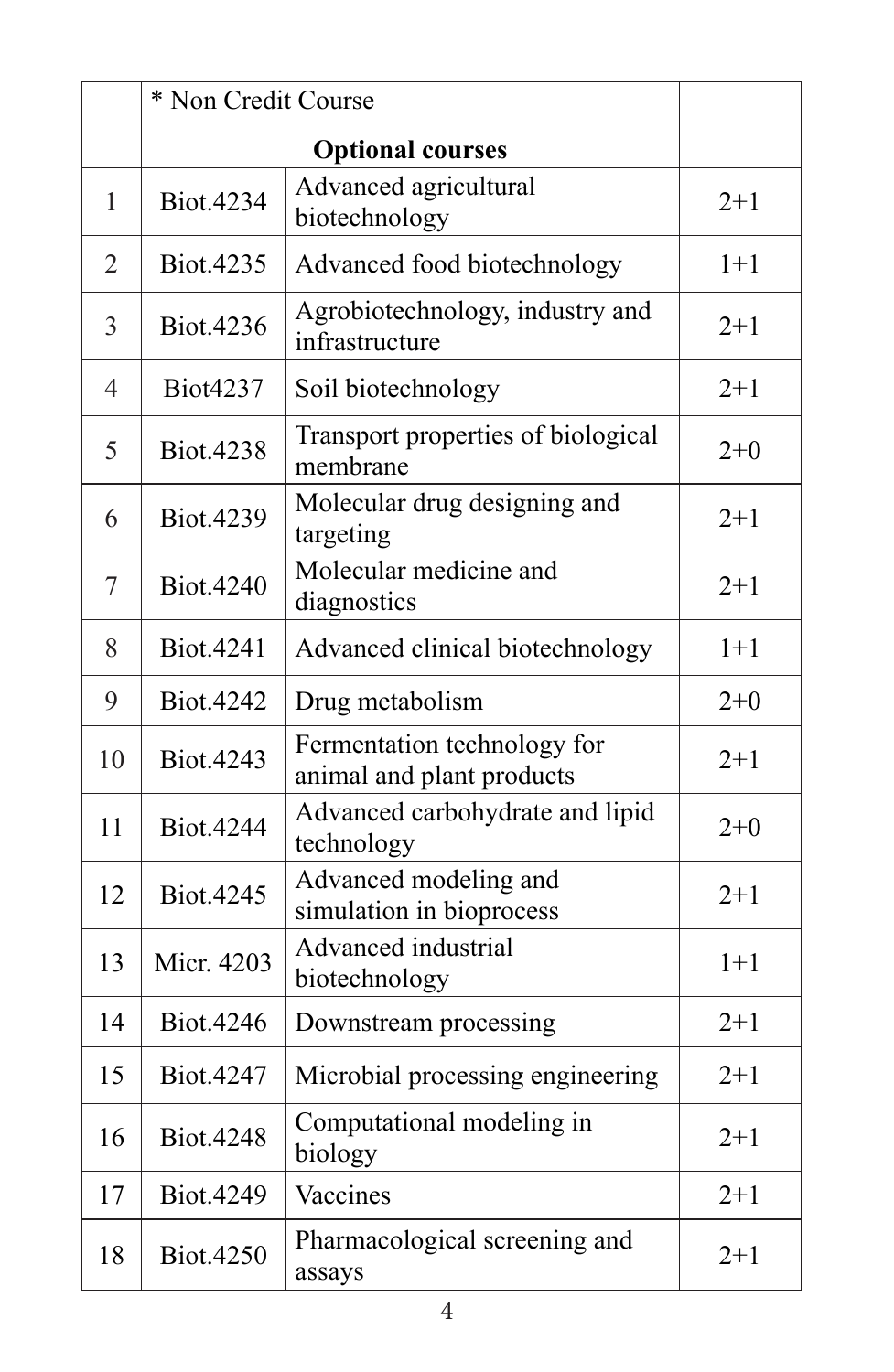|                | * Non Credit Course |                                                          |         |
|----------------|---------------------|----------------------------------------------------------|---------|
|                |                     | <b>Optional courses</b>                                  |         |
| 1              | Biot.4234           | Advanced agricultural<br>biotechnology                   | $2+1$   |
| $\overline{2}$ | Biot.4235           | Advanced food biotechnology                              | $1+1$   |
| 3              | Biot.4236           | Agrobiotechnology, industry and<br>infrastructure        | $2+1$   |
| 4              | Biot4237            | Soil biotechnology                                       | $2 + 1$ |
| 5              | Biot.4238           | Transport properties of biological<br>membrane           | $2 + 0$ |
| 6              | Biot.4239           | Molecular drug designing and<br>targeting                | $2+1$   |
| 7              | Biot.4240           | Molecular medicine and<br>diagnostics                    | $2 + 1$ |
| 8              | Biot.4241           | Advanced clinical biotechnology                          | $1+1$   |
| 9              | Biot.4242           | Drug metabolism                                          | $2+0$   |
| 10             | Biot.4243           | Fermentation technology for<br>animal and plant products | $2+1$   |
| 11             | Biot.4244           | Advanced carbohydrate and lipid<br>technology            | $2+0$   |
| 12             | Biot.4245           | Advanced modeling and<br>simulation in bioprocess        | $2+1$   |
| 13             | Micr. 4203          | Advanced industrial<br>biotechnology                     | $1+1$   |
| 14             | Biot.4246           | Downstream processing                                    | $2+1$   |
| 15             | Biot.4247           | Microbial processing engineering                         | $2 + 1$ |
| 16             | Biot.4248           | Computational modeling in<br>biology                     | $2+1$   |
| 17             | Biot.4249           | Vaccines                                                 | $2+1$   |
| 18             | Biot.4250           | Pharmacological screening and<br>assays                  | $2+1$   |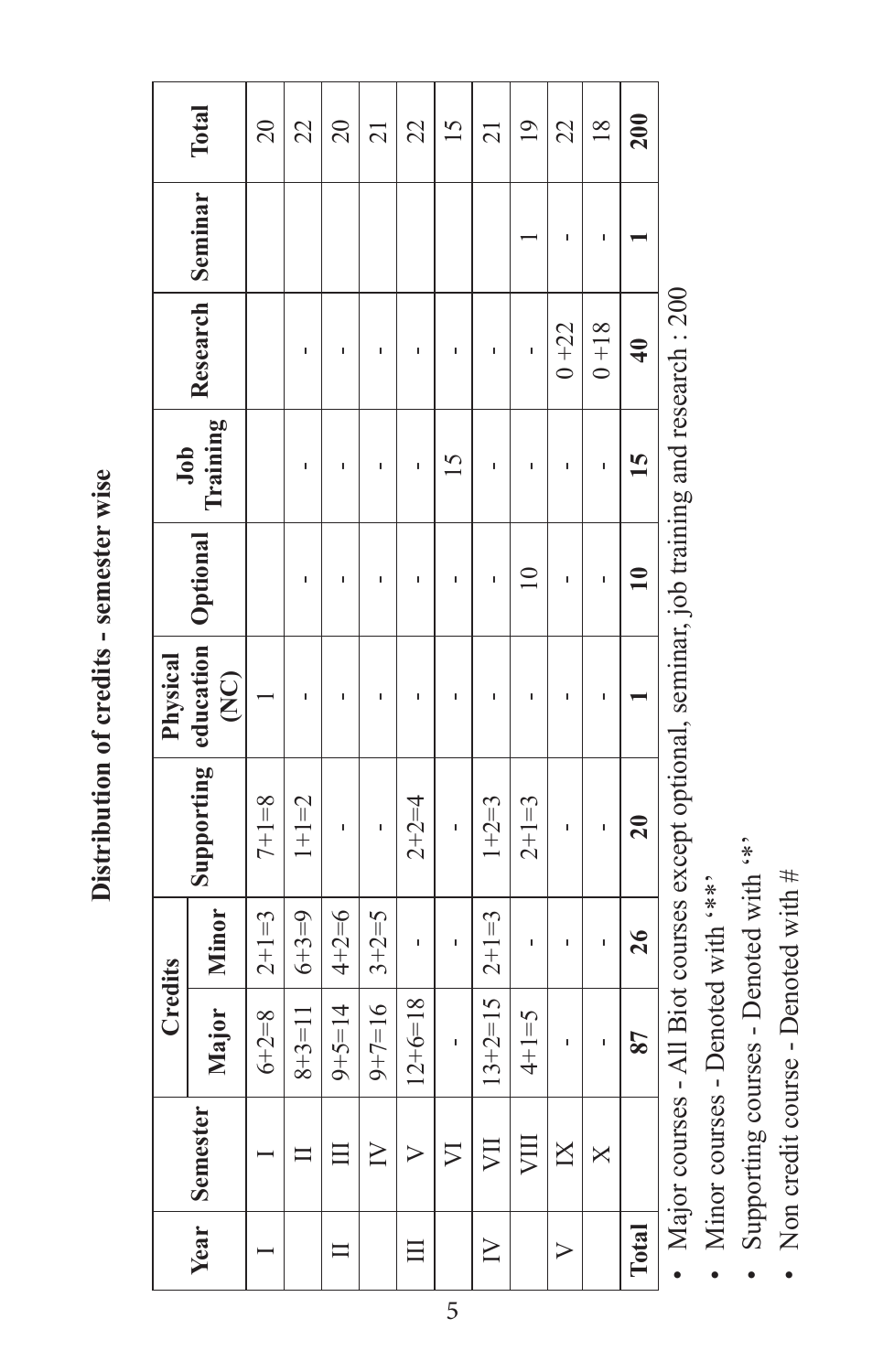Distribution of credits - semester wise **Distribution of credits - semester wise**

|                   |                   | <b>Credits</b>              |             |                      | Physical |                          |                 |                  |                 |
|-------------------|-------------------|-----------------------------|-------------|----------------------|----------|--------------------------|-----------------|------------------|-----------------|
| Year <sup> </sup> | Semester          | Major   Minor               |             | Supporting education | (DK)     | Optional                 | Job<br>Training | Research Seminar | Total           |
|                   |                   | $6 + 2 = 8$                 | $2+1=3$     | $7 + 1 = 8$          |          |                          |                 |                  | $\overline{20}$ |
|                   |                   | $8+3=11$                    | $6 + 3 = 9$ | $1+1=2$              |          |                          | ı               | ı                | 22              |
|                   |                   | $9+5=14$ 4+2=6              |             | ı                    |          |                          | ı               |                  | 20              |
|                   | $\geq$            | $9+7=16$                    | $3+2=5$     |                      |          |                          |                 |                  | $\overline{21}$ |
|                   |                   | $12+6=18$                   |             | $2 + 2 = 4$          |          |                          | ı               |                  | 22              |
|                   | $\nabla$          | ı                           | ı           |                      |          |                          | 15              |                  | 15              |
| $\geq$            | VII               | $13+2=15$   $2+1=3$         |             | $1+2=3$              |          |                          |                 |                  | $\overline{21}$ |
|                   | ШV                | $4+1=5$                     |             | $2 + 1 = 3$          |          | $\overline{\phantom{0}}$ |                 |                  | $\overline{19}$ |
|                   | $\mathbb X$       | ı                           |             |                      |          |                          | ī               | $0 + 22$         | 22              |
|                   | $\bm{\mathsf{X}}$ | ı                           | ı           | ı                    |          |                          | I               | $0 + 18$         | 18              |
| Total             |                   | 78                          | 26          | $\overline{20}$      |          | $\mathbf{a}$             | 15              | $\frac{1}{4}$    | 200             |
| 7                 |                   | $\lambda$ 11 m <sup>2</sup> |             |                      |          | $\frac{1}{2}$            |                 | $\sim$           |                 |

• Major courses - All Biot courses except optional, seminar, job training and research : 200 Major courses - All Biot courses except optional, seminar, job training and research : 200

- Minor courses Denoted with '\*\*\*' • Minor courses - Denoted with '\*\*'
- Supporting courses Denoted with '\*' Supporting courses - Denoted with '\*'
- Non credit course Denoted with  $#$ • Non credit course - Denoted with  $#$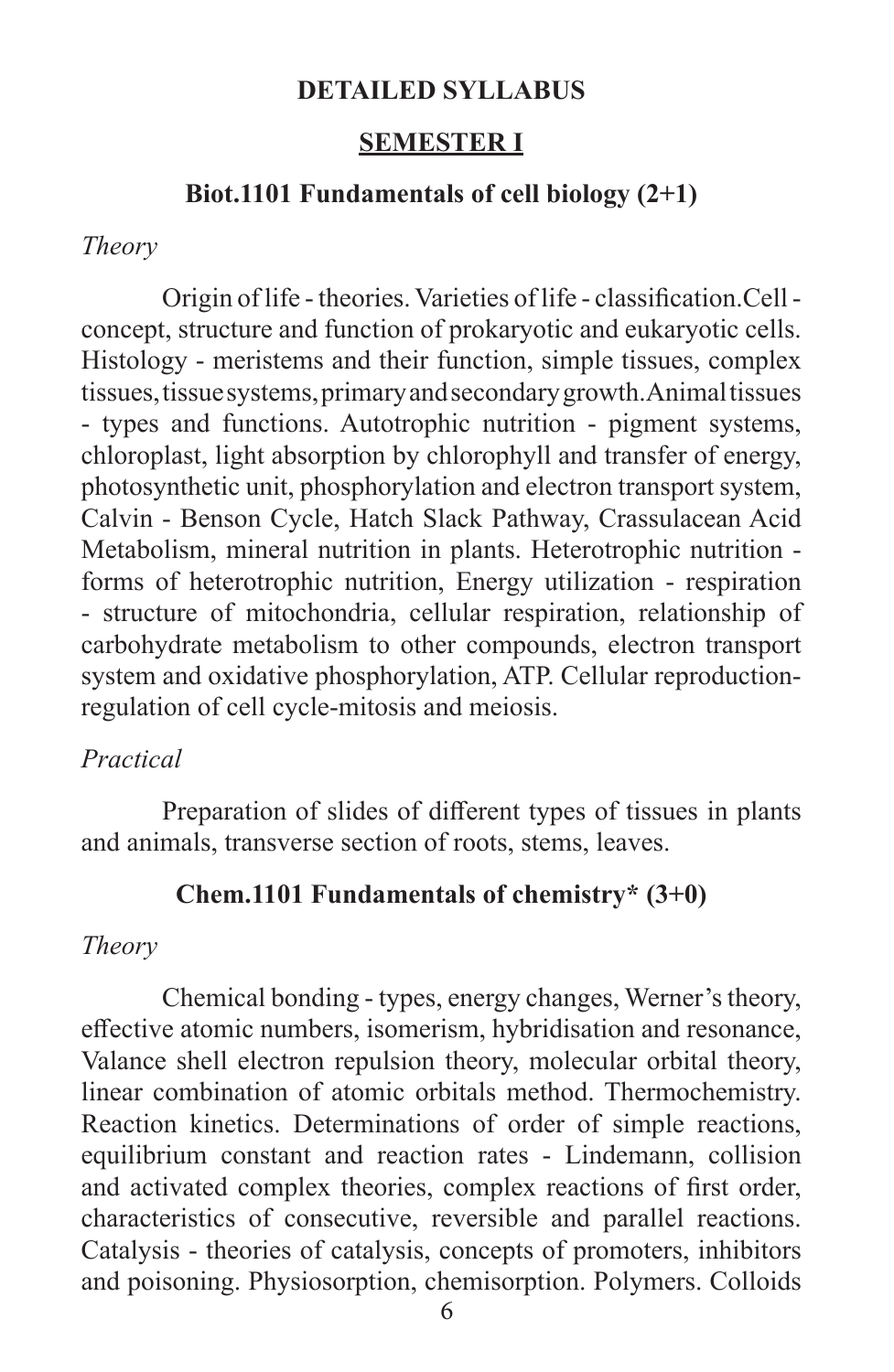## **DETAILED SYLLABUS**

#### **SEMESTER I**

#### **Biot.1101 Fundamentals of cell biology (2+1)**

#### *Theory*

 Origin of life - theories. Varieties of life - classification.Cell concept, structure and function of prokaryotic and eukaryotic cells. Histology - meristems and their function, simple tissues, complex tissues, tissue systems, primary and secondary growth.Animal tissues - types and functions. Autotrophic nutrition - pigment systems, chloroplast, light absorption by chlorophyll and transfer of energy, photosynthetic unit, phosphorylation and electron transport system, Calvin - Benson Cycle, Hatch Slack Pathway, Crassulacean Acid Metabolism, mineral nutrition in plants. Heterotrophic nutrition forms of heterotrophic nutrition, Energy utilization - respiration - structure of mitochondria, cellular respiration, relationship of carbohydrate metabolism to other compounds, electron transport system and oxidative phosphorylation, ATP. Cellular reproductionregulation of cell cycle-mitosis and meiosis.

#### *Practical*

 Preparation of slides of different types of tissues in plants and animals, transverse section of roots, stems, leaves.

#### **Chem.1101 Fundamentals of chemistry\* (3+0)**

#### *Theory*

Chemical bonding - types, energy changes, Werner's theory, effective atomic numbers, isomerism, hybridisation and resonance, Valance shell electron repulsion theory, molecular orbital theory, linear combination of atomic orbitals method. Thermochemistry. Reaction kinetics. Determinations of order of simple reactions, equilibrium constant and reaction rates - Lindemann, collision and activated complex theories, complex reactions of first order, characteristics of consecutive, reversible and parallel reactions. Catalysis - theories of catalysis, concepts of promoters, inhibitors and poisoning. Physiosorption, chemisorption. Polymers. Colloids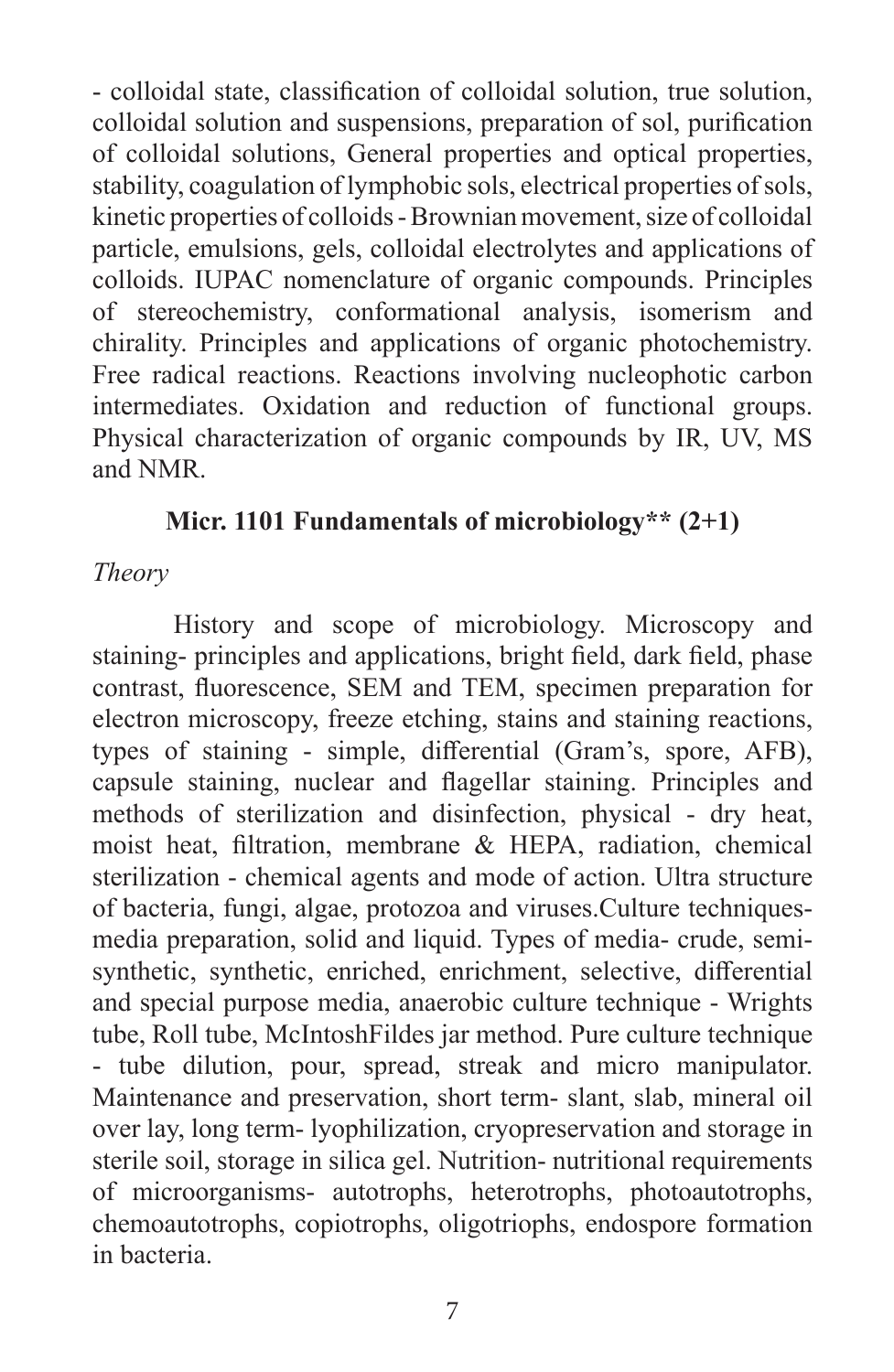- colloidal state, classification of colloidal solution, true solution, colloidal solution and suspensions, preparation of sol, purification of colloidal solutions, General properties and optical properties, stability, coagulation of lymphobic sols, electrical properties of sols, kinetic properties of colloids - Brownian movement, size of colloidal particle, emulsions, gels, colloidal electrolytes and applications of colloids. IUPAC nomenclature of organic compounds. Principles of stereochemistry, conformational analysis, isomerism and chirality. Principles and applications of organic photochemistry. Free radical reactions. Reactions involving nucleophotic carbon intermediates. Oxidation and reduction of functional groups. Physical characterization of organic compounds by IR, UV, MS and NMR.

## **Micr. 1101 Fundamentals of microbiology\*\* (2+1)**

#### *Theory*

History and scope of microbiology. Microscopy and staining- principles and applications, bright field, dark field, phase contrast, fluorescence, SEM and TEM, specimen preparation for electron microscopy, freeze etching, stains and staining reactions, types of staining - simple, differential (Gram's, spore, AFB), capsule staining, nuclear and flagellar staining. Principles and methods of sterilization and disinfection, physical - dry heat, moist heat, filtration, membrane & HEPA, radiation, chemical sterilization - chemical agents and mode of action. Ultra structure of bacteria, fungi, algae, protozoa and viruses.Culture techniquesmedia preparation, solid and liquid. Types of media- crude, semisynthetic, synthetic, enriched, enrichment, selective, differential and special purpose media, anaerobic culture technique - Wrights tube, Roll tube, McIntoshFildes jar method. Pure culture technique - tube dilution, pour, spread, streak and micro manipulator. Maintenance and preservation, short term- slant, slab, mineral oil over lay, long term- lyophilization, cryopreservation and storage in sterile soil, storage in silica gel. Nutrition- nutritional requirements of microorganisms- autotrophs, heterotrophs, photoautotrophs, chemoautotrophs, copiotrophs, oligotriophs, endospore formation in bacteria.

7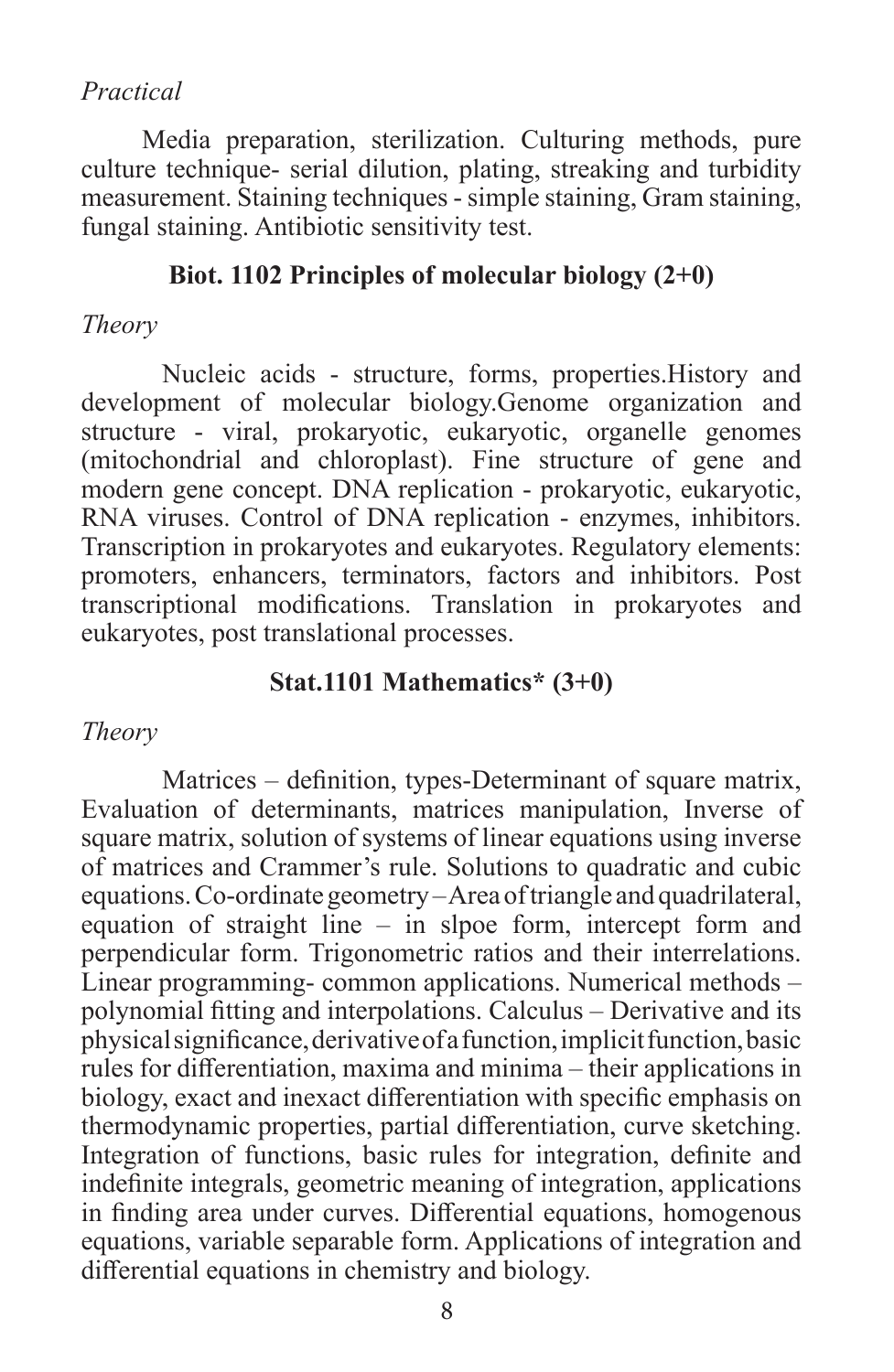## *Practical*

 Media preparation, sterilization. Culturing methods, pure culture technique- serial dilution, plating, streaking and turbidity measurement. Staining techniques - simple staining, Gram staining, fungal staining. Antibiotic sensitivity test.

#### **Biot. 1102 Principles of molecular biology (2+0)**

#### *Theory*

Nucleic acids - structure, forms, properties.History and development of molecular biology.Genome organization and structure - viral, prokaryotic, eukaryotic, organelle genomes (mitochondrial and chloroplast). Fine structure of gene and modern gene concept. DNA replication - prokaryotic, eukaryotic, RNA viruses. Control of DNA replication - enzymes, inhibitors. Transcription in prokaryotes and eukaryotes. Regulatory elements: promoters, enhancers, terminators, factors and inhibitors. Post transcriptional modifications. Translation in prokaryotes and eukaryotes, post translational processes.

#### **Stat.1101 Mathematics\* (3+0)**

#### *Theory*

 Matrices – definition, types-Determinant of square matrix, Evaluation of determinants, matrices manipulation, Inverse of square matrix, solution of systems of linear equations using inverse of matrices and Crammer's rule. Solutions to quadratic and cubic equations. Co-ordinate geometry – Area of triangle and quadrilateral, equation of straight line – in slpoe form, intercept form and perpendicular form. Trigonometric ratios and their interrelations. Linear programming- common applications. Numerical methods – polynomial fitting and interpolations. Calculus – Derivative and its physicalsignificance,derivativeofafunction,implicitfunction,basic rules for differentiation, maxima and minima – their applications in biology, exact and inexact differentiation with specific emphasis on thermodynamic properties, partial differentiation, curve sketching. Integration of functions, basic rules for integration, definite and indefinite integrals, geometric meaning of integration, applications in finding area under curves. Differential equations, homogenous equations, variable separable form. Applications of integration and differential equations in chemistry and biology.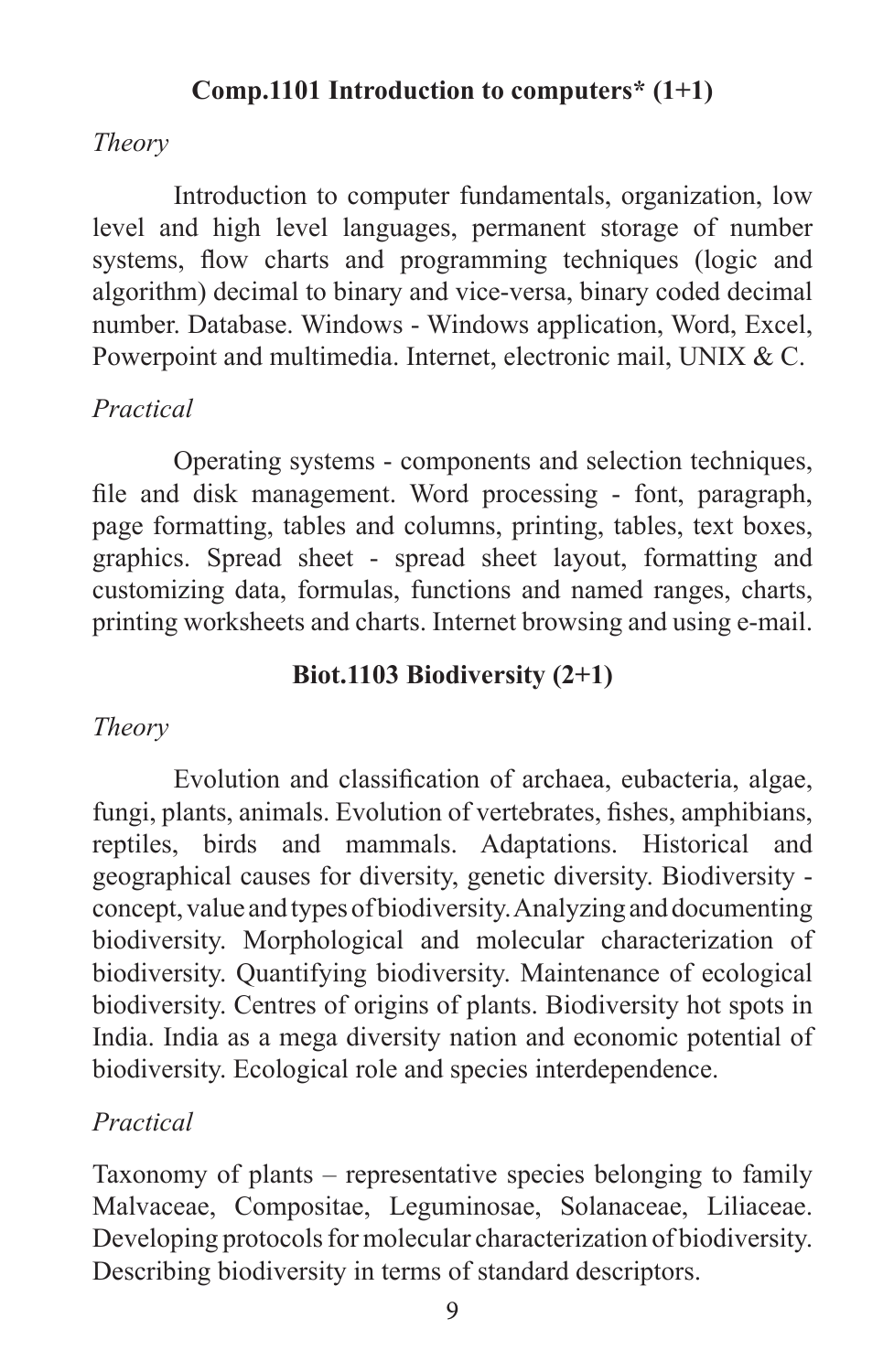# **Comp.1101 Introduction to computers\* (1+1)**

#### *Theory*

Introduction to computer fundamentals, organization, low level and high level languages, permanent storage of number systems, flow charts and programming techniques (logic and algorithm) decimal to binary and vice-versa, binary coded decimal number. Database. Windows - Windows application, Word, Excel, Powerpoint and multimedia. Internet, electronic mail, UNIX & C.

## *Practical*

Operating systems - components and selection techniques, file and disk management. Word processing - font, paragraph, page formatting, tables and columns, printing, tables, text boxes, graphics. Spread sheet - spread sheet layout, formatting and customizing data, formulas, functions and named ranges, charts, printing worksheets and charts. Internet browsing and using e-mail.

## **Biot.1103 Biodiversity (2+1)**

#### *Theory*

 Evolution and classification of archaea, eubacteria, algae, fungi, plants, animals. Evolution of vertebrates, fishes, amphibians, reptiles, birds and mammals. Adaptations. Historical and geographical causes for diversity, genetic diversity. Biodiversity concept, value and types of biodiversity. Analyzing and documenting biodiversity. Morphological and molecular characterization of biodiversity. Quantifying biodiversity. Maintenance of ecological biodiversity. Centres of origins of plants. Biodiversity hot spots in India. India as a mega diversity nation and economic potential of biodiversity. Ecological role and species interdependence.

## *Practical*

Taxonomy of plants – representative species belonging to family Malvaceae, Compositae, Leguminosae, Solanaceae, Liliaceae. Developing protocols for molecular characterization of biodiversity. Describing biodiversity in terms of standard descriptors.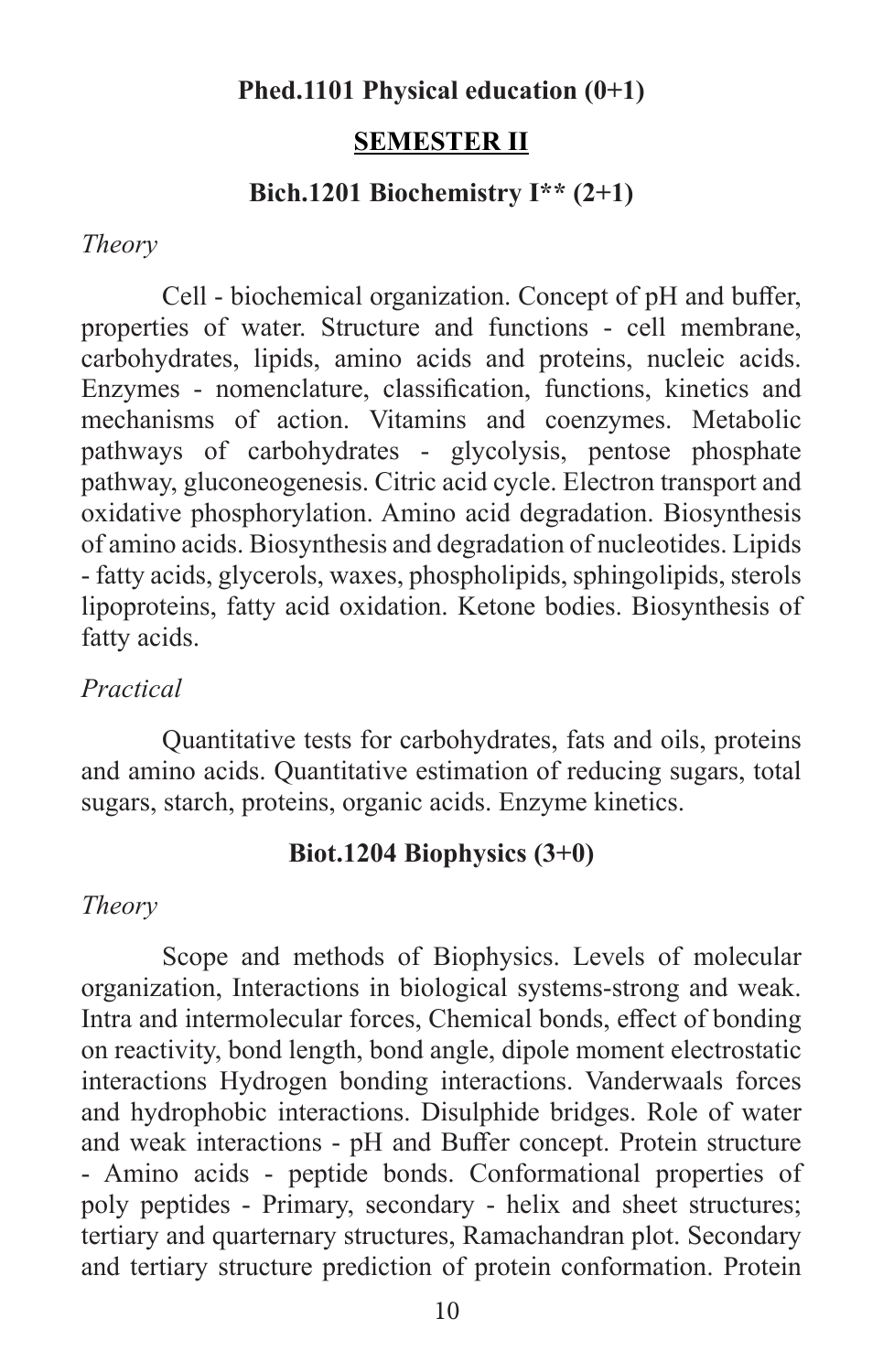#### **Phed.1101 Physical education (0+1)**

#### **SEMESTER II**

#### **Bich.1201 Biochemistry I\*\* (2+1)**

*Theory*

 Cell - biochemical organization. Concept of pH and buffer, properties of water. Structure and functions - cell membrane, carbohydrates, lipids, amino acids and proteins, nucleic acids. Enzymes - nomenclature, classification, functions, kinetics and mechanisms of action. Vitamins and coenzymes. Metabolic pathways of carbohydrates - glycolysis, pentose phosphate pathway, gluconeogenesis. Citric acid cycle. Electron transport and oxidative phosphorylation. Amino acid degradation. Biosynthesis of amino acids. Biosynthesis and degradation of nucleotides. Lipids - fatty acids, glycerols, waxes, phospholipids, sphingolipids, sterols lipoproteins, fatty acid oxidation. Ketone bodies. Biosynthesis of fatty acids.

#### *Practical*

Quantitative tests for carbohydrates, fats and oils, proteins and amino acids. Quantitative estimation of reducing sugars, total sugars, starch, proteins, organic acids. Enzyme kinetics.

#### **Biot.1204 Biophysics (3+0)**

#### *Theory*

Scope and methods of Biophysics. Levels of molecular organization, Interactions in biological systems-strong and weak. Intra and intermolecular forces, Chemical bonds, effect of bonding on reactivity, bond length, bond angle, dipole moment electrostatic interactions Hydrogen bonding interactions. Vanderwaals forces and hydrophobic interactions. Disulphide bridges. Role of water and weak interactions - pH and Buffer concept. Protein structure - Amino acids - peptide bonds. Conformational properties of poly peptides - Primary, secondary - helix and sheet structures; tertiary and quarternary structures, Ramachandran plot. Secondary and tertiary structure prediction of protein conformation. Protein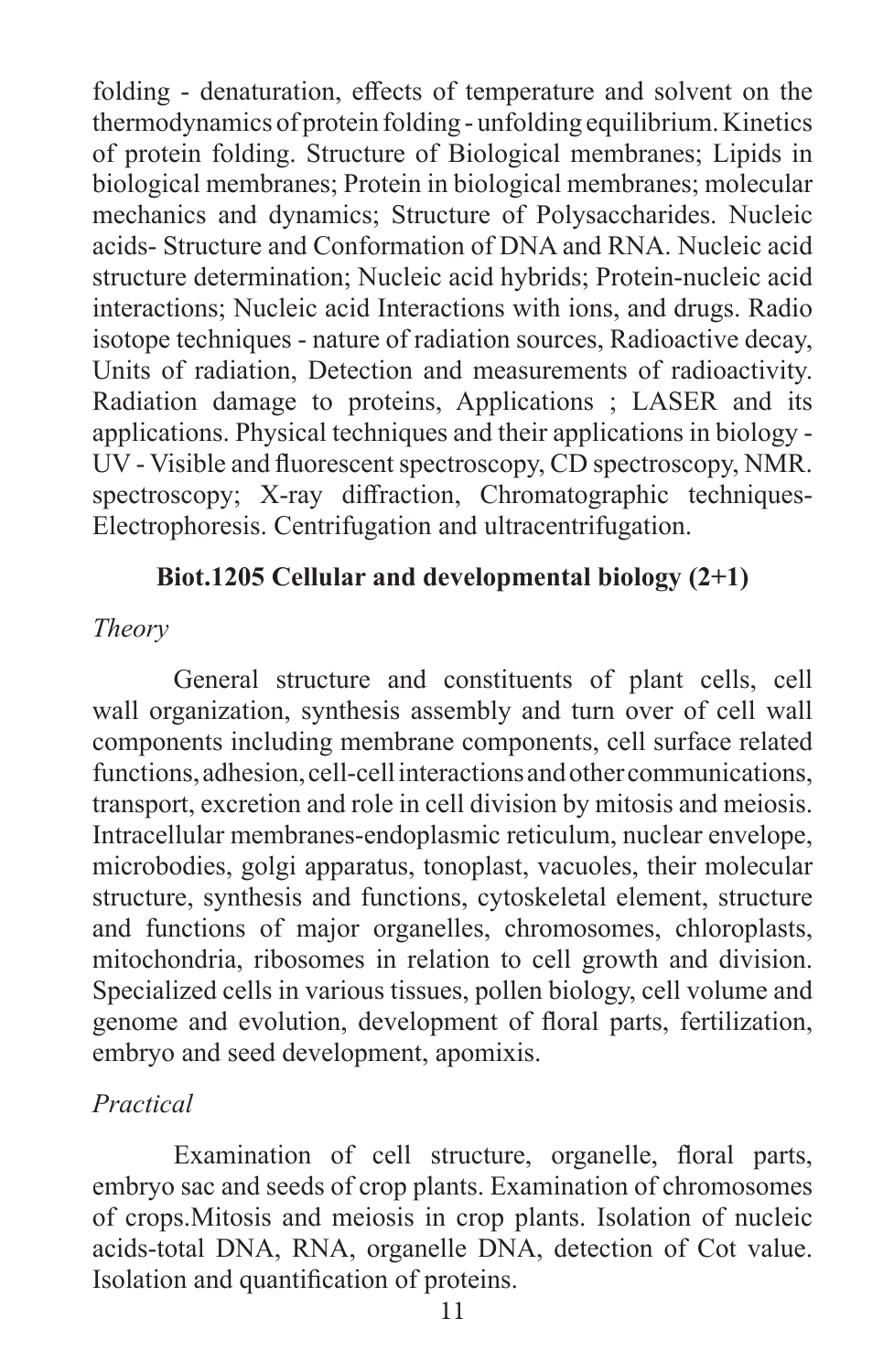folding - denaturation, effects of temperature and solvent on the thermodynamics of protein folding - unfolding equilibrium. Kinetics of protein folding. Structure of Biological membranes; Lipids in biological membranes; Protein in biological membranes; molecular mechanics and dynamics; Structure of Polysaccharides. Nucleic acids- Structure and Conformation of DNA and RNA. Nucleic acid structure determination; Nucleic acid hybrids; Protein-nucleic acid interactions; Nucleic acid Interactions with ions, and drugs. Radio isotope techniques - nature of radiation sources, Radioactive decay, Units of radiation, Detection and measurements of radioactivity. Radiation damage to proteins, Applications ; LASER and its applications. Physical techniques and their applications in biology - UV - Visible and fluorescent spectroscopy, CD spectroscopy, NMR. spectroscopy; X-ray diffraction, Chromatographic techniques-Electrophoresis. Centrifugation and ultracentrifugation.

## **Biot.1205 Cellular and developmental biology (2+1)**

## *Theory*

General structure and constituents of plant cells, cell wall organization, synthesis assembly and turn over of cell wall components including membrane components, cell surface related functions, adhesion, cell-cell interactions and other communications, transport, excretion and role in cell division by mitosis and meiosis. Intracellular membranes-endoplasmic reticulum, nuclear envelope, microbodies, golgi apparatus, tonoplast, vacuoles, their molecular structure, synthesis and functions, cytoskeletal element, structure and functions of major organelles, chromosomes, chloroplasts, mitochondria, ribosomes in relation to cell growth and division. Specialized cells in various tissues, pollen biology, cell volume and genome and evolution, development of floral parts, fertilization, embryo and seed development, apomixis.

# *Practical*

 Examination of cell structure, organelle, floral parts, embryo sac and seeds of crop plants. Examination of chromosomes of crops.Mitosis and meiosis in crop plants. Isolation of nucleic acids-total DNA, RNA, organelle DNA, detection of Cot value. Isolation and quantification of proteins.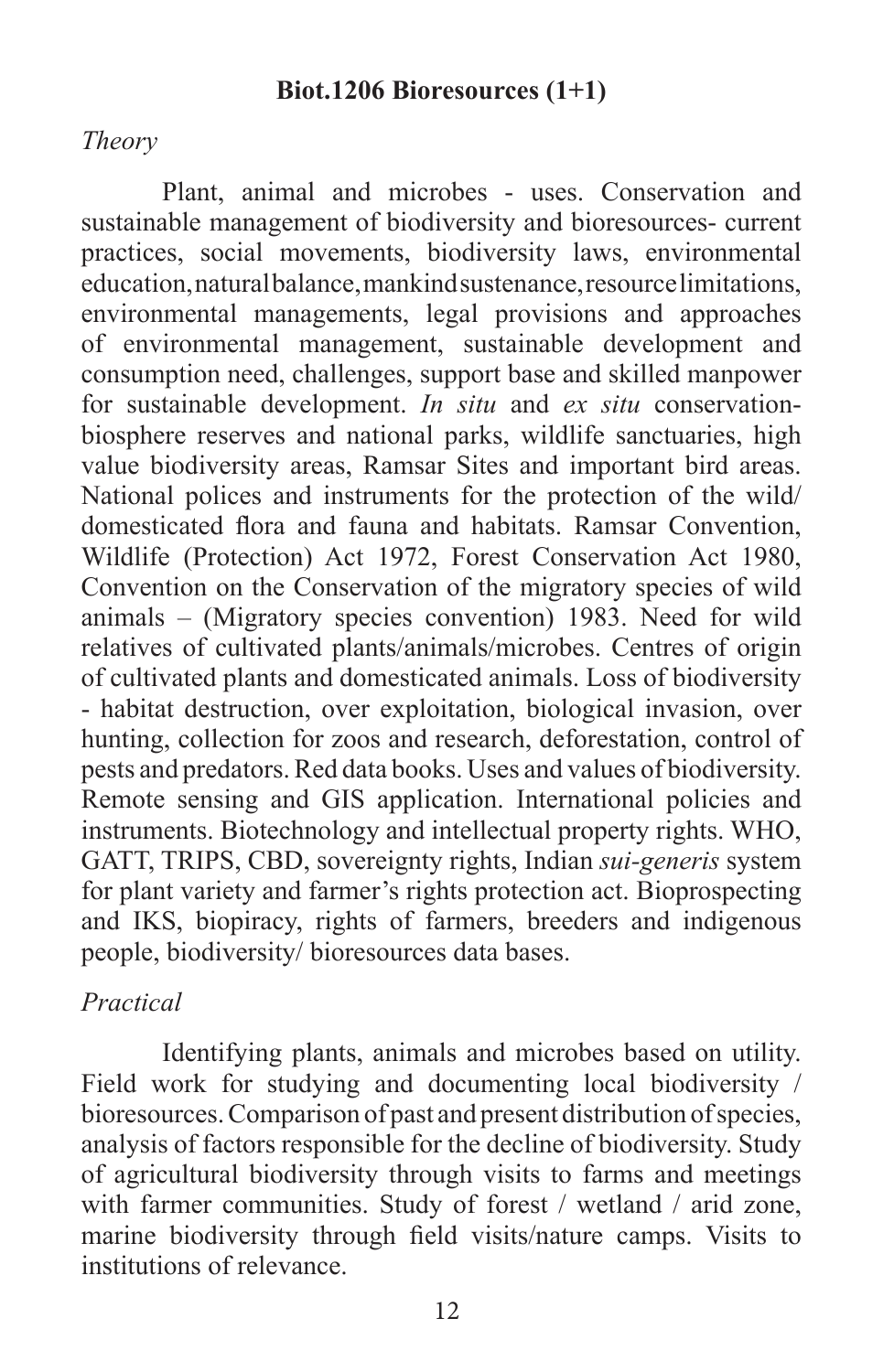#### **Biot.1206 Bioresources (1+1)**

#### *Theory*

Plant, animal and microbes - uses. Conservation and sustainable management of biodiversity and bioresources- current practices, social movements, biodiversity laws, environmental education, natural balance, mankind sustenance, resource limitations, environmental managements, legal provisions and approaches of environmental management, sustainable development and consumption need, challenges, support base and skilled manpower for sustainable development. *In situ* and *ex situ* conservationbiosphere reserves and national parks, wildlife sanctuaries, high value biodiversity areas, Ramsar Sites and important bird areas. National polices and instruments for the protection of the wild/ domesticated flora and fauna and habitats. Ramsar Convention, Wildlife (Protection) Act 1972, Forest Conservation Act 1980, Convention on the Conservation of the migratory species of wild animals – (Migratory species convention) 1983. Need for wild relatives of cultivated plants/animals/microbes. Centres of origin of cultivated plants and domesticated animals. Loss of biodiversity - habitat destruction, over exploitation, biological invasion, over hunting, collection for zoos and research, deforestation, control of pests and predators. Red data books. Uses and values of biodiversity. Remote sensing and GIS application. International policies and instruments. Biotechnology and intellectual property rights. WHO, GATT, TRIPS, CBD, sovereignty rights, Indian *sui-generis* system for plant variety and farmer's rights protection act. Bioprospecting and IKS, biopiracy, rights of farmers, breeders and indigenous people, biodiversity/ bioresources data bases.

## *Practical*

Identifying plants, animals and microbes based on utility. Field work for studying and documenting local biodiversity / bioresources. Comparison of past and present distribution of species, analysis of factors responsible for the decline of biodiversity. Study of agricultural biodiversity through visits to farms and meetings with farmer communities. Study of forest / wetland / arid zone, marine biodiversity through field visits/nature camps. Visits to institutions of relevance.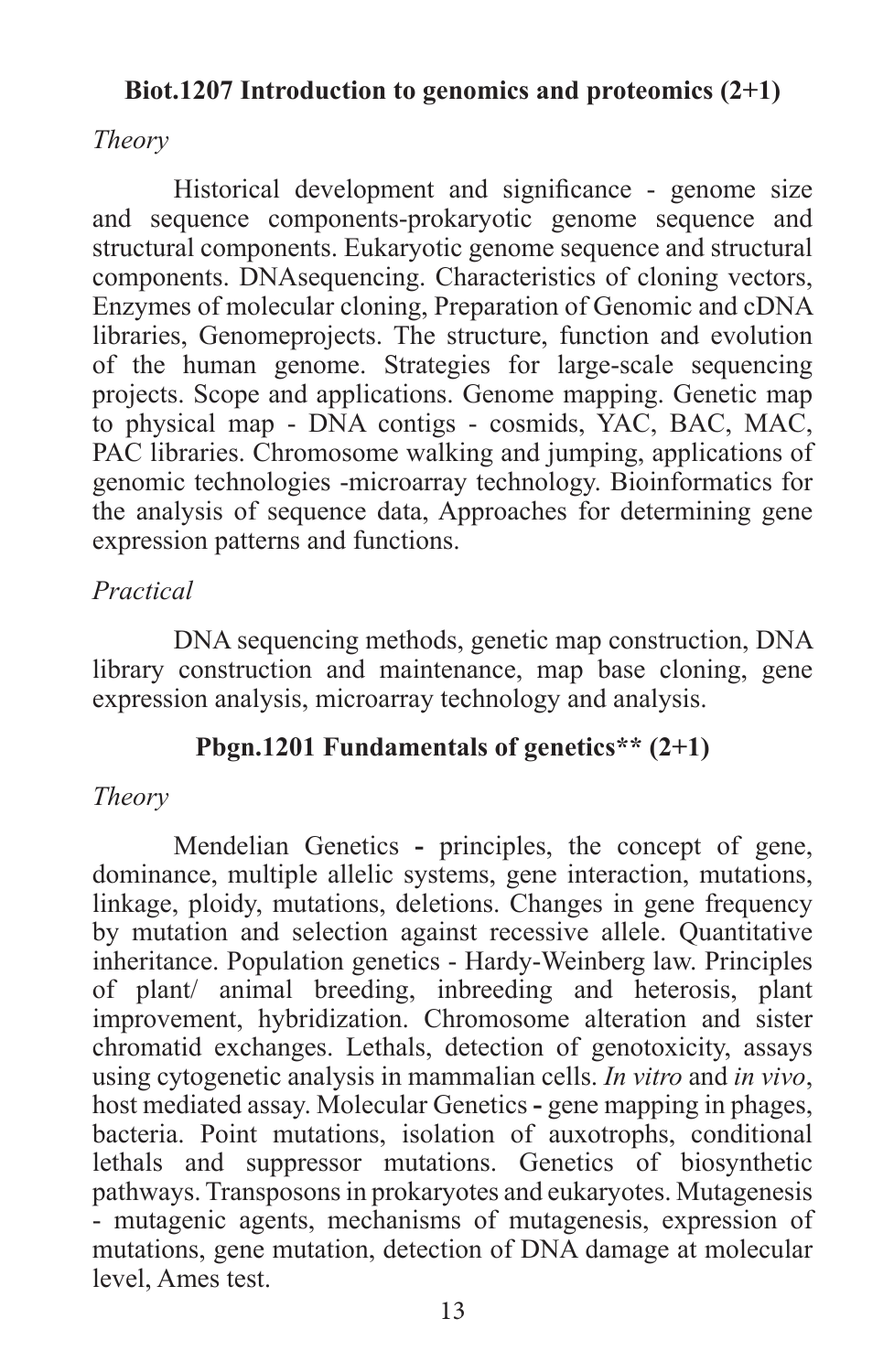## **Biot.1207 Introduction to genomics and proteomics (2+1)**

## *Theory*

 Historical development and significance - genome size and sequence components-prokaryotic genome sequence and structural components. Eukaryotic genome sequence and structural components. DNAsequencing. Characteristics of cloning vectors, Enzymes of molecular cloning, Preparation of Genomic and cDNA libraries, Genomeprojects. The structure, function and evolution of the human genome. Strategies for large-scale sequencing projects. Scope and applications. Genome mapping. Genetic map to physical map - DNA contigs - cosmids, YAC, BAC, MAC, PAC libraries. Chromosome walking and jumping, applications of genomic technologies -microarray technology. Bioinformatics for the analysis of sequence data, Approaches for determining gene expression patterns and functions.

## *Practical*

DNA sequencing methods, genetic map construction, DNA library construction and maintenance, map base cloning, gene expression analysis, microarray technology and analysis.

## **Pbgn.1201 Fundamentals of genetics\*\* (2+1)**

## *Theory*

Mendelian Genetics **-** principles, the concept of gene, dominance, multiple allelic systems, gene interaction, mutations, linkage, ploidy, mutations, deletions. Changes in gene frequency by mutation and selection against recessive allele. Quantitative inheritance. Population genetics - Hardy-Weinberg law. Principles of plant/ animal breeding, inbreeding and heterosis, plant improvement, hybridization. Chromosome alteration and sister chromatid exchanges. Lethals, detection of genotoxicity, assays using cytogenetic analysis in mammalian cells. *In vitro* and *in vivo*, host mediated assay. Molecular Genetics **-** gene mapping in phages, bacteria. Point mutations, isolation of auxotrophs, conditional lethals and suppressor mutations. Genetics of biosynthetic pathways. Transposons in prokaryotes and eukaryotes. Mutagenesis - mutagenic agents, mechanisms of mutagenesis, expression of mutations, gene mutation, detection of DNA damage at molecular level, Ames test.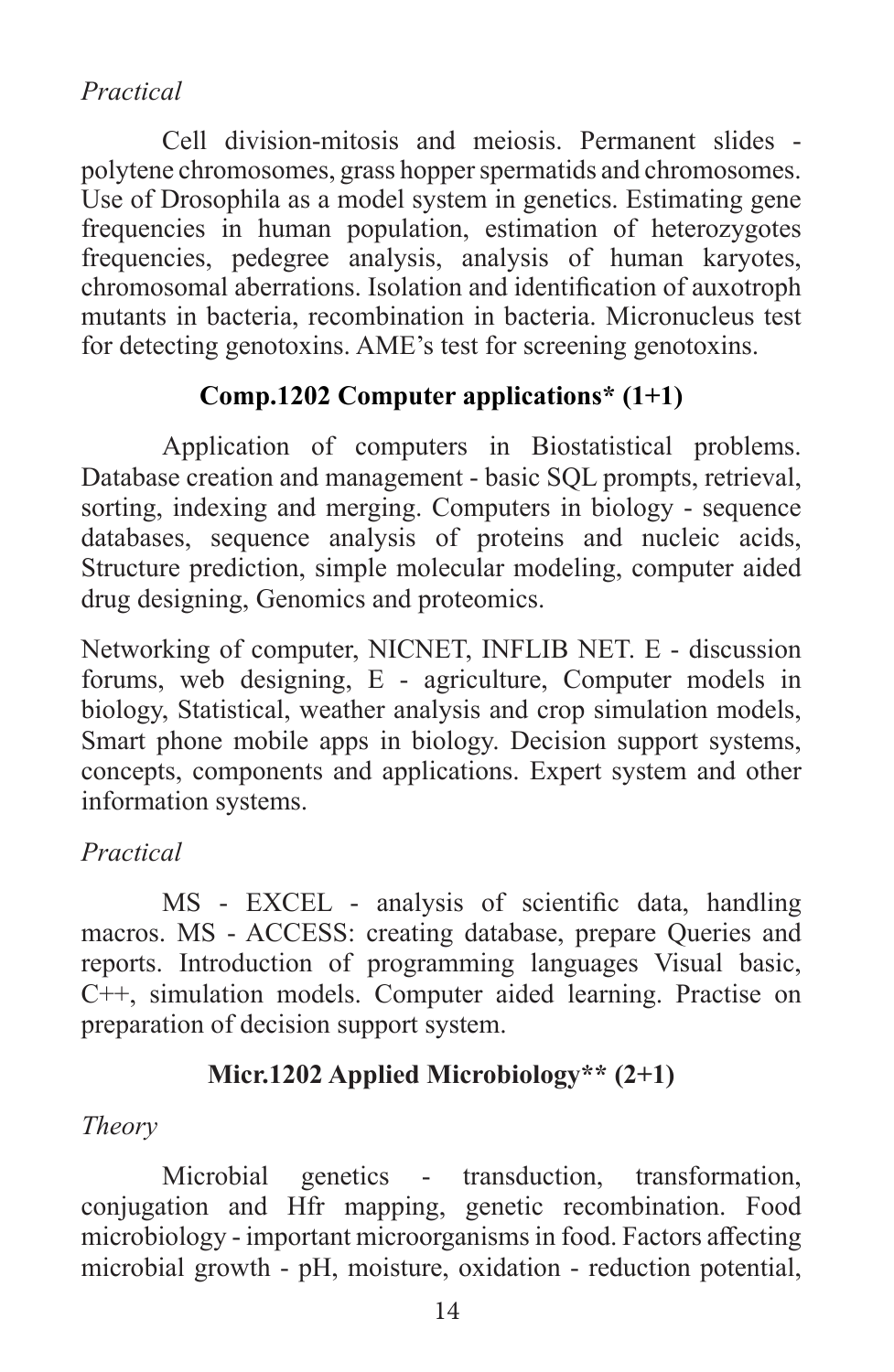# *Practical*

Cell division-mitosis and meiosis. Permanent slides polytene chromosomes, grass hopper spermatids and chromosomes. Use of Drosophila as a model system in genetics. Estimating gene frequencies in human population, estimation of heterozygotes frequencies, pedegree analysis, analysis of human karyotes, chromosomal aberrations. Isolation and identification of auxotroph mutants in bacteria, recombination in bacteria. Micronucleus test for detecting genotoxins. AME's test for screening genotoxins.

# **Comp.1202 Computer applications\* (1+1)**

Application of computers in Biostatistical problems. Database creation and management - basic SQL prompts, retrieval, sorting, indexing and merging. Computers in biology - sequence databases, sequence analysis of proteins and nucleic acids, Structure prediction, simple molecular modeling, computer aided drug designing, Genomics and proteomics.

Networking of computer, NICNET, INFLIB NET. E - discussion forums, web designing, E - agriculture, Computer models in biology, Statistical, weather analysis and crop simulation models, Smart phone mobile apps in biology. Decision support systems, concepts, components and applications. Expert system and other information systems.

# *Practical*

 MS - EXCEL - analysis of scientific data, handling macros. MS - ACCESS: creating database, prepare Queries and reports. Introduction of programming languages Visual basic, C++, simulation models. Computer aided learning. Practise on preparation of decision support system.

# **Micr.1202 Applied Microbiology\*\* (2+1)**

# *Theory*

Microbial genetics - transduction, transformation, conjugation and Hfr mapping, genetic recombination. Food microbiology - important microorganismsin food. Factors affecting microbial growth - pH, moisture, oxidation - reduction potential,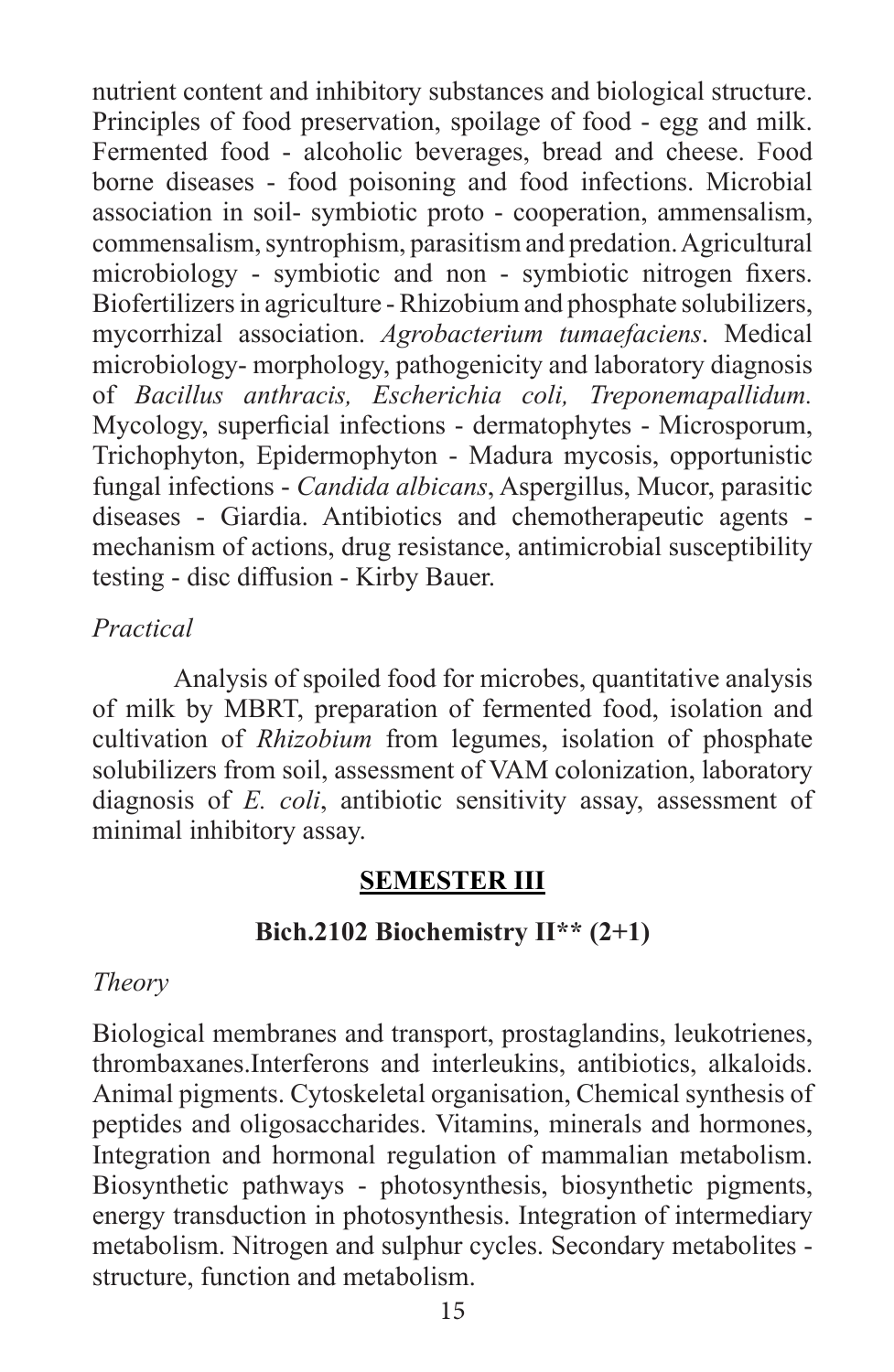nutrient content and inhibitory substances and biological structure. Principles of food preservation, spoilage of food - egg and milk. Fermented food - alcoholic beverages, bread and cheese. Food borne diseases - food poisoning and food infections. Microbial association in soil- symbiotic proto - cooperation, ammensalism, commensalism, syntrophism, parasitism and predation. Agricultural microbiology - symbiotic and non - symbiotic nitrogen fixers. Biofertilizers in agriculture - Rhizobium and phosphate solubilizers, mycorrhizal association. *Agrobacterium tumaefaciens*. Medical microbiology- morphology, pathogenicity and laboratory diagnosis of *Bacillus anthracis, Escherichia coli, Treponemapallidum.*  Mycology, superficial infections - dermatophytes - Microsporum, Trichophyton, Epidermophyton - Madura mycosis, opportunistic fungal infections - *Candida albicans*, Aspergillus, Mucor, parasitic diseases - Giardia. Antibiotics and chemotherapeutic agents mechanism of actions, drug resistance, antimicrobial susceptibility testing - disc diffusion - Kirby Bauer.

## *Practical*

Analysis of spoiled food for microbes, quantitative analysis of milk by MBRT, preparation of fermented food, isolation and cultivation of *Rhizobium* from legumes, isolation of phosphate solubilizers from soil, assessment of VAM colonization, laboratory diagnosis of *E. coli*, antibiotic sensitivity assay, assessment of minimal inhibitory assay.

#### **SEMESTER III**

#### **Bich.2102 Biochemistry II\*\* (2+1)**

#### *Theory*

Biological membranes and transport, prostaglandins, leukotrienes, thrombaxanes.Interferons and interleukins, antibiotics, alkaloids. Animal pigments. Cytoskeletal organisation, Chemical synthesis of peptides and oligosaccharides. Vitamins, minerals and hormones, Integration and hormonal regulation of mammalian metabolism. Biosynthetic pathways - photosynthesis, biosynthetic pigments, energy transduction in photosynthesis. Integration of intermediary metabolism. Nitrogen and sulphur cycles. Secondary metabolites structure, function and metabolism.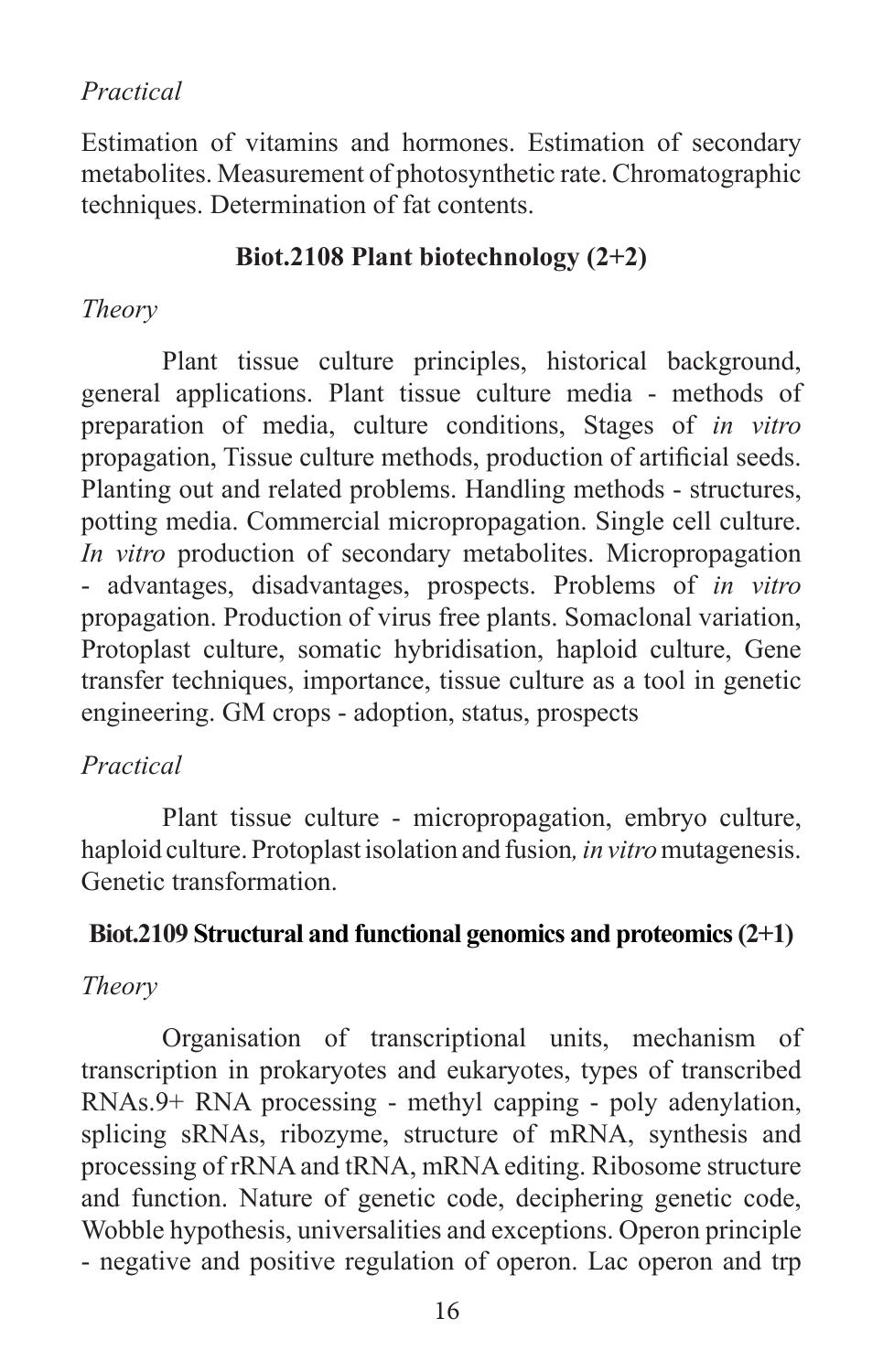# *Practical*

Estimation of vitamins and hormones. Estimation of secondary metabolites. Measurement of photosynthetic rate. Chromatographic techniques. Determination of fat contents.

## **Biot.2108 Plant biotechnology (2+2)**

## *Theory*

Plant tissue culture principles, historical background, general applications. Plant tissue culture media - methods of preparation of media, culture conditions, Stages of *in vitro* propagation, Tissue culture methods, production of artificial seeds. Planting out and related problems. Handling methods - structures, potting media. Commercial micropropagation. Single cell culture. *In vitro* production of secondary metabolites. Micropropagation - advantages, disadvantages, prospects. Problems of *in vitro* propagation. Production of virus free plants. Somaclonal variation, Protoplast culture, somatic hybridisation, haploid culture, Gene transfer techniques, importance, tissue culture as a tool in genetic engineering. GM crops - adoption, status, prospects

# *Practical*

Plant tissue culture - micropropagation, embryo culture, haploid culture. Protoplast isolation and fusion*, in vitro* mutagenesis. Genetic transformation.

# **Biot.2109 Structural and functional genomics and proteomics (2+1)**

## *Theory*

Organisation of transcriptional units, mechanism of transcription in prokaryotes and eukaryotes, types of transcribed RNAs.9+ RNA processing - methyl capping - poly adenylation, splicing sRNAs, ribozyme, structure of mRNA, synthesis and processing of rRNA and tRNA, mRNA editing. Ribosome structure and function. Nature of genetic code, deciphering genetic code, Wobble hypothesis, universalities and exceptions. Operon principle - negative and positive regulation of operon. Lac operon and trp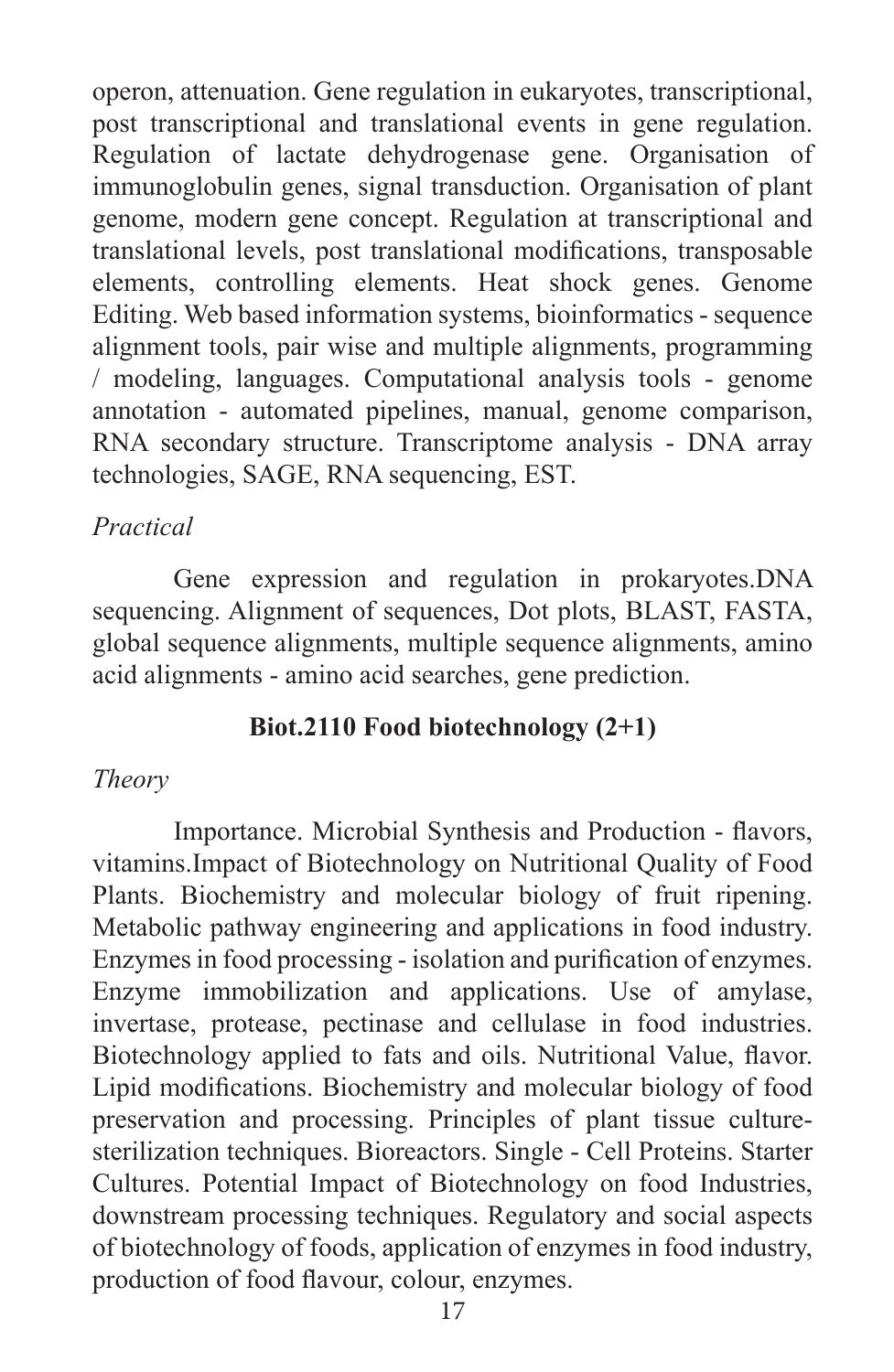operon, attenuation. Gene regulation in eukaryotes, transcriptional, post transcriptional and translational events in gene regulation. Regulation of lactate dehydrogenase gene. Organisation of immunoglobulin genes, signal transduction. Organisation of plant genome, modern gene concept. Regulation at transcriptional and translational levels, post translational modifications, transposable elements, controlling elements. Heat shock genes. Genome Editing. Web based information systems, bioinformatics - sequence alignment tools, pair wise and multiple alignments, programming / modeling, languages. Computational analysis tools - genome annotation - automated pipelines, manual, genome comparison, RNA secondary structure. Transcriptome analysis - DNA array technologies, SAGE, RNA sequencing, EST.

## *Practical*

Gene expression and regulation in prokaryotes.DNA sequencing. Alignment of sequences, Dot plots, BLAST, FASTA, global sequence alignments, multiple sequence alignments, amino acid alignments - amino acid searches, gene prediction.

# **Biot.2110 Food biotechnology (2+1)**

## *Theory*

 Importance. Microbial Synthesis and Production - flavors, vitamins.Impact of Biotechnology on Nutritional Quality of Food Plants. Biochemistry and molecular biology of fruit ripening. Metabolic pathway engineering and applications in food industry. Enzymes in food processing - isolation and purification of enzymes. Enzyme immobilization and applications. Use of amylase, invertase, protease, pectinase and cellulase in food industries. Biotechnology applied to fats and oils. Nutritional Value, flavor. Lipid modifications. Biochemistry and molecular biology of food preservation and processing. Principles of plant tissue culturesterilization techniques. Bioreactors. Single - Cell Proteins. Starter Cultures. Potential Impact of Biotechnology on food Industries, downstream processing techniques. Regulatory and social aspects of biotechnology of foods, application of enzymes in food industry, production of food flavour, colour, enzymes.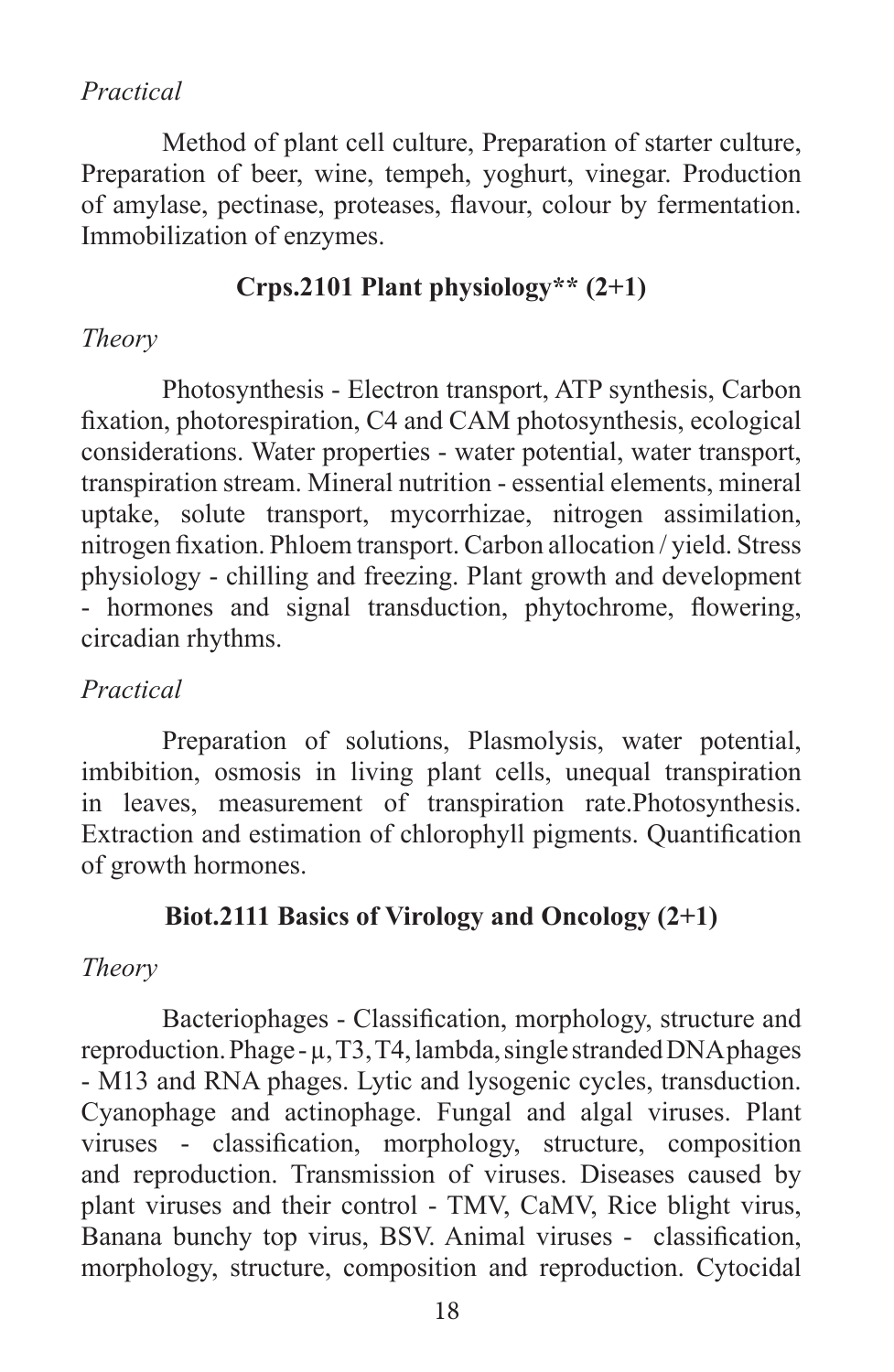## *Practical*

Method of plant cell culture, Preparation of starter culture, Preparation of beer, wine, tempeh, yoghurt, vinegar. Production of amylase, pectinase, proteases, flavour, colour by fermentation. Immobilization of enzymes.

# **Crps.2101 Plant physiology\*\* (2+1)**

#### *Theory*

Photosynthesis - Electron transport, ATP synthesis, Carbon fixation, photorespiration, C4 and CAM photosynthesis, ecological considerations. Water properties - water potential, water transport, transpiration stream. Mineral nutrition - essential elements, mineral uptake, solute transport, mycorrhizae, nitrogen assimilation, nitrogen fixation. Phloem transport. Carbon allocation / yield. Stress physiology - chilling and freezing. Plant growth and development - hormones and signal transduction, phytochrome, flowering, circadian rhythms.

#### *Practical*

Preparation of solutions, Plasmolysis, water potential, imbibition, osmosis in living plant cells, unequal transpiration in leaves, measurement of transpiration rate.Photosynthesis. Extraction and estimation of chlorophyll pigments. Quantification of growth hormones.

## **Biot.2111 Basics of Virology and Oncology (2+1)**

#### *Theory*

 Bacteriophages - Classification, morphology, structure and reproduction. Phage - µ, T3, T4, lambda, single stranded DNA phages - M13 and RNA phages. Lytic and lysogenic cycles, transduction. Cyanophage and actinophage. Fungal and algal viruses. Plant viruses - classification, morphology, structure, composition and reproduction. Transmission of viruses. Diseases caused by plant viruses and their control - TMV, CaMV, Rice blight virus, Banana bunchy top virus, BSV. Animal viruses - classification, morphology, structure, composition and reproduction. Cytocidal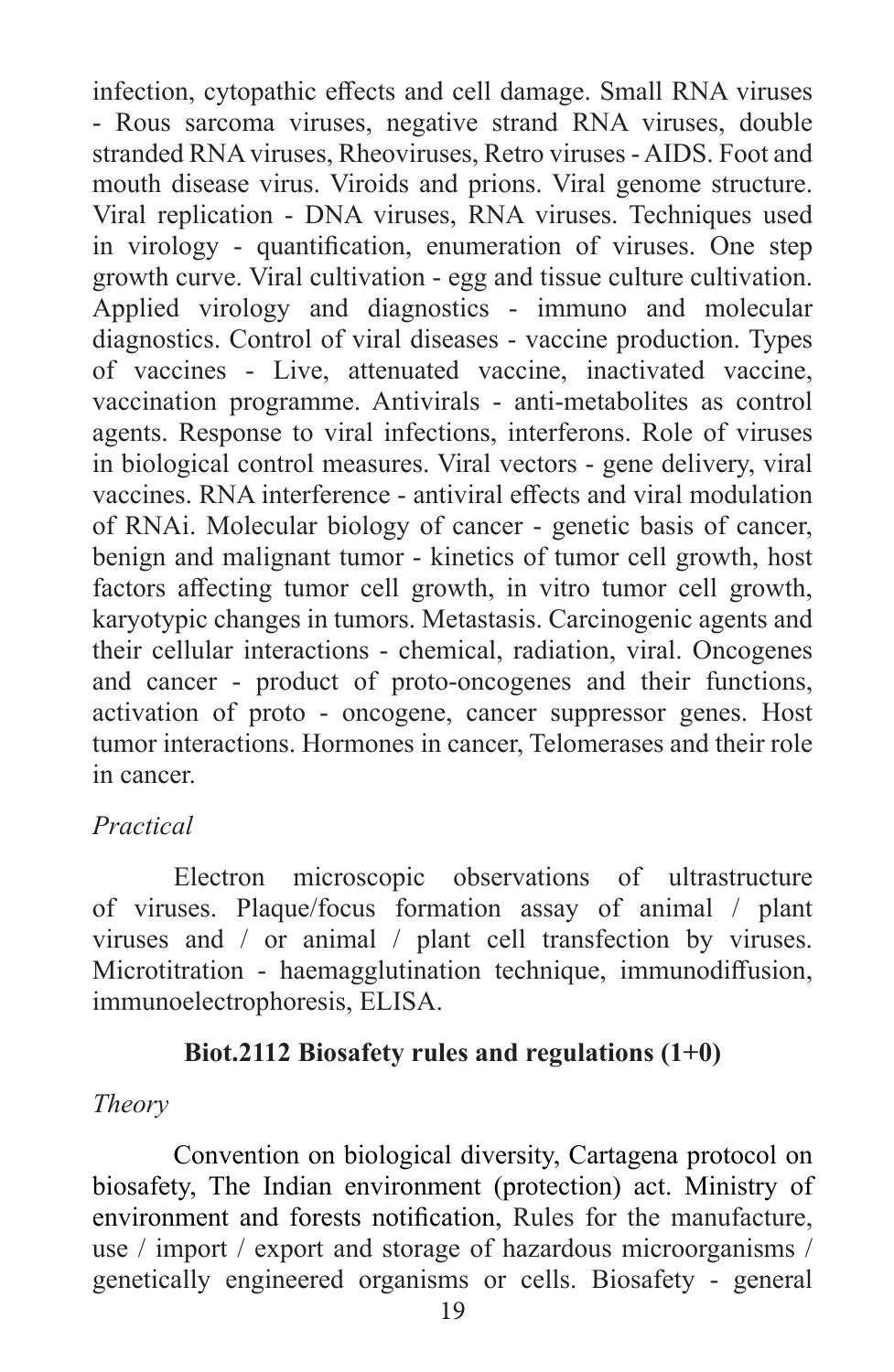infection, cytopathic effects and cell damage. Small RNA viruses - Rous sarcoma viruses, negative strand RNA viruses, double stranded RNA viruses, Rheoviruses, Retro viruses - AIDS. Foot and mouth disease virus. Viroids and prions. Viral genome structure. Viral replication - DNA viruses, RNA viruses. Techniques used in virology - quantification, enumeration of viruses. One step growth curve. Viral cultivation - egg and tissue culture cultivation. Applied virology and diagnostics - immuno and molecular diagnostics. Control of viral diseases - vaccine production. Types of vaccines - Live, attenuated vaccine, inactivated vaccine, vaccination programme. Antivirals - anti-metabolites as control agents. Response to viral infections, interferons. Role of viruses in biological control measures. Viral vectors - gene delivery, viral vaccines. RNA interference - antiviral effects and viral modulation of RNAi. Molecular biology of cancer - genetic basis of cancer, benign and malignant tumor - kinetics of tumor cell growth, host factors affecting tumor cell growth, in vitro tumor cell growth, karyotypic changes in tumors. Metastasis. Carcinogenic agents and their cellular interactions - chemical, radiation, viral. Oncogenes and cancer - product of proto-oncogenes and their functions, activation of proto - oncogene, cancer suppressor genes. Host tumor interactions. Hormones in cancer, Telomerases and their role in cancer.

## *Practical*

Electron microscopic observations of ultrastructure of viruses. Plaque/focus formation assay of animal / plant viruses and / or animal / plant cell transfection by viruses. Microtitration - haemagglutination technique, immunodiffusion, immunoelectrophoresis, ELISA.

#### **Biot.2112 Biosafety rules and regulations (1+0)**

#### *Theory*

Convention on biological diversity, Cartagena protocol on biosafety, The Indian environment (protection) act. Ministry of environment and forests notification, Rules for the manufacture, use / import / export and storage of hazardous microorganisms / genetically engineered organisms or cells. Biosafety - general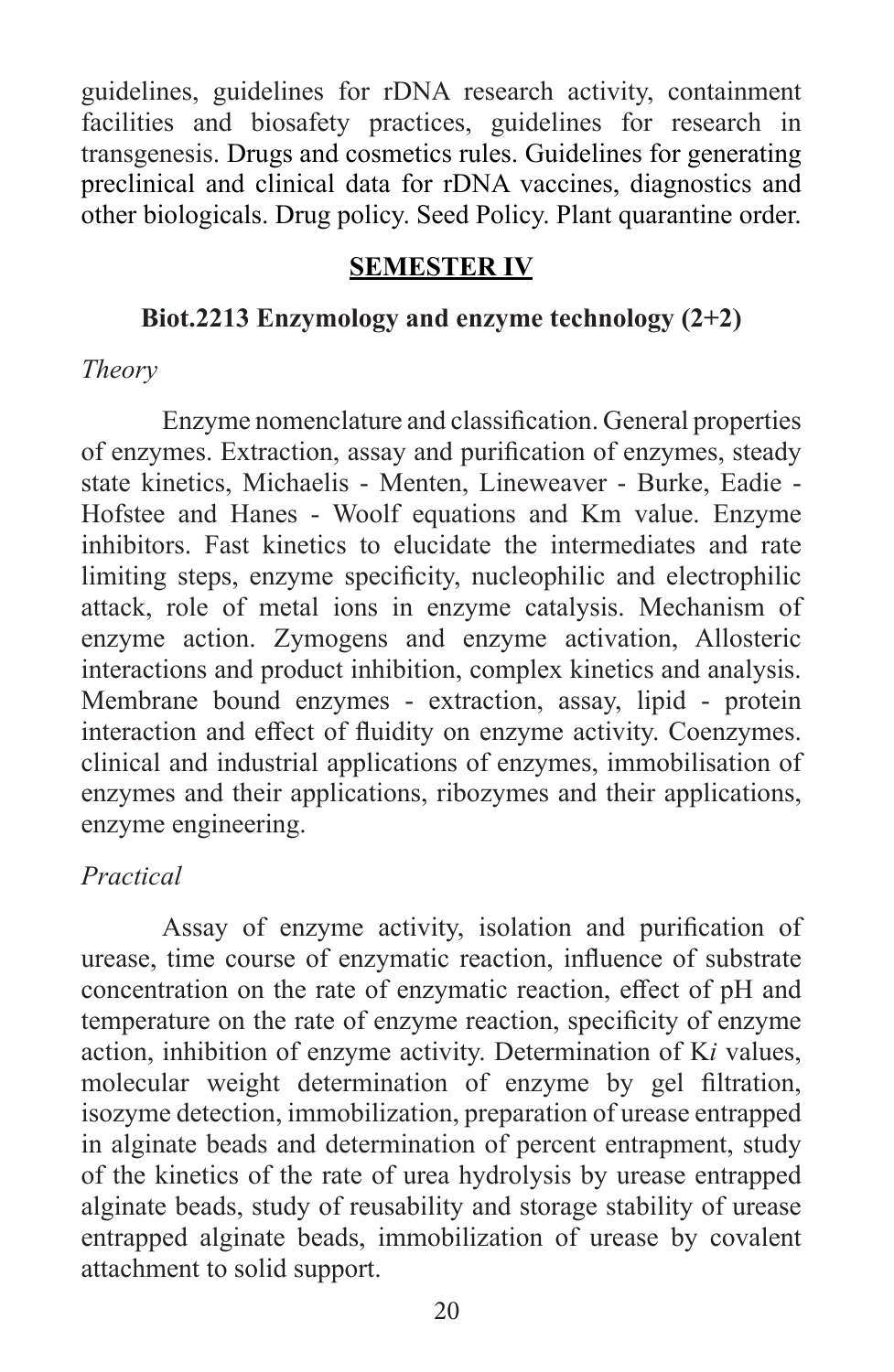guidelines, guidelines for rDNA research activity, containment facilities and biosafety practices, guidelines for research in transgenesis. Drugs and cosmetics rules. Guidelines for generating preclinical and clinical data for rDNA vaccines, diagnostics and other biologicals. Drug policy. Seed Policy. Plant quarantine order.

#### **SEMESTER IV**

#### **Biot.2213 Enzymology and enzyme technology (2+2)**

#### *Theory*

Enzyme nomenclature and classification. General properties of enzymes. Extraction, assay and purification of enzymes, steady state kinetics, Michaelis - Menten, Lineweaver - Burke, Eadie - Hofstee and Hanes - Woolf equations and Km value. Enzyme inhibitors. Fast kinetics to elucidate the intermediates and rate limiting steps, enzyme specificity, nucleophilic and electrophilic attack, role of metal ions in enzyme catalysis. Mechanism of enzyme action. Zymogens and enzyme activation, Allosteric interactions and product inhibition, complex kinetics and analysis. Membrane bound enzymes - extraction, assay, lipid - protein interaction and effect of fluidity on enzyme activity. Coenzymes. clinical and industrial applications of enzymes, immobilisation of enzymes and their applications, ribozymes and their applications, enzyme engineering.

# *Practical*

 Assay of enzyme activity, isolation and purification of urease, time course of enzymatic reaction, influence of substrate concentration on the rate of enzymatic reaction, effect of pH and temperature on the rate of enzyme reaction, specificity of enzyme action, inhibition of enzyme activity. Determination of K*i* values, molecular weight determination of enzyme by gel filtration, isozyme detection, immobilization, preparation of urease entrapped in alginate beads and determination of percent entrapment, study of the kinetics of the rate of urea hydrolysis by urease entrapped alginate beads, study of reusability and storage stability of urease entrapped alginate beads, immobilization of urease by covalent attachment to solid support.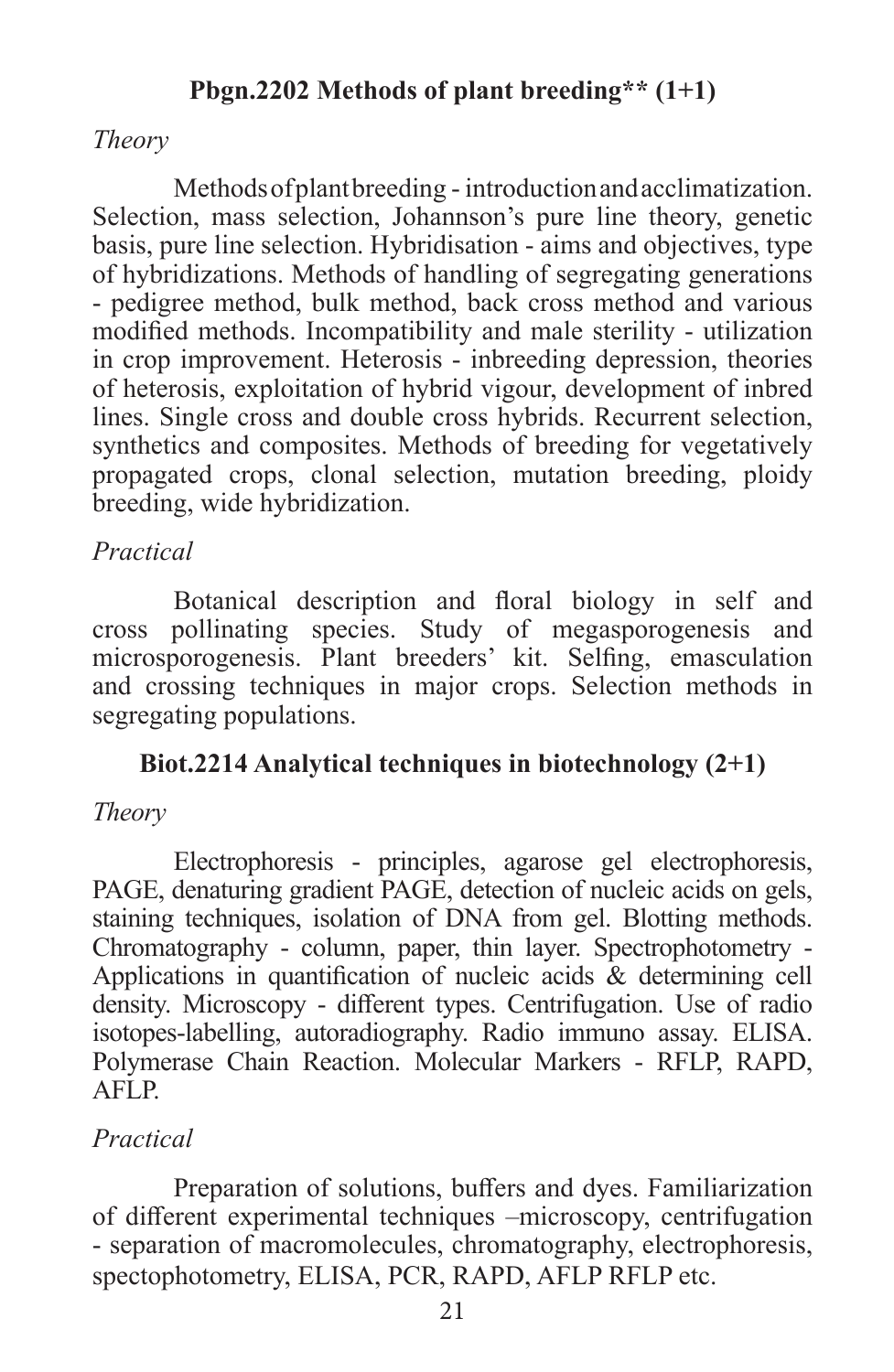# **Pbgn.2202 Methods of plant breeding\*\* (1+1)**

## *Theory*

Methods of plant breeding - introduction and acclimatization. Selection, mass selection, Johannson's pure line theory, genetic basis, pure line selection. Hybridisation - aims and objectives, type of hybridizations. Methods of handling of segregating generations - pedigree method, bulk method, back cross method and various modified methods. Incompatibility and male sterility - utilization in crop improvement. Heterosis - inbreeding depression, theories of heterosis, exploitation of hybrid vigour, development of inbred lines. Single cross and double cross hybrids. Recurrent selection, synthetics and composites. Methods of breeding for vegetatively propagated crops, clonal selection, mutation breeding, ploidy breeding, wide hybridization.

# *Practical*

 Botanical description and floral biology in self and cross pollinating species. Study of megasporogenesis and microsporogenesis. Plant breeders' kit. Selfing, emasculation and crossing techniques in major crops. Selection methods in segregating populations.

# **Biot.2214 Analytical techniques in biotechnology (2+1)**

## *Theory*

Electrophoresis - principles, agarose gel electrophoresis, PAGE, denaturing gradient PAGE, detection of nucleic acids on gels, staining techniques, isolation of DNA from gel. Blotting methods. Chromatography - column, paper, thin layer. Spectrophotometry - Applications in quantification of nucleic acids & determining cell density. Microscopy - different types. Centrifugation. Use of radio isotopes-labelling, autoradiography. Radio immuno assay. ELISA. Polymerase Chain Reaction. Molecular Markers - RFLP, RAPD, AFLP.

# *Practical*

 Preparation of solutions, buffers and dyes. Familiarization of different experimental techniques –microscopy, centrifugation - separation of macromolecules, chromatography, electrophoresis, spectophotometry, ELISA, PCR, RAPD, AFLP RFLP etc.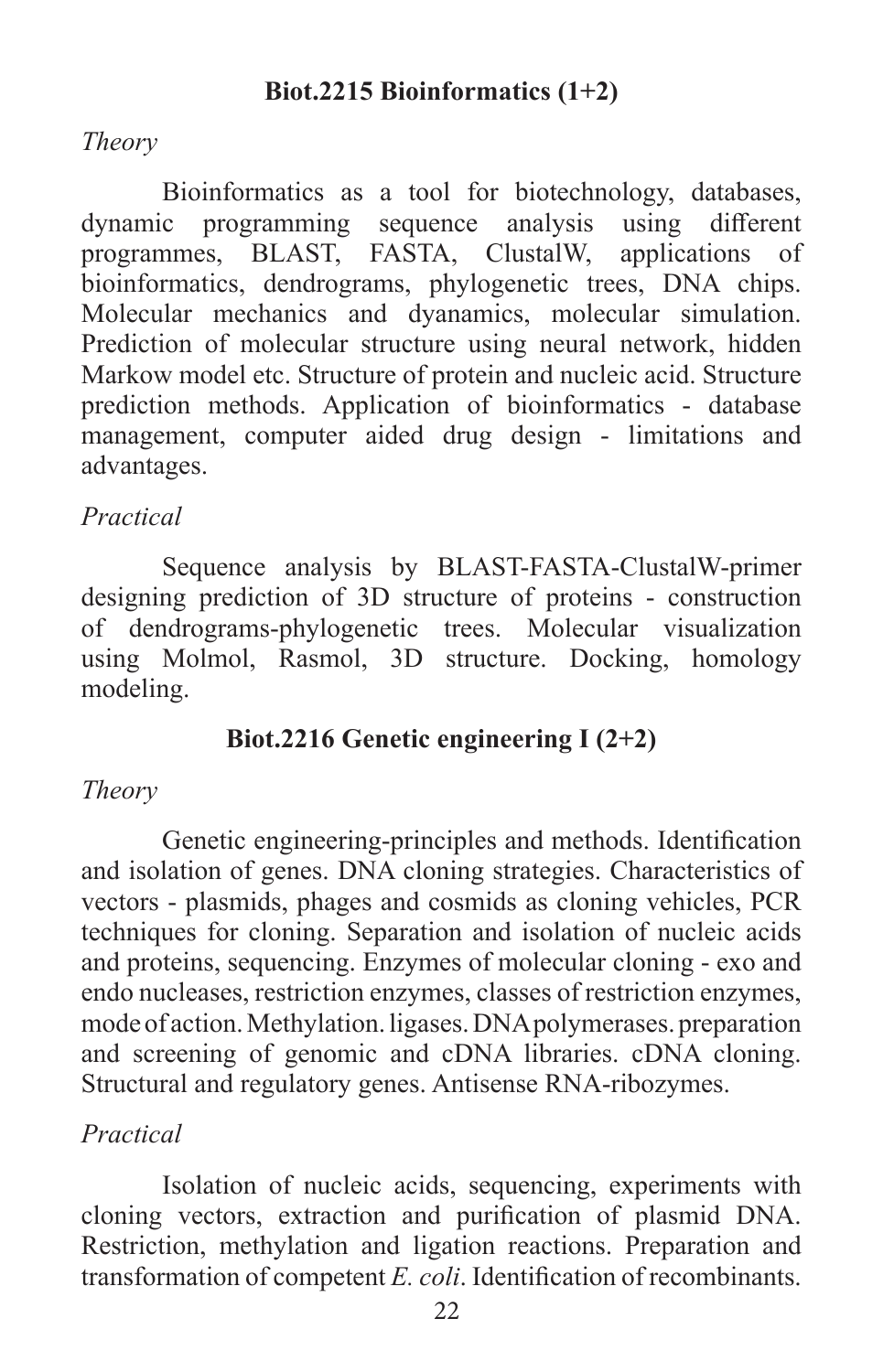## **Biot.2215 Bioinformatics (1+2)**

#### *Theory*

Bioinformatics as a tool for biotechnology, databases, dynamic programming sequence analysis using different programmes, BLAST, FASTA, ClustalW, applications of bioinformatics, dendrograms, phylogenetic trees, DNA chips. Molecular mechanics and dyanamics, molecular simulation. Prediction of molecular structure using neural network, hidden Markow model etc. Structure of protein and nucleic acid. Structure prediction methods. Application of bioinformatics - database management, computer aided drug design - limitations and advantages.

# *Practical*

Sequence analysis by BLAST-FASTA-ClustalW-primer designing prediction of 3D structure of proteins - construction of dendrograms-phylogenetic trees. Molecular visualization using Molmol, Rasmol, 3D structure. Docking, homology modeling.

# **Biot.2216 Genetic engineering I (2+2)**

## *Theory*

 Genetic engineering-principles and methods. Identification and isolation of genes. DNA cloning strategies. Characteristics of vectors - plasmids, phages and cosmids as cloning vehicles, PCR techniques for cloning. Separation and isolation of nucleic acids and proteins, sequencing. Enzymes of molecular cloning - exo and endo nucleases, restriction enzymes, classes of restriction enzymes, mode of action. Methylation. ligases. DNA polymerases. preparation and screening of genomic and cDNA libraries. cDNA cloning. Structural and regulatory genes. Antisense RNA-ribozymes.

# *Practical*

Isolation of nucleic acids, sequencing, experiments with cloning vectors, extraction and purification of plasmid DNA. Restriction, methylation and ligation reactions. Preparation and transformation of competent *E. coli*. Identification of recombinants.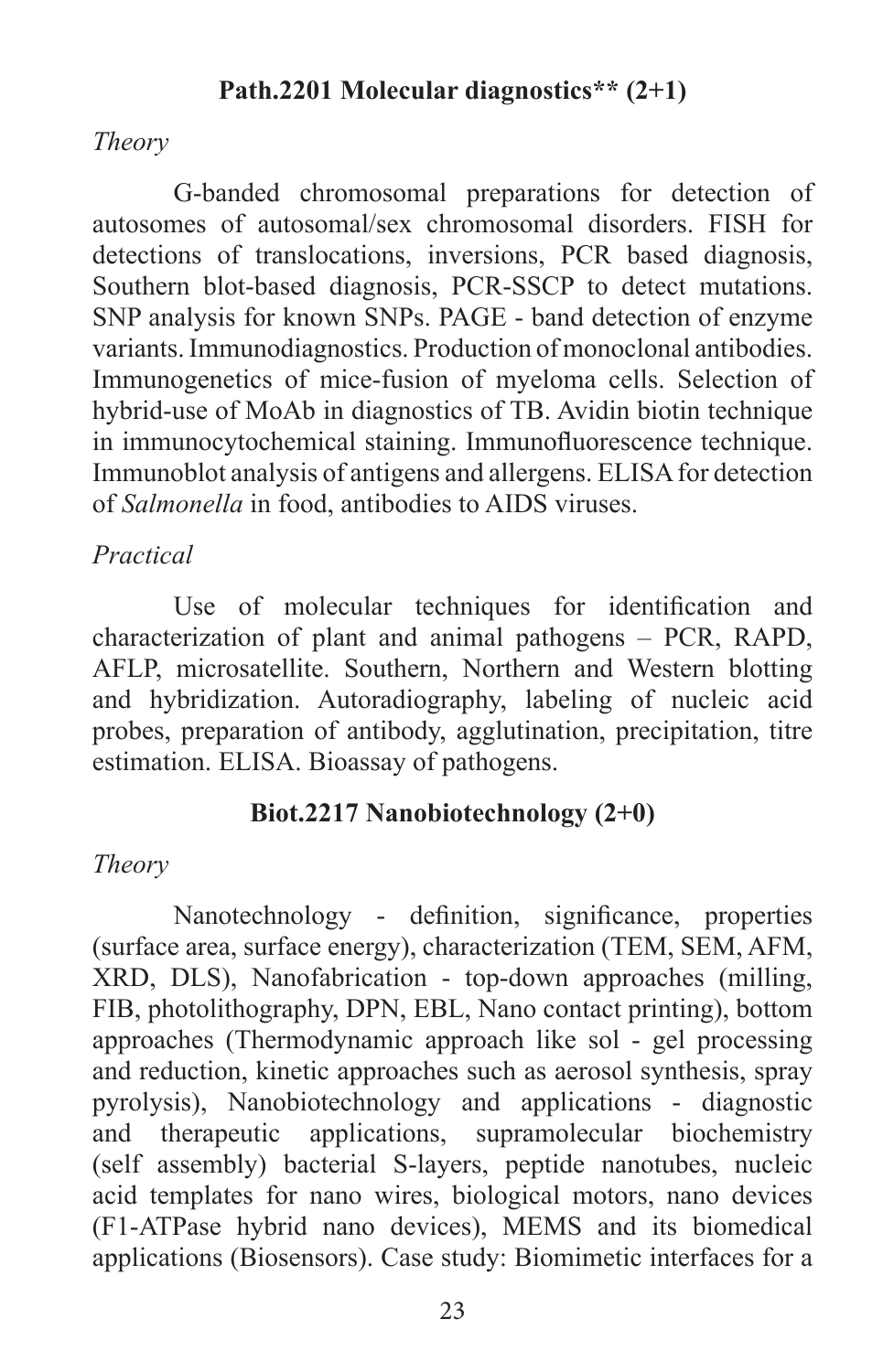## **Path.2201 Molecular diagnostics\*\* (2+1)**

#### *Theory*

G-banded chromosomal preparations for detection of autosomes of autosomal/sex chromosomal disorders. FISH for detections of translocations, inversions, PCR based diagnosis, Southern blot-based diagnosis, PCR-SSCP to detect mutations. SNP analysis for known SNPs. PAGE - band detection of enzyme variants. Immunodiagnostics. Production of monoclonal antibodies. Immunogenetics of mice-fusion of myeloma cells. Selection of hybrid-use of MoAb in diagnostics of TB. Avidin biotin technique in immunocytochemical staining. Immunofluorescence technique. Immunoblot analysis of antigens and allergens. ELISA for detection of *Salmonella* in food, antibodies to AIDS viruses.

#### *Practical*

 Use of molecular techniques for identification and characterization of plant and animal pathogens – PCR, RAPD, AFLP, microsatellite. Southern, Northern and Western blotting and hybridization. Autoradiography, labeling of nucleic acid probes, preparation of antibody, agglutination, precipitation, titre estimation. ELISA. Bioassay of pathogens.

#### **Biot.2217 Nanobiotechnology (2+0)**

#### *Theory*

 Nanotechnology - definition, significance, properties (surface area, surface energy), characterization (TEM, SEM, AFM, XRD, DLS), Nanofabrication - top-down approaches (milling, FIB, photolithography, DPN, EBL, Nano contact printing), bottom approaches (Thermodynamic approach like sol - gel processing and reduction, kinetic approaches such as aerosol synthesis, spray pyrolysis), Nanobiotechnology and applications - diagnostic and therapeutic applications, supramolecular biochemistry (self assembly) bacterial S-layers, peptide nanotubes, nucleic acid templates for nano wires, biological motors, nano devices (F1-ATPase hybrid nano devices), MEMS and its biomedical applications (Biosensors). Case study: Biomimetic interfaces for a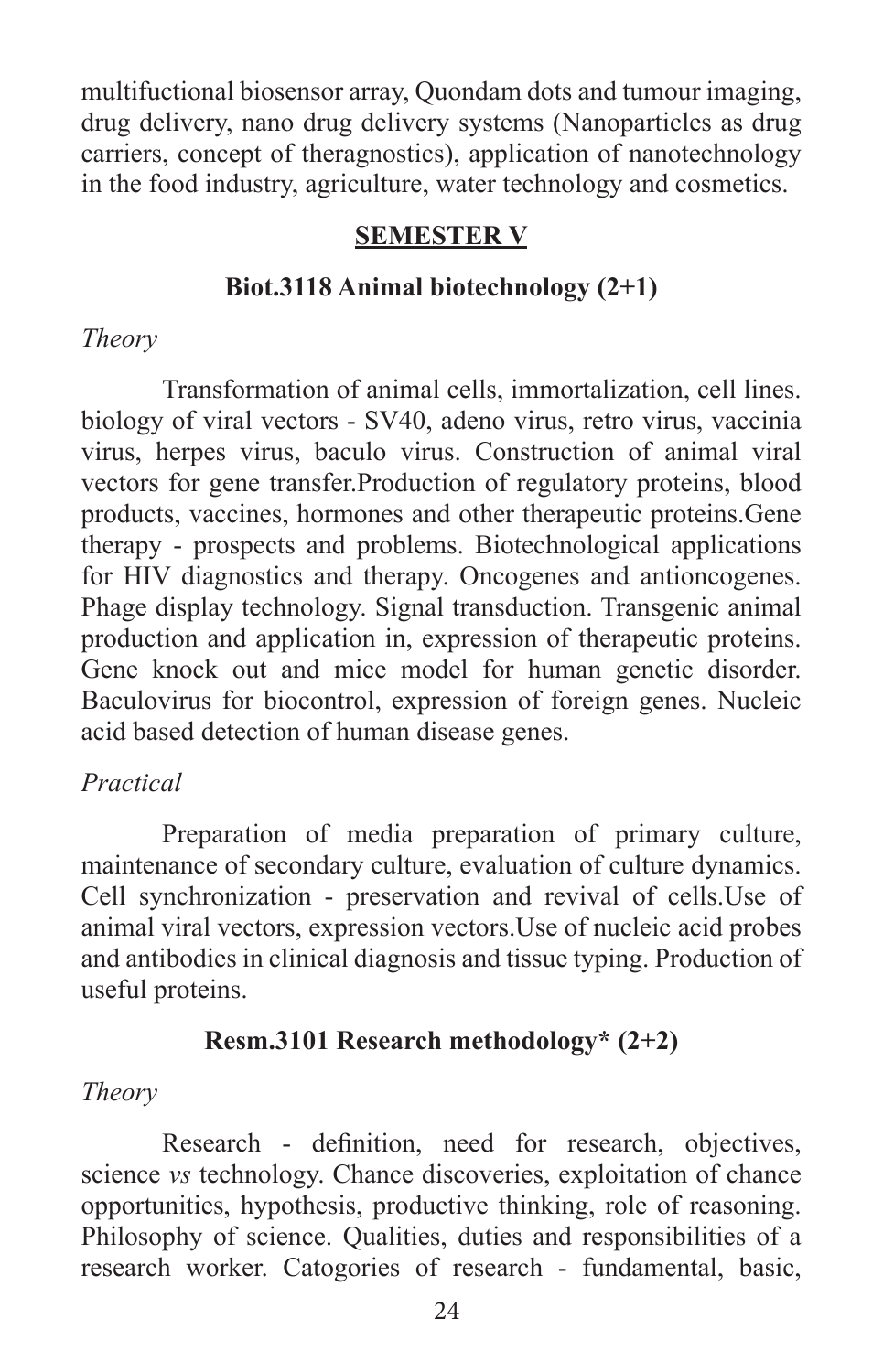multifuctional biosensor array, Quondam dots and tumour imaging, drug delivery, nano drug delivery systems (Nanoparticles as drug carriers, concept of theragnostics), application of nanotechnology in the food industry, agriculture, water technology and cosmetics.

## **SEMESTER V**

## **Biot.3118 Animal biotechnology (2+1)**

## *Theory*

Transformation of animal cells, immortalization, cell lines. biology of viral vectors - SV40, adeno virus, retro virus, vaccinia virus, herpes virus, baculo virus. Construction of animal viral vectors for gene transfer.Production of regulatory proteins, blood products, vaccines, hormones and other therapeutic proteins.Gene therapy - prospects and problems. Biotechnological applications for HIV diagnostics and therapy. Oncogenes and antioncogenes. Phage display technology. Signal transduction. Transgenic animal production and application in, expression of therapeutic proteins. Gene knock out and mice model for human genetic disorder. Baculovirus for biocontrol, expression of foreign genes. Nucleic acid based detection of human disease genes.

# *Practical*

Preparation of media preparation of primary culture, maintenance of secondary culture, evaluation of culture dynamics. Cell synchronization - preservation and revival of cells.Use of animal viral vectors, expression vectors.Use of nucleic acid probes and antibodies in clinical diagnosis and tissue typing. Production of useful proteins.

# **Resm.3101 Research methodology\* (2+2)**

# *Theory*

 Research - definition, need for research, objectives, science *vs* technology. Chance discoveries, exploitation of chance opportunities, hypothesis, productive thinking, role of reasoning. Philosophy of science. Qualities, duties and responsibilities of a research worker. Catogories of research - fundamental, basic,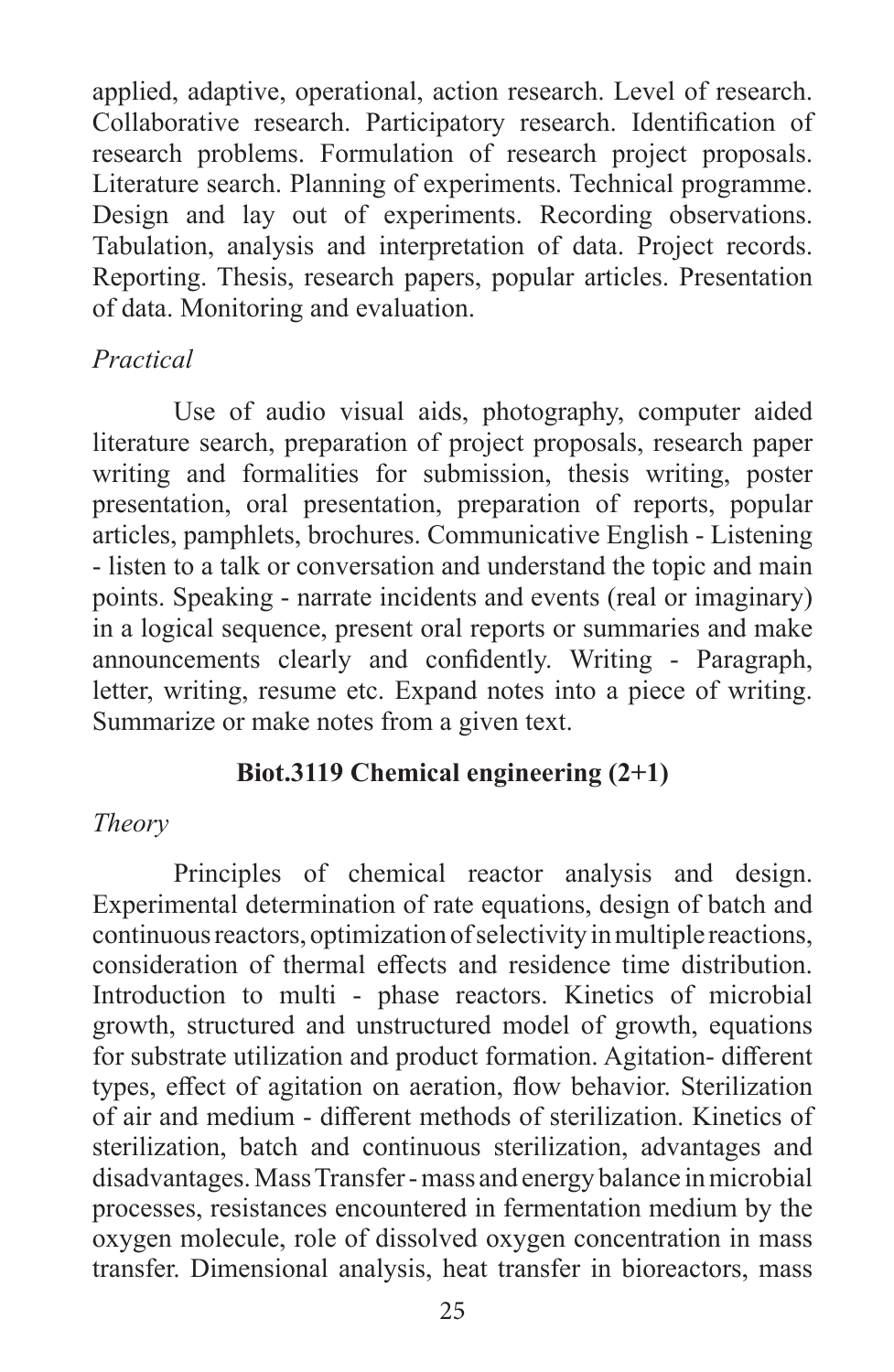applied, adaptive, operational, action research. Level of research. Collaborative research. Participatory research. Identification of research problems. Formulation of research project proposals. Literature search. Planning of experiments. Technical programme. Design and lay out of experiments. Recording observations. Tabulation, analysis and interpretation of data. Project records. Reporting. Thesis, research papers, popular articles. Presentation of data. Monitoring and evaluation.

## *Practical*

Use of audio visual aids, photography, computer aided literature search, preparation of project proposals, research paper writing and formalities for submission, thesis writing, poster presentation, oral presentation, preparation of reports, popular articles, pamphlets, brochures. Communicative English - Listening - listen to a talk or conversation and understand the topic and main points. Speaking - narrate incidents and events (real or imaginary) in a logical sequence, present oral reports or summaries and make announcements clearly and confidently. Writing - Paragraph, letter, writing, resume etc. Expand notes into a piece of writing. Summarize or make notes from a given text.

# **Biot.3119 Chemical engineering (2+1)**

#### *Theory*

Principles of chemical reactor analysis and design. Experimental determination of rate equations, design of batch and continuous reactors, optimization of selectivity in multiple reactions, consideration of thermal effects and residence time distribution. Introduction to multi - phase reactors. Kinetics of microbial growth, structured and unstructured model of growth, equations for substrate utilization and product formation. Agitation- different types, effect of agitation on aeration, flow behavior. Sterilization of air and medium - different methods of sterilization. Kinetics of sterilization, batch and continuous sterilization, advantages and disadvantages. Mass Transfer - mass and energy balance in microbial processes, resistances encountered in fermentation medium by the oxygen molecule, role of dissolved oxygen concentration in mass transfer. Dimensional analysis, heat transfer in bioreactors, mass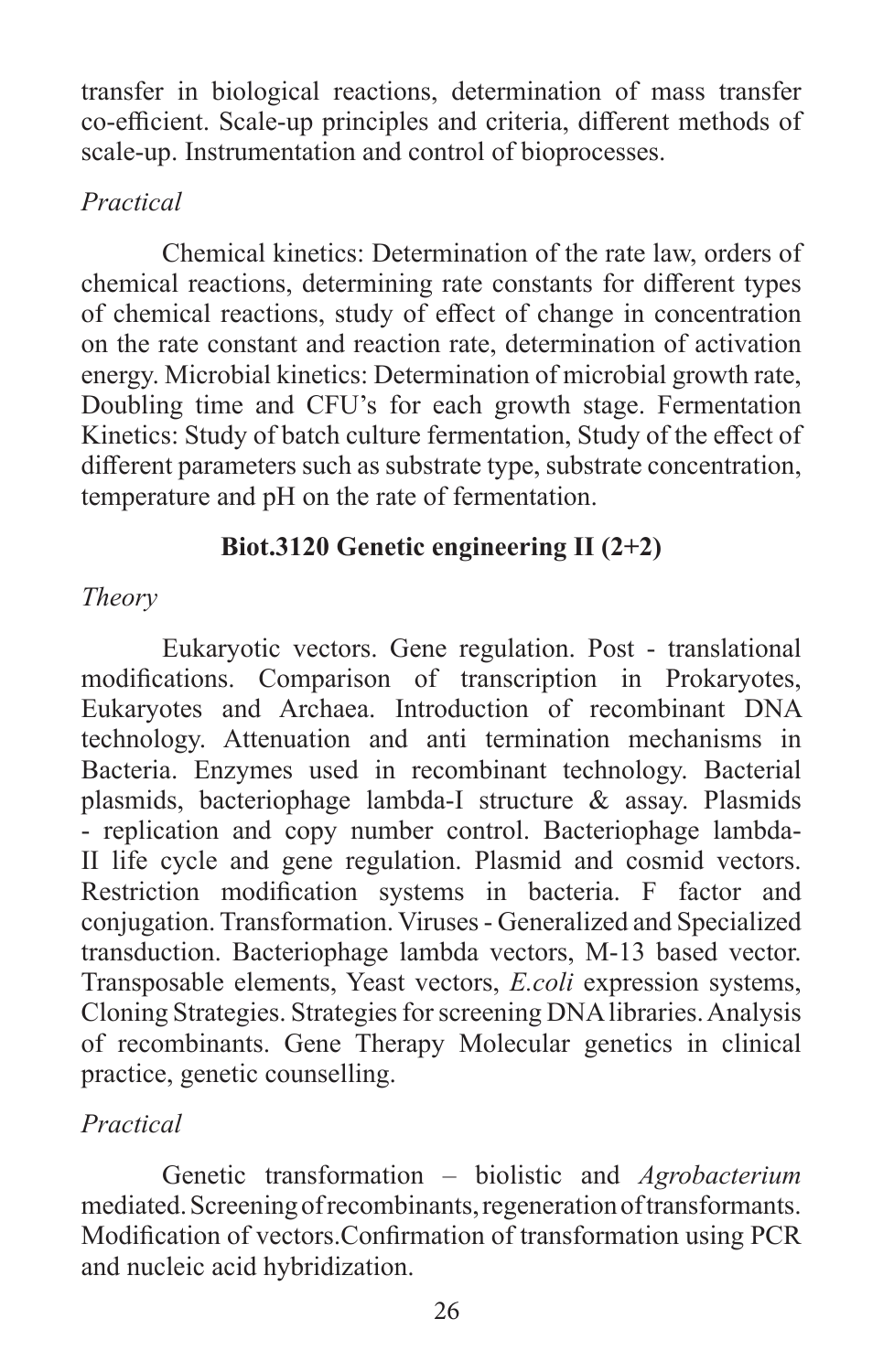transfer in biological reactions, determination of mass transfer co-efficient. Scale-up principles and criteria, different methods of scale-up. Instrumentation and control of bioprocesses.

# *Practical*

Chemical kinetics: Determination of the rate law, orders of chemical reactions, determining rate constants for different types of chemical reactions, study of effect of change in concentration on the rate constant and reaction rate, determination of activation energy. Microbial kinetics: Determination of microbial growth rate, Doubling time and CFU's for each growth stage. Fermentation Kinetics: Study of batch culture fermentation, Study of the effect of different parameters such as substrate type, substrate concentration, temperature and pH on the rate of fermentation.

# **Biot.3120 Genetic engineering II (2+2)**

# *Theory*

Eukaryotic vectors. Gene regulation. Post - translational modifications. Comparison of transcription in Prokaryotes, Eukaryotes and Archaea. Introduction of recombinant DNA technology. Attenuation and anti termination mechanisms in Bacteria. Enzymes used in recombinant technology. Bacterial plasmids, bacteriophage lambda-I structure & assay. Plasmids - replication and copy number control. Bacteriophage lambda-II life cycle and gene regulation. Plasmid and cosmid vectors. Restriction modification systems in bacteria. F factor and conjugation. Transformation. Viruses - Generalized and Specialized transduction. Bacteriophage lambda vectors, M-13 based vector. Transposable elements, Yeast vectors, *E.coli* expression systems, Cloning Strategies. Strategies for screening DNA libraries. Analysis of recombinants. Gene Therapy Molecular genetics in clinical practice, genetic counselling.

# *Practical*

Genetic transformation – biolistic and *Agrobacterium* mediated. Screening of recombinants, regeneration of transformants. Modification of vectors.Confirmation of transformation using PCR and nucleic acid hybridization.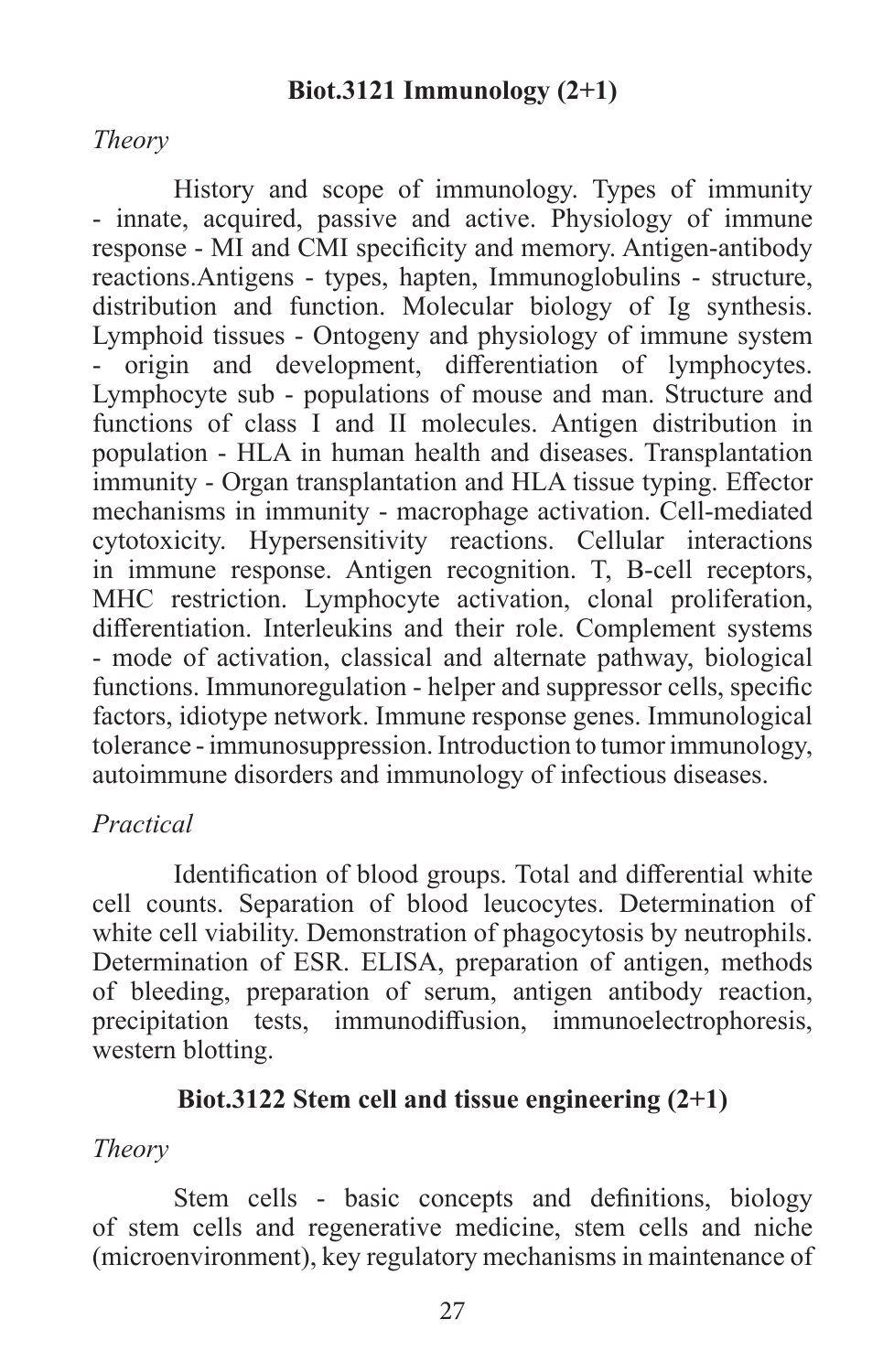## **Biot.3121 Immunology (2+1)**

*Theory*

History and scope of immunology. Types of immunity - innate, acquired, passive and active. Physiology of immune response - MI and CMI specificity and memory. Antigen-antibody reactions.Antigens - types, hapten, Immunoglobulins - structure, distribution and function. Molecular biology of Ig synthesis. Lymphoid tissues - Ontogeny and physiology of immune system - origin and development, differentiation of lymphocytes. Lymphocyte sub - populations of mouse and man. Structure and functions of class I and II molecules. Antigen distribution in population - HLA in human health and diseases. Transplantation immunity - Organ transplantation and HLA tissue typing. Effector mechanisms in immunity - macrophage activation. Cell-mediated cytotoxicity. Hypersensitivity reactions. Cellular interactions in immune response. Antigen recognition. T, B-cell receptors, MHC restriction. Lymphocyte activation, clonal proliferation, differentiation. Interleukins and their role. Complement systems - mode of activation, classical and alternate pathway, biological functions. Immunoregulation - helper and suppressor cells, specific factors, idiotype network. Immune response genes. Immunological tolerance - immunosuppression. Introduction to tumor immunology, autoimmune disorders and immunology of infectious diseases.

#### *Practical*

 Identification of blood groups. Total and differential white cell counts. Separation of blood leucocytes. Determination of white cell viability. Demonstration of phagocytosis by neutrophils. Determination of ESR. ELISA, preparation of antigen, methods of bleeding, preparation of serum, antigen antibody reaction, precipitation tests, immunodiffusion, immunoelectrophoresis, western blotting.

## **Biot.3122 Stem cell and tissue engineering (2+1)**

#### *Theory*

 Stem cells - basic concepts and definitions, biology of stem cells and regenerative medicine, stem cells and niche (microenvironment), key regulatory mechanisms in maintenance of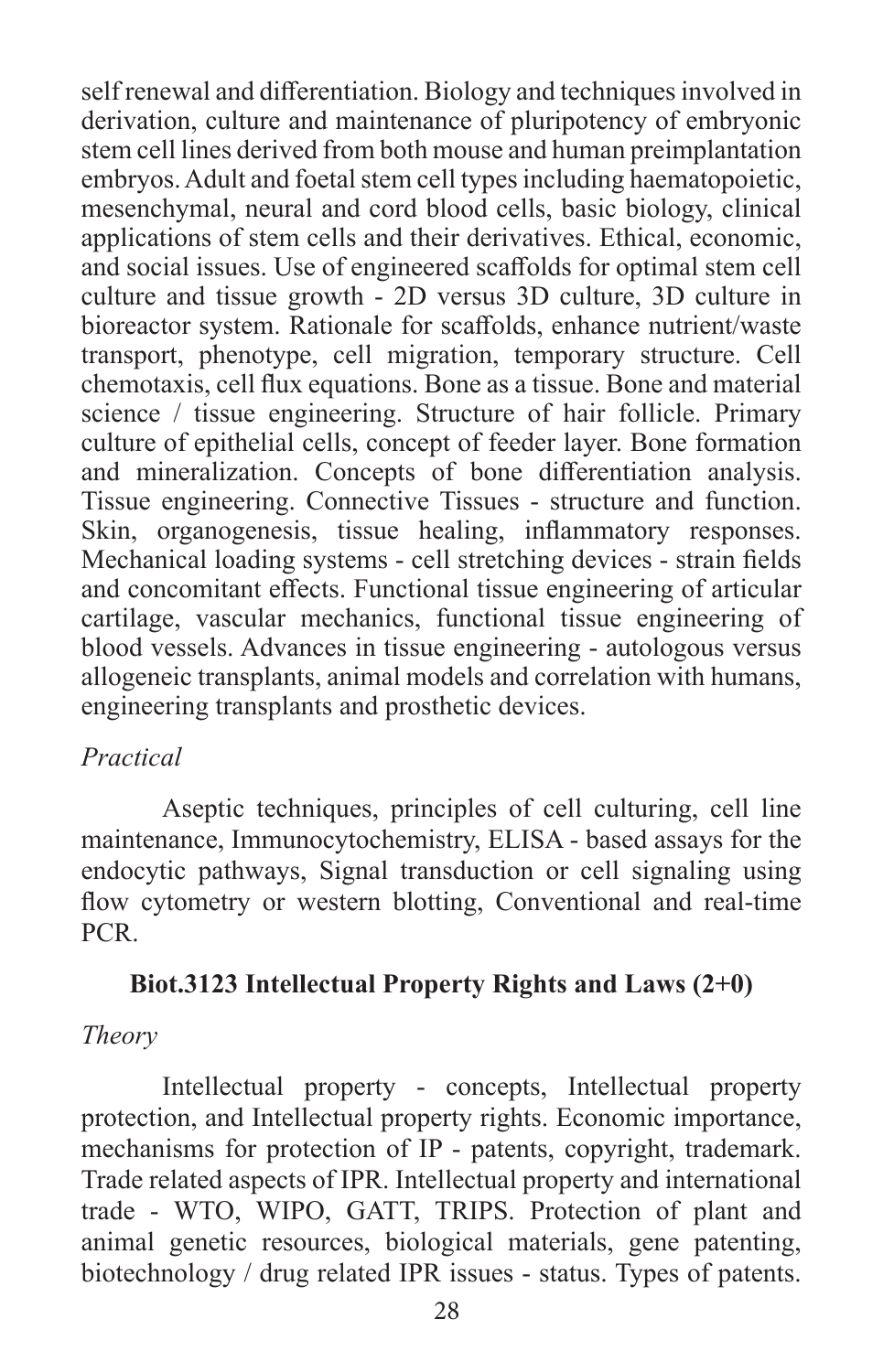self renewal and differentiation. Biology and techniques involved in derivation, culture and maintenance of pluripotency of embryonic stem cell lines derived from both mouse and human preimplantation embryos. Adult and foetal stem cell types including haematopoietic, mesenchymal, neural and cord blood cells, basic biology, clinical applications of stem cells and their derivatives. Ethical, economic, and social issues. Use of engineered scaffolds for optimal stem cell culture and tissue growth - 2D versus 3D culture, 3D culture in bioreactor system. Rationale for scaffolds, enhance nutrient/waste transport, phenotype, cell migration, temporary structure. Cell chemotaxis, cell flux equations. Bone as a tissue. Bone and material science / tissue engineering. Structure of hair follicle. Primary culture of epithelial cells, concept of feeder layer. Bone formation and mineralization. Concepts of bone differentiation analysis. Tissue engineering. Connective Tissues - structure and function. Skin, organogenesis, tissue healing, inflammatory responses. Mechanical loading systems - cell stretching devices - strain fields and concomitant effects. Functional tissue engineering of articular cartilage, vascular mechanics, functional tissue engineering of blood vessels. Advances in tissue engineering - autologous versus allogeneic transplants, animal models and correlation with humans, engineering transplants and prosthetic devices.

#### *Practical*

Aseptic techniques, principles of cell culturing, cell line maintenance, Immunocytochemistry, ELISA - based assays for the endocytic pathways, Signal transduction or cell signaling using flow cytometry or western blotting, Conventional and real-time PCR.

## **Biot.3123 Intellectual Property Rights and Laws (2+0)**

## *Theory*

Intellectual property - concepts, Intellectual property protection, and Intellectual property rights. Economic importance, mechanisms for protection of IP - patents, copyright, trademark. Trade related aspects of IPR. Intellectual property and international trade - WTO, WIPO, GATT, TRIPS. Protection of plant and animal genetic resources, biological materials, gene patenting, biotechnology / drug related IPR issues - status. Types of patents.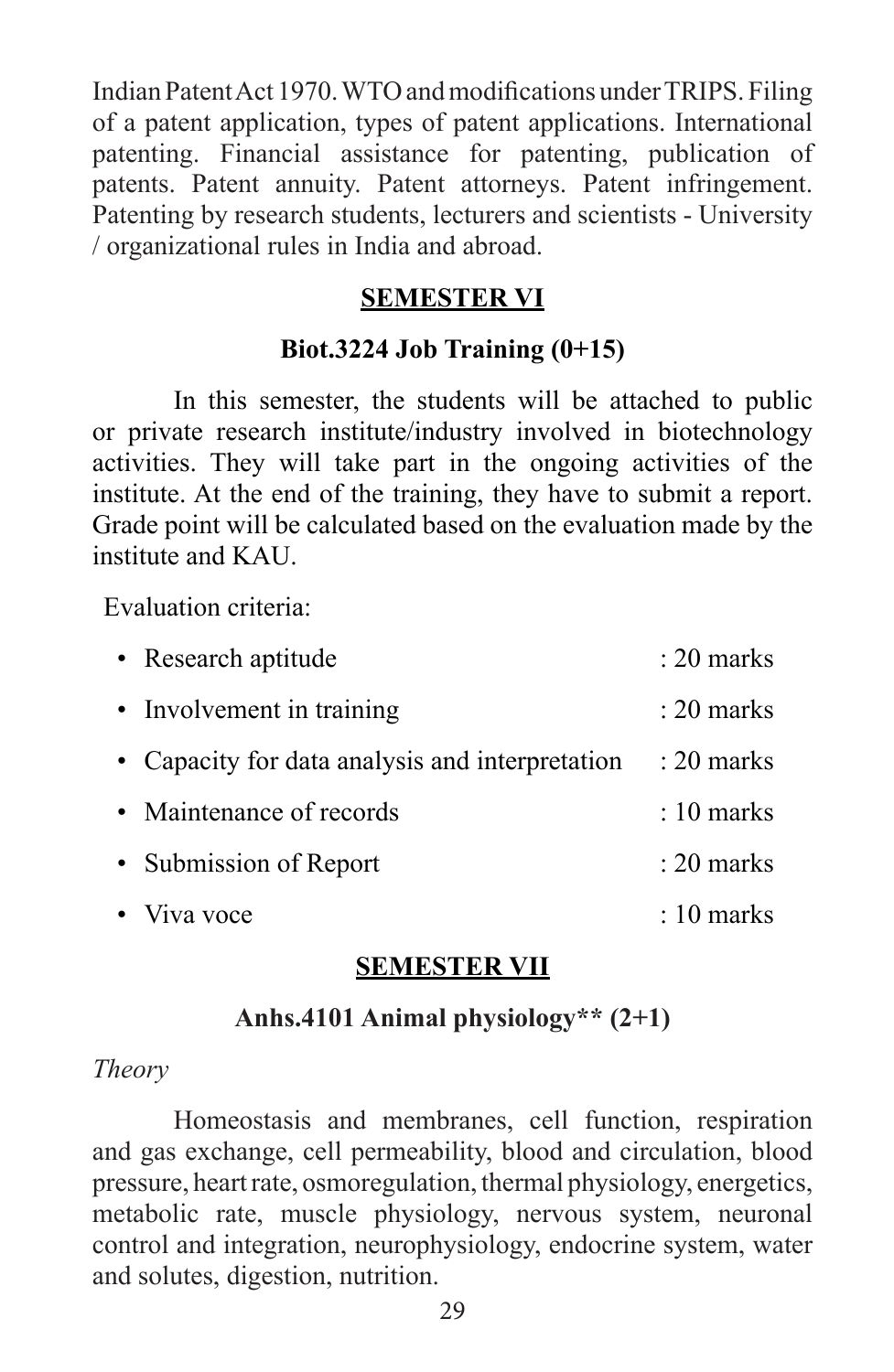IndianPatentAct 1970.WTOandmodifications underTRIPS.Filing of a patent application, types of patent applications. International patenting. Financial assistance for patenting, publication of patents. Patent annuity. Patent attorneys. Patent infringement. Patenting by research students, lecturers and scientists - University / organizational rules in India and abroad.

## **SEMESTER VI**

## **Biot.3224 Job Training (0+15)**

In this semester, the students will be attached to public or private research institute/industry involved in biotechnology activities. They will take part in the ongoing activities of the institute. At the end of the training, they have to submit a report. Grade point will be calculated based on the evaluation made by the institute and KAU.

Evaluation criteria:

| • Research aptitude                             | $: 20$ marks |
|-------------------------------------------------|--------------|
| • Involvement in training                       | $: 20$ marks |
| • Capacity for data analysis and interpretation | $: 20$ marks |
| • Maintenance of records                        | $: 10$ marks |
| • Submission of Report                          | $: 20$ marks |
| • Viva voce                                     | $: 10$ marks |

## **SEMESTER VII**

## **Anhs.4101 Animal physiology\*\* (2+1)**

#### *Theory*

Homeostasis and membranes, cell function, respiration and gas exchange, cell permeability, blood and circulation, blood pressure, heart rate, osmoregulation, thermal physiology, energetics, metabolic rate, muscle physiology, nervous system, neuronal control and integration, neurophysiology, endocrine system, water and solutes, digestion, nutrition.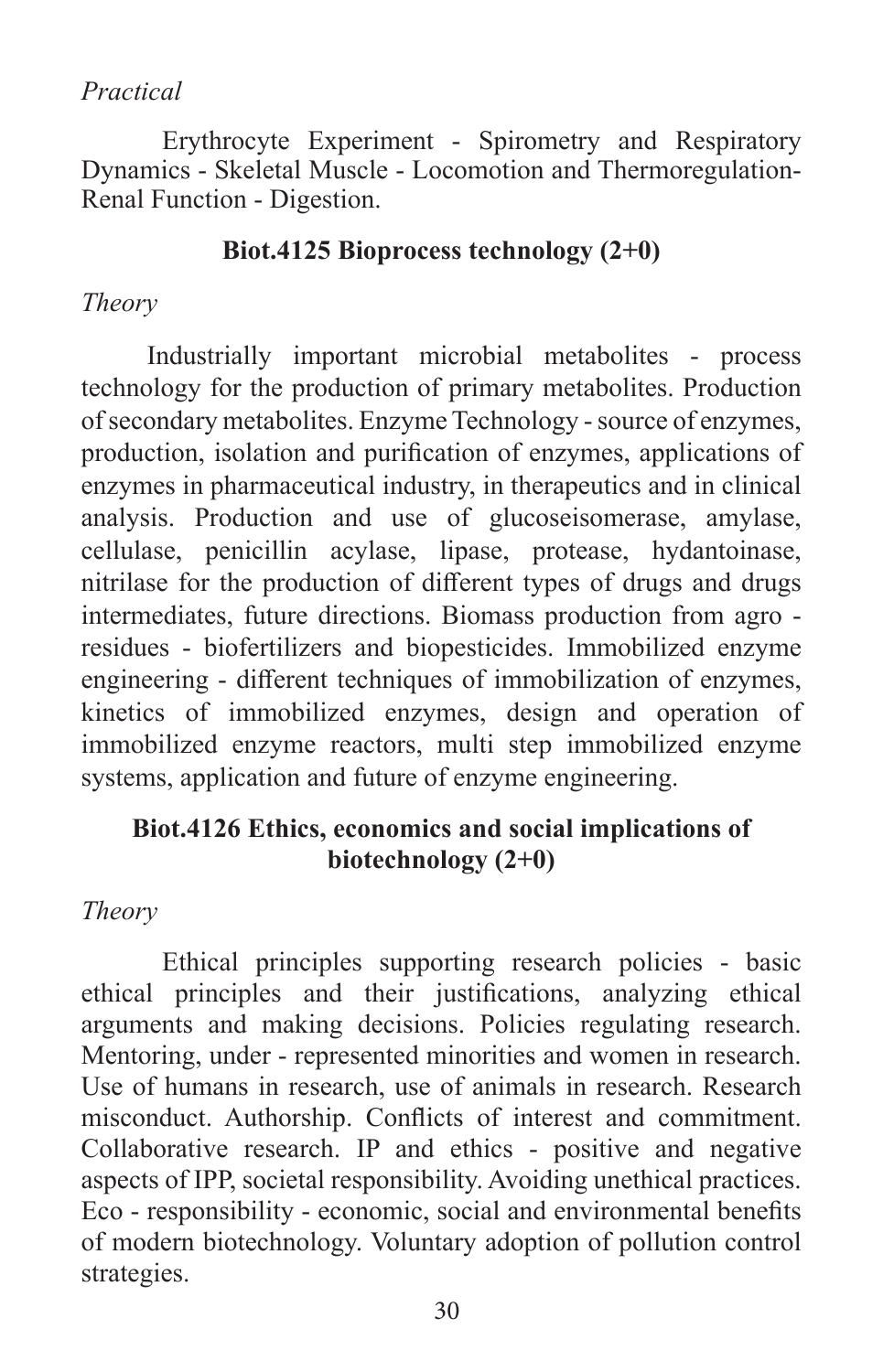# *Practical*

Erythrocyte Experiment - Spirometry and Respiratory Dynamics - Skeletal Muscle - Locomotion and Thermoregulation-Renal Function - Digestion.

## **Biot.4125 Bioprocess technology (2+0)**

## *Theory*

Industrially important microbial metabolites - process technology for the production of primary metabolites. Production of secondary metabolites. Enzyme Technology - source of enzymes, production, isolation and purification of enzymes, applications of enzymes in pharmaceutical industry, in therapeutics and in clinical analysis. Production and use of glucoseisomerase, amylase, cellulase, penicillin acylase, lipase, protease, hydantoinase, nitrilase for the production of different types of drugs and drugs intermediates, future directions. Biomass production from agro residues - biofertilizers and biopesticides. Immobilized enzyme engineering - different techniques of immobilization of enzymes, kinetics of immobilized enzymes, design and operation of immobilized enzyme reactors, multi step immobilized enzyme systems, application and future of enzyme engineering.

# **Biot.4126 Ethics, economics and social implications of biotechnology (2+0)**

*Theory*

Ethical principles supporting research policies - basic ethical principles and their justifications, analyzing ethical arguments and making decisions. Policies regulating research. Mentoring, under - represented minorities and women in research. Use of humans in research, use of animals in research. Research misconduct. Authorship. Conflicts of interest and commitment. Collaborative research. IP and ethics - positive and negative aspects of IPP, societal responsibility. Avoiding unethical practices. Eco - responsibility - economic, social and environmental benefits of modern biotechnology. Voluntary adoption of pollution control strategies.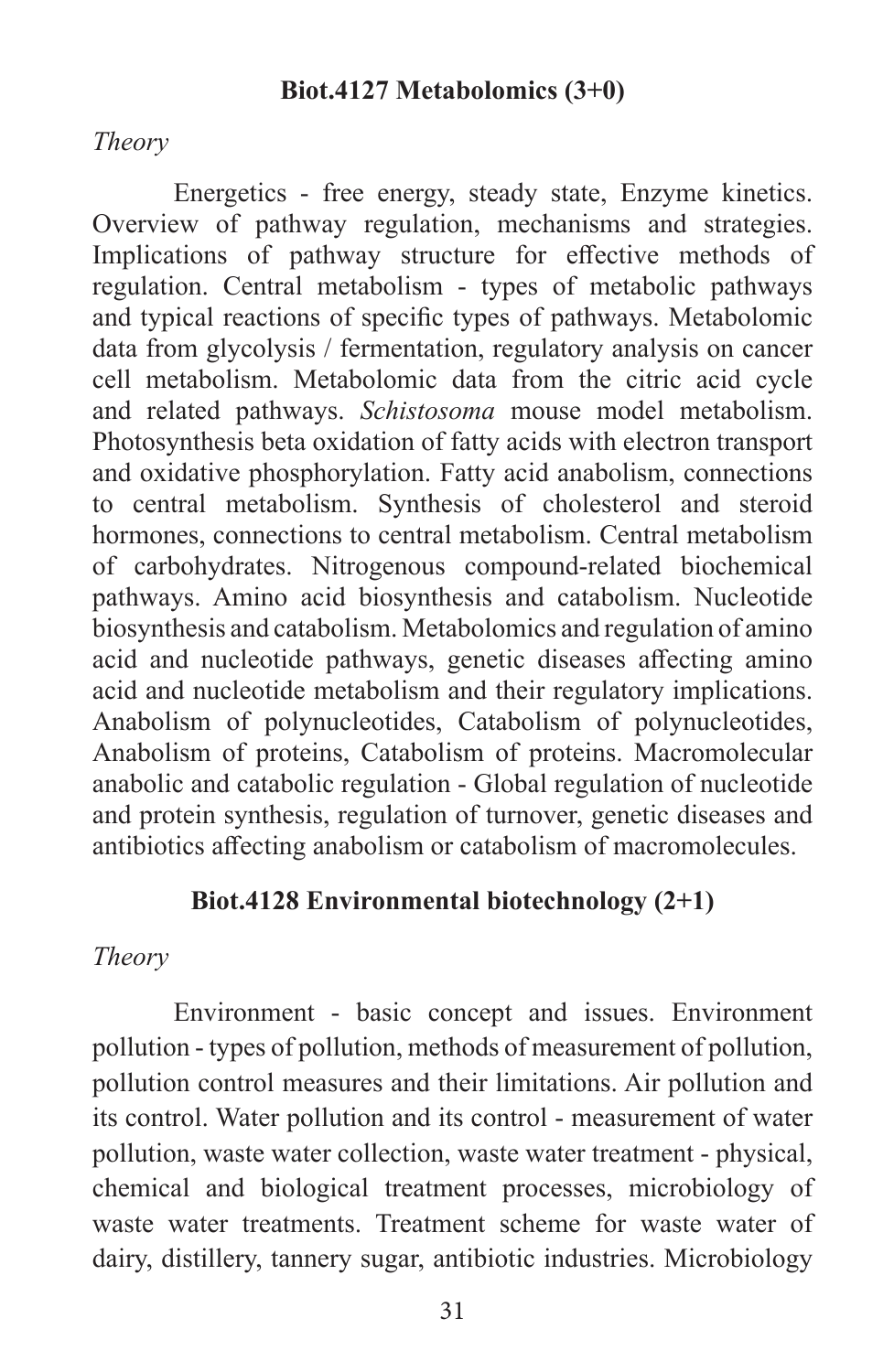#### **Biot.4127 Metabolomics (3+0)**

#### *Theory*

Energetics - free energy, steady state, Enzyme kinetics. Overview of pathway regulation, mechanisms and strategies. Implications of pathway structure for effective methods of regulation. Central metabolism - types of metabolic pathways and typical reactions of specific types of pathways. Metabolomic data from glycolysis / fermentation, regulatory analysis on cancer cell metabolism. Metabolomic data from the citric acid cycle and related pathways. *Schistosoma* mouse model metabolism. Photosynthesis beta oxidation of fatty acids with electron transport and oxidative phosphorylation. Fatty acid anabolism, connections to central metabolism. Synthesis of cholesterol and steroid hormones, connections to central metabolism. Central metabolism of carbohydrates. Nitrogenous compound-related biochemical pathways. Amino acid biosynthesis and catabolism. Nucleotide biosynthesis and catabolism. Metabolomics and regulation of amino acid and nucleotide pathways, genetic diseases affecting amino acid and nucleotide metabolism and their regulatory implications. Anabolism of polynucleotides, Catabolism of polynucleotides, Anabolism of proteins, Catabolism of proteins. Macromolecular anabolic and catabolic regulation - Global regulation of nucleotide and protein synthesis, regulation of turnover, genetic diseases and antibiotics affecting anabolism or catabolism of macromolecules.

#### **Biot.4128 Environmental biotechnology (2+1)**

#### *Theory*

Environment - basic concept and issues. Environment pollution - types of pollution, methods of measurement of pollution, pollution control measures and their limitations. Air pollution and its control. Water pollution and its control - measurement of water pollution, waste water collection, waste water treatment - physical, chemical and biological treatment processes, microbiology of waste water treatments. Treatment scheme for waste water of dairy, distillery, tannery sugar, antibiotic industries. Microbiology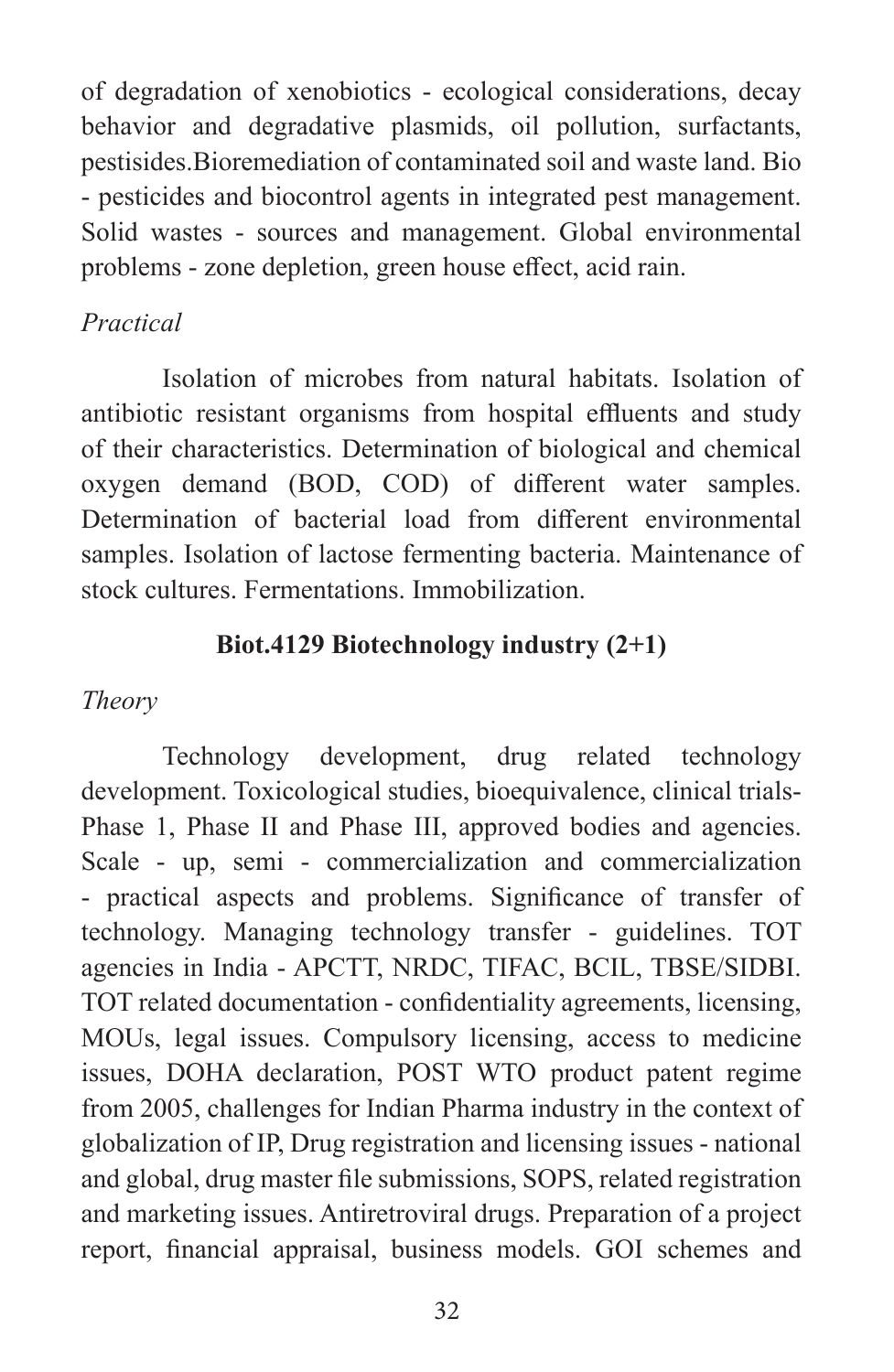of degradation of xenobiotics - ecological considerations, decay behavior and degradative plasmids, oil pollution, surfactants, pestisides.Bioremediation of contaminated soil and waste land. Bio - pesticides and biocontrol agents in integrated pest management. Solid wastes - sources and management. Global environmental problems - zone depletion, green house effect, acid rain.

## *Practical*

Isolation of microbes from natural habitats. Isolation of antibiotic resistant organisms from hospital effluents and study of their characteristics. Determination of biological and chemical oxygen demand (BOD, COD) of different water samples. Determination of bacterial load from different environmental samples. Isolation of lactose fermenting bacteria. Maintenance of stock cultures. Fermentations. Immobilization.

## **Biot.4129 Biotechnology industry (2+1)**

## *Theory*

Technology development, drug related technology development. Toxicological studies, bioequivalence, clinical trials-Phase 1, Phase II and Phase III, approved bodies and agencies. Scale - up, semi - commercialization and commercialization - practical aspects and problems. Significance of transfer of technology. Managing technology transfer - guidelines. TOT agencies in India - APCTT, NRDC, TIFAC, BCIL, TBSE/SIDBI. TOT related documentation - confidentiality agreements, licensing, MOUs, legal issues. Compulsory licensing, access to medicine issues, DOHA declaration, POST WTO product patent regime from 2005, challenges for Indian Pharma industry in the context of globalization of IP, Drug registration and licensing issues - national and global, drug master file submissions, SOPS, related registration and marketing issues. Antiretroviral drugs. Preparation of a project report, financial appraisal, business models. GOI schemes and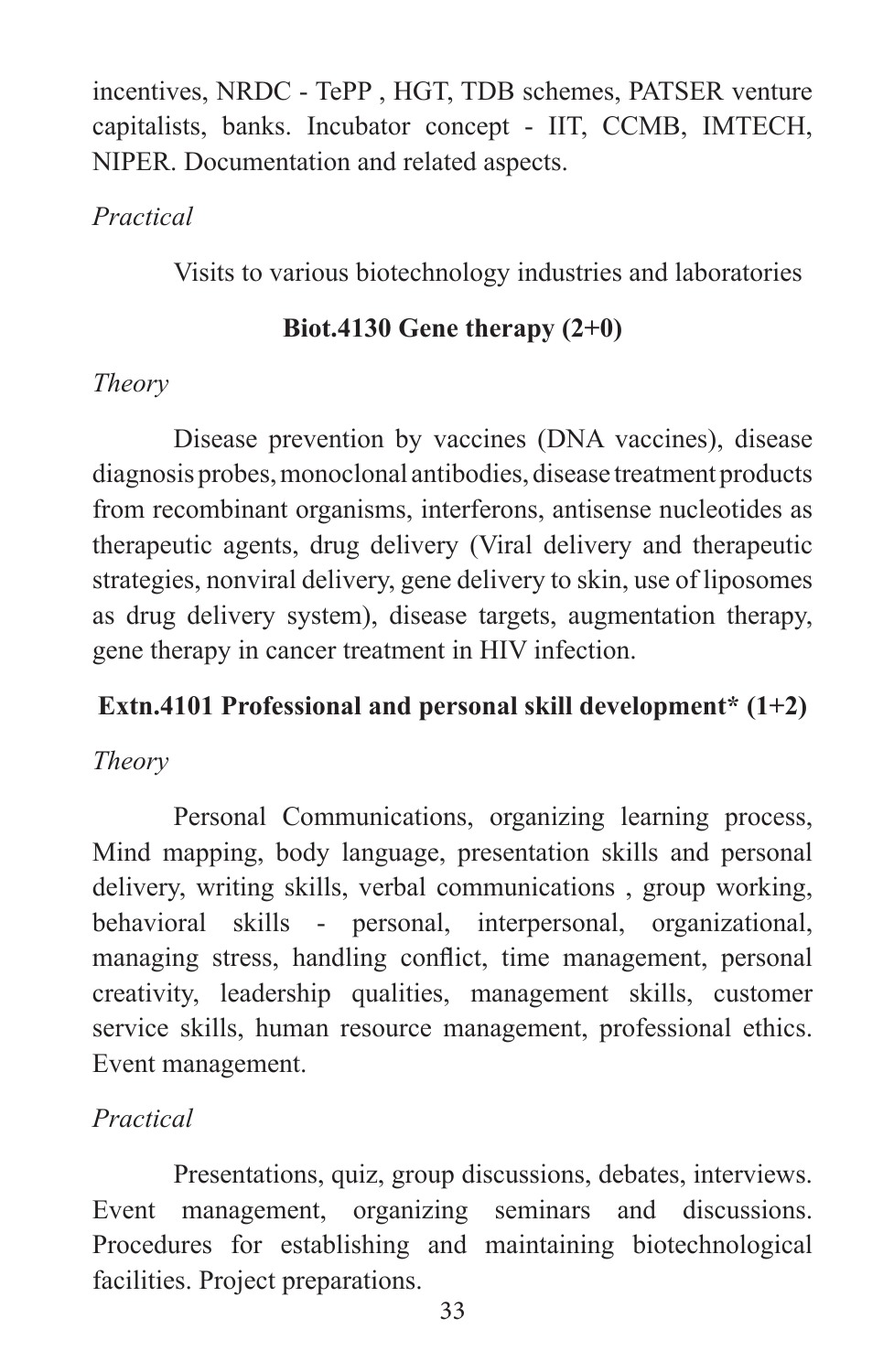incentives, NRDC - TePP , HGT, TDB schemes, PATSER venture capitalists, banks. Incubator concept - IIT, CCMB, IMTECH, NIPER. Documentation and related aspects.

# *Practical*

Visits to various biotechnology industries and laboratories

# **Biot.4130 Gene therapy (2+0)**

# *Theory*

Disease prevention by vaccines (DNA vaccines), disease diagnosis probes, monoclonal antibodies, disease treatment products from recombinant organisms, interferons, antisense nucleotides as therapeutic agents, drug delivery (Viral delivery and therapeutic strategies, nonviral delivery, gene delivery to skin, use of liposomes as drug delivery system), disease targets, augmentation therapy, gene therapy in cancer treatment in HIV infection.

# **Extn.4101 Professional and personal skill development\* (1+2)**

# *Theory*

Personal Communications, organizing learning process, Mind mapping, body language, presentation skills and personal delivery, writing skills, verbal communications , group working, behavioral skills - personal, interpersonal, organizational, managing stress, handling conflict, time management, personal creativity, leadership qualities, management skills, customer service skills, human resource management, professional ethics. Event management.

# *Practical*

Presentations, quiz, group discussions, debates, interviews. Event management, organizing seminars and discussions. Procedures for establishing and maintaining biotechnological facilities. Project preparations.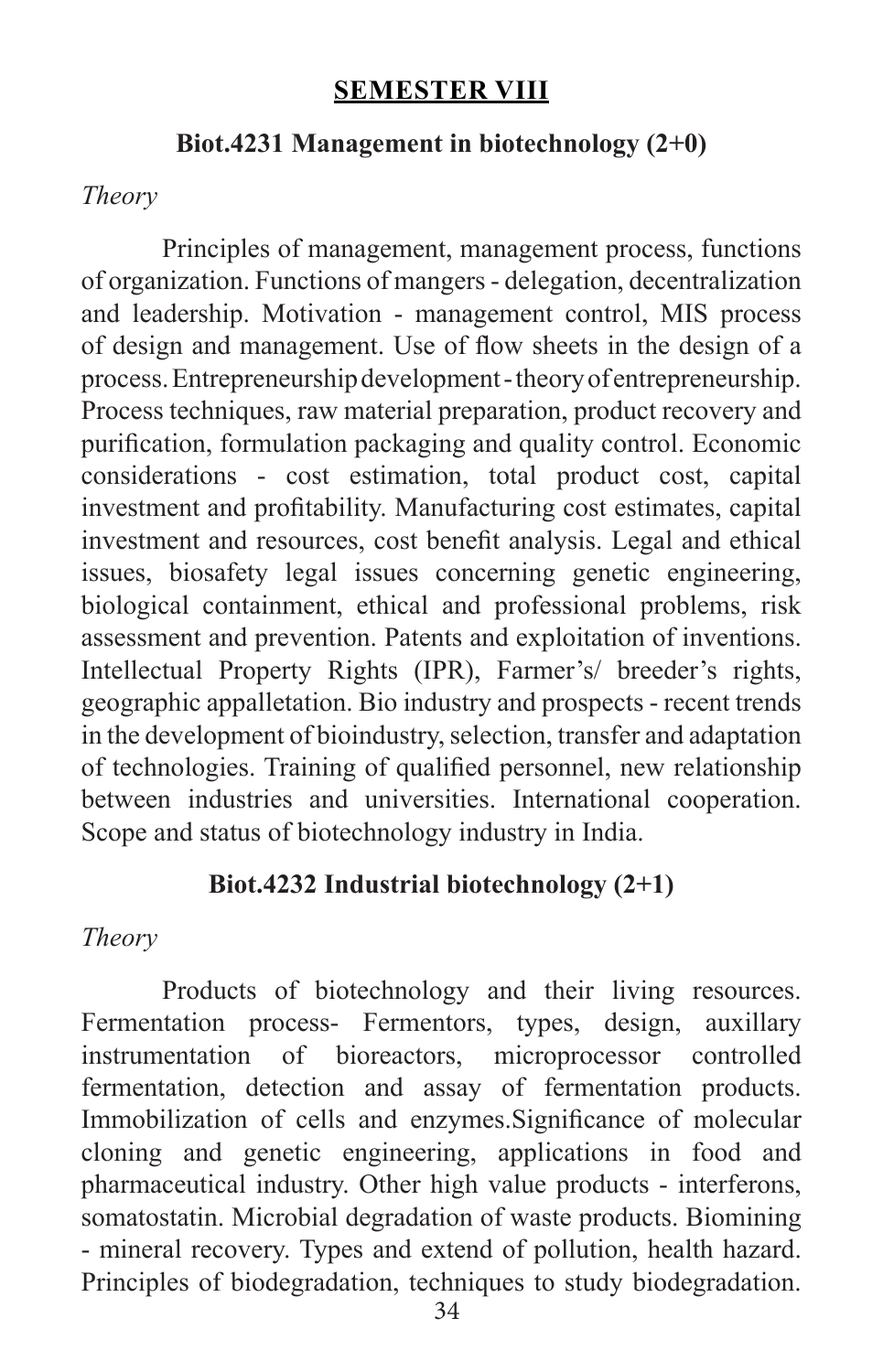## **SEMESTER VIII**

#### **Biot.4231 Management in biotechnology (2+0)**

#### *Theory*

Principles of management, management process, functions of organization. Functions of mangers - delegation, decentralization and leadership. Motivation - management control, MIS process of design and management. Use of flow sheets in the design of a process. Entrepreneurship development - theory of entrepreneurship. Process techniques, raw material preparation, product recovery and purification, formulation packaging and quality control. Economic considerations - cost estimation, total product cost, capital investment and profitability. Manufacturing cost estimates, capital investment and resources, cost benefit analysis. Legal and ethical issues, biosafety legal issues concerning genetic engineering, biological containment, ethical and professional problems, risk assessment and prevention. Patents and exploitation of inventions. Intellectual Property Rights (IPR), Farmer's/ breeder's rights, geographic appalletation. Bio industry and prospects - recent trends in the development of bioindustry, selection, transfer and adaptation of technologies. Training of qualified personnel, new relationship between industries and universities. International cooperation. Scope and status of biotechnology industry in India.

#### **Biot.4232 Industrial biotechnology (2+1)**

#### *Theory*

Products of biotechnology and their living resources. Fermentation process- Fermentors, types, design, auxillary instrumentation of bioreactors, microprocessor controlled fermentation, detection and assay of fermentation products. Immobilization of cells and enzymes.Significance of molecular cloning and genetic engineering, applications in food and pharmaceutical industry. Other high value products - interferons, somatostatin. Microbial degradation of waste products. Biomining - mineral recovery. Types and extend of pollution, health hazard. Principles of biodegradation, techniques to study biodegradation.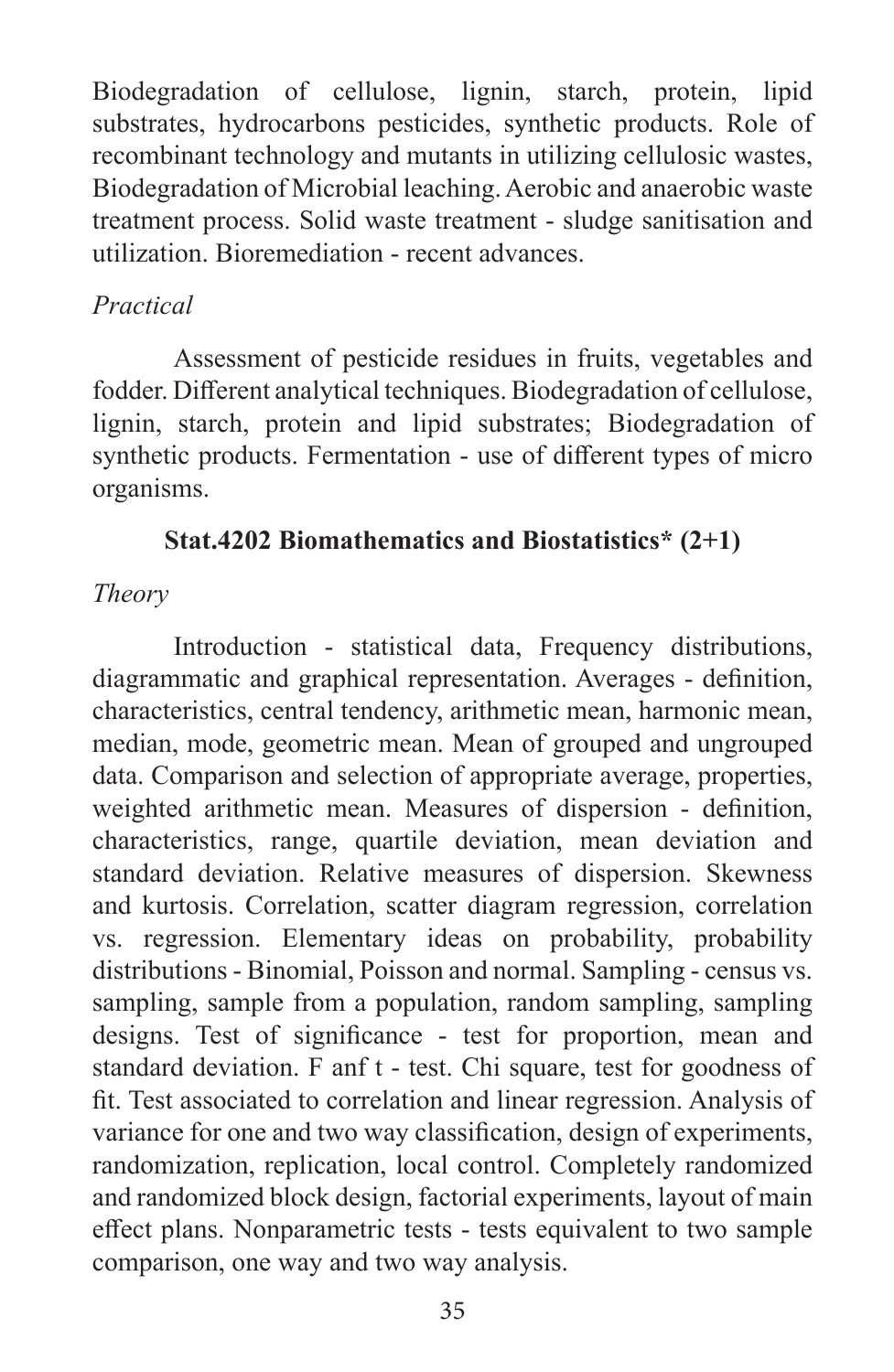Biodegradation of cellulose, lignin, starch, protein, lipid substrates, hydrocarbons pesticides, synthetic products. Role of recombinant technology and mutants in utilizing cellulosic wastes, Biodegradation of Microbial leaching. Aerobic and anaerobic waste treatment process. Solid waste treatment - sludge sanitisation and utilization. Bioremediation - recent advances.

## *Practical*

Assessment of pesticide residues in fruits, vegetables and fodder. Different analytical techniques. Biodegradation of cellulose, lignin, starch, protein and lipid substrates; Biodegradation of synthetic products. Fermentation - use of different types of micro organisms.

# **Stat.4202 Biomathematics and Biostatistics\* (2+1)**

# *Theory*

Introduction - statistical data, Frequency distributions, diagrammatic and graphical representation. Averages - definition, characteristics, central tendency, arithmetic mean, harmonic mean, median, mode, geometric mean. Mean of grouped and ungrouped data. Comparison and selection of appropriate average, properties, weighted arithmetic mean. Measures of dispersion - definition, characteristics, range, quartile deviation, mean deviation and standard deviation. Relative measures of dispersion. Skewness and kurtosis. Correlation, scatter diagram regression, correlation vs. regression. Elementary ideas on probability, probability distributions - Binomial, Poisson and normal. Sampling - census vs. sampling, sample from a population, random sampling, sampling designs. Test of significance - test for proportion, mean and standard deviation. F anf t - test. Chi square, test for goodness of fit. Test associated to correlation and linear regression. Analysis of variance for one and two way classification, design of experiments, randomization, replication, local control. Completely randomized and randomized block design, factorial experiments, layout of main effect plans. Nonparametric tests - tests equivalent to two sample comparison, one way and two way analysis.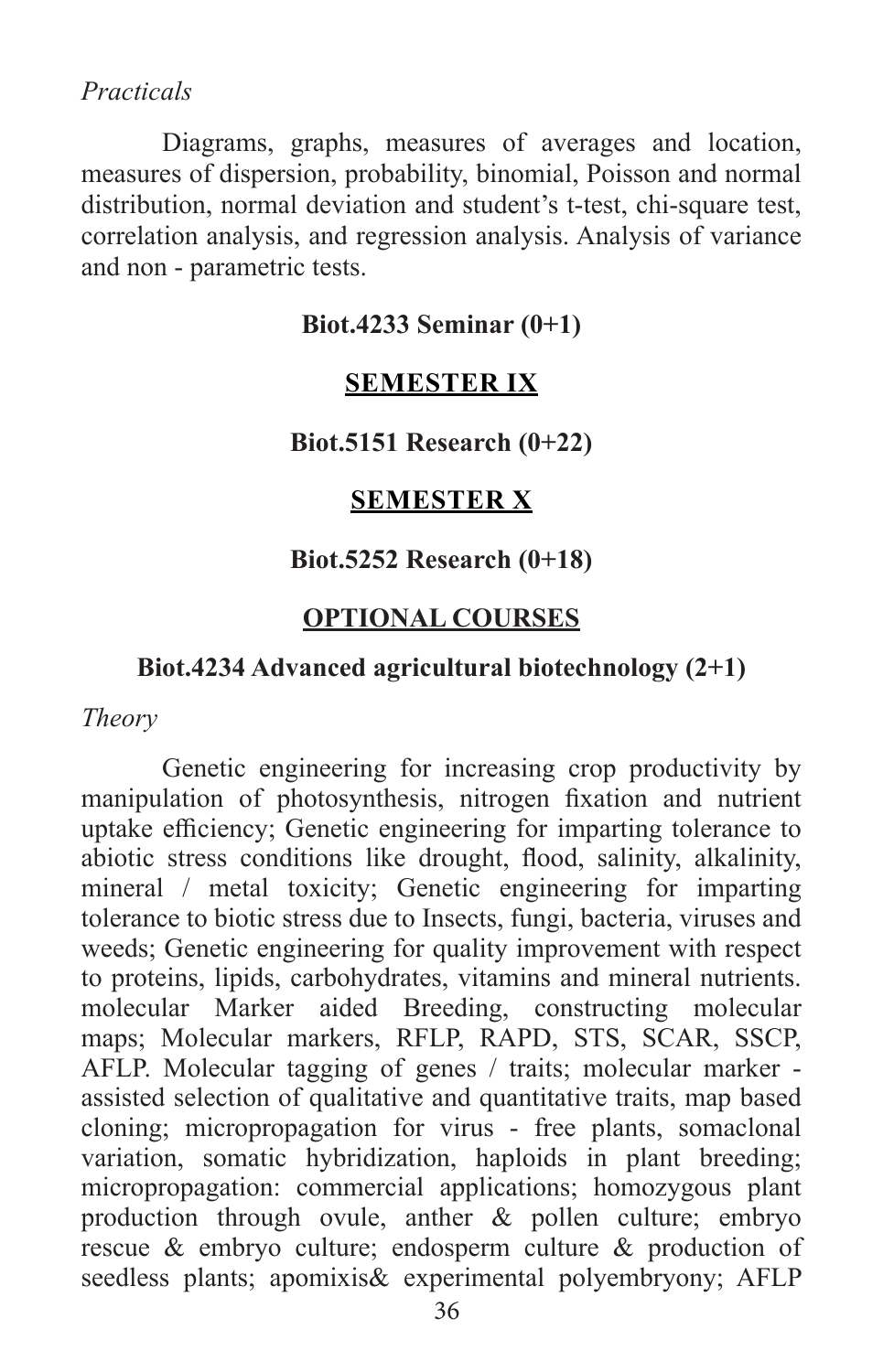## *Practicals*

Diagrams, graphs, measures of averages and location, measures of dispersion, probability, binomial, Poisson and normal distribution, normal deviation and student's t-test, chi-square test, correlation analysis, and regression analysis. Analysis of variance and non - parametric tests.

#### **Biot.4233 Seminar (0+1)**

#### **SEMESTER IX**

#### **Biot.5151 Research (0+22)**

#### **SEMESTER X**

#### **Biot.5252 Research (0+18)**

#### **OPTIONAL COURSES**

## **Biot.4234 Advanced agricultural biotechnology (2+1)**

*Theory*

Genetic engineering for increasing crop productivity by manipulation of photosynthesis, nitrogen fixation and nutrient uptake efficiency; Genetic engineering for imparting tolerance to abiotic stress conditions like drought, flood, salinity, alkalinity, mineral / metal toxicity; Genetic engineering for imparting tolerance to biotic stress due to Insects, fungi, bacteria, viruses and weeds; Genetic engineering for quality improvement with respect to proteins, lipids, carbohydrates, vitamins and mineral nutrients. molecular Marker aided Breeding, constructing molecular maps; Molecular markers, RFLP, RAPD, STS, SCAR, SSCP, AFLP. Molecular tagging of genes / traits; molecular marker assisted selection of qualitative and quantitative traits, map based cloning; micropropagation for virus - free plants, somaclonal variation, somatic hybridization, haploids in plant breeding; micropropagation: commercial applications; homozygous plant production through ovule, anther & pollen culture; embryo rescue & embryo culture; endosperm culture & production of seedless plants; apomixis& experimental polyembryony; AFLP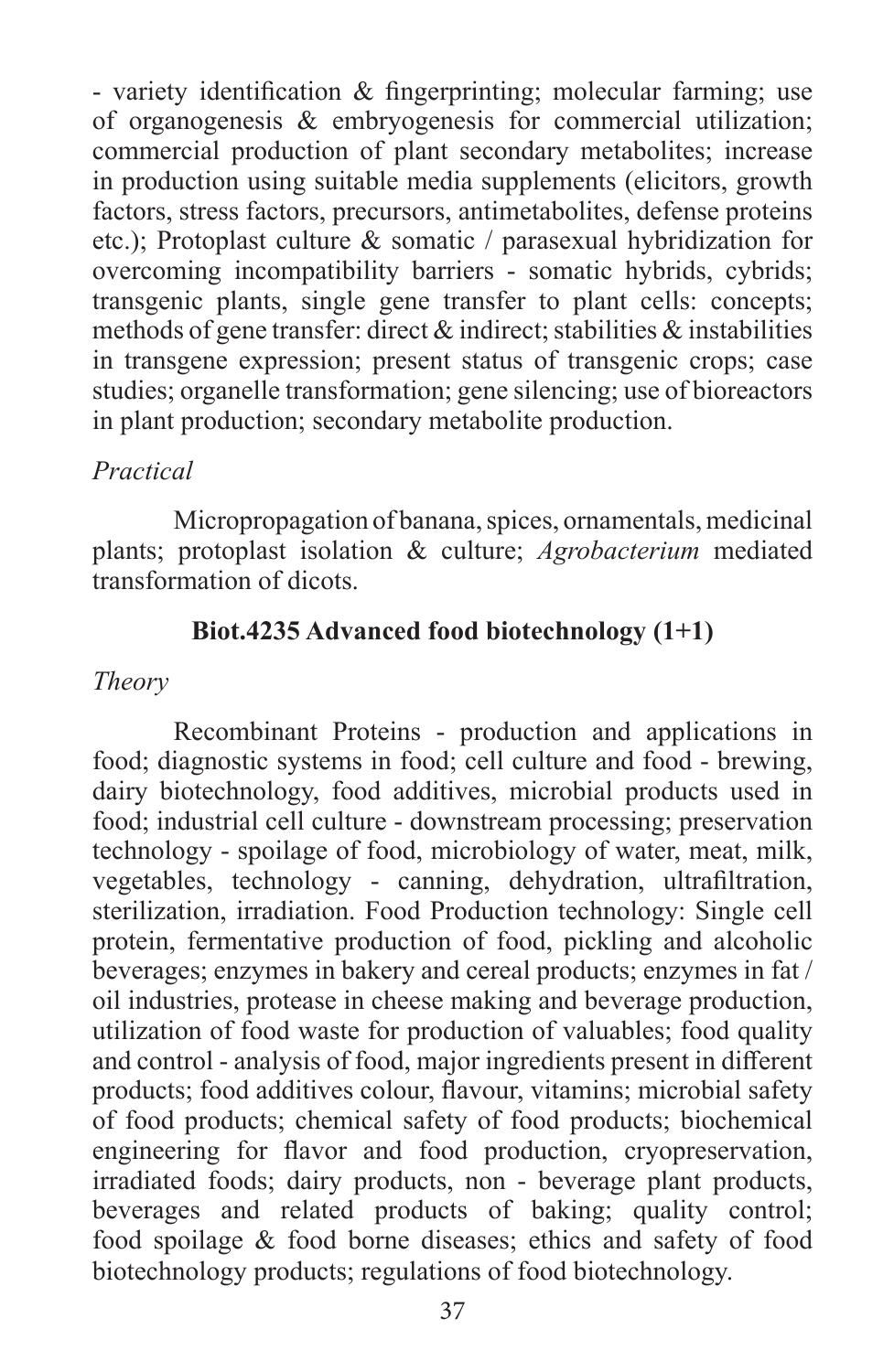- variety identification & fingerprinting; molecular farming; use of organogenesis & embryogenesis for commercial utilization; commercial production of plant secondary metabolites; increase in production using suitable media supplements (elicitors, growth factors, stress factors, precursors, antimetabolites, defense proteins etc.); Protoplast culture & somatic / parasexual hybridization for overcoming incompatibility barriers - somatic hybrids, cybrids; transgenic plants, single gene transfer to plant cells: concepts; methods of gene transfer: direct & indirect; stabilities & instabilities in transgene expression; present status of transgenic crops; case studies; organelle transformation; gene silencing; use of bioreactors in plant production; secondary metabolite production.

## *Practical*

Micropropagation of banana, spices, ornamentals, medicinal plants; protoplast isolation & culture; *Agrobacterium* mediated transformation of dicots.

## **Biot.4235 Advanced food biotechnology (1+1)**

#### *Theory*

Recombinant Proteins - production and applications in food; diagnostic systems in food; cell culture and food - brewing, dairy biotechnology, food additives, microbial products used in food; industrial cell culture - downstream processing; preservation technology - spoilage of food, microbiology of water, meat, milk, vegetables, technology - canning, dehydration, ultrafiltration, sterilization, irradiation. Food Production technology: Single cell protein, fermentative production of food, pickling and alcoholic beverages; enzymes in bakery and cereal products; enzymes in fat / oil industries, protease in cheese making and beverage production, utilization of food waste for production of valuables; food quality and control - analysis of food, major ingredients present in different products; food additives colour, flavour, vitamins; microbial safety of food products; chemical safety of food products; biochemical engineering for flavor and food production, cryopreservation, irradiated foods; dairy products, non - beverage plant products, beverages and related products of baking; quality control; food spoilage & food borne diseases; ethics and safety of food biotechnology products; regulations of food biotechnology.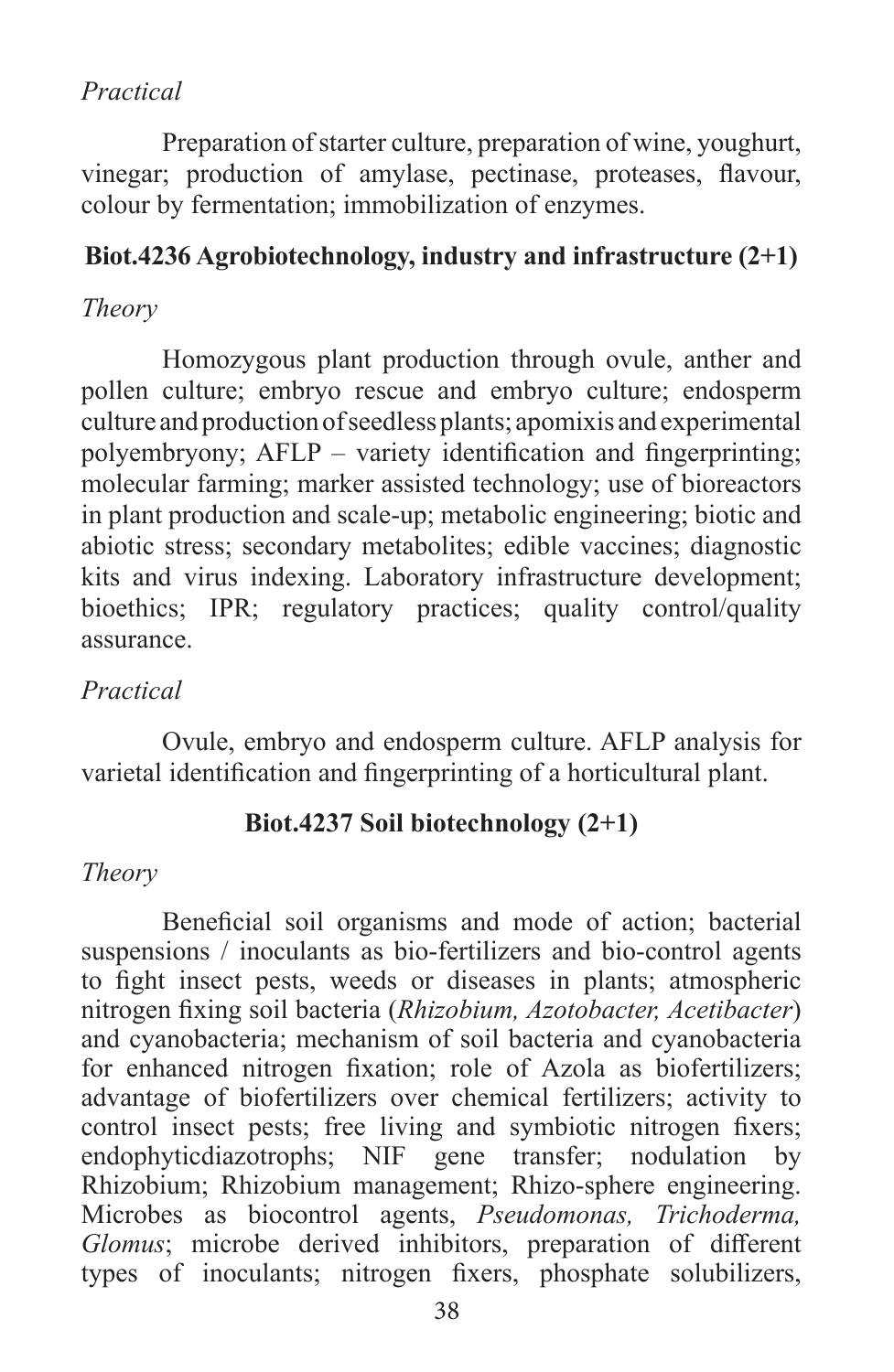# *Practical*

Preparation of starter culture, preparation of wine, youghurt, vinegar; production of amylase, pectinase, proteases, flavour, colour by fermentation; immobilization of enzymes.

# **Biot.4236 Agrobiotechnology, industry and infrastructure (2+1)**

## *Theory*

Homozygous plant production through ovule, anther and pollen culture; embryo rescue and embryo culture; endosperm culture and production of seedless plants; apomixis and experimental polyembryony; AFLP – variety identification and fingerprinting; molecular farming; marker assisted technology; use of bioreactors in plant production and scale-up; metabolic engineering; biotic and abiotic stress; secondary metabolites; edible vaccines; diagnostic kits and virus indexing. Laboratory infrastructure development; bioethics; IPR; regulatory practices; quality control/quality assurance.

## *Practical*

Ovule, embryo and endosperm culture. AFLP analysis for varietal identification and fingerprinting of a horticultural plant.

## **Biot.4237 Soil biotechnology (2+1)**

#### *Theory*

 Beneficial soil organisms and mode of action; bacterial suspensions / inoculants as bio-fertilizers and bio-control agents to fight insect pests, weeds or diseases in plants; atmospheric nitrogen fixing soil bacteria (*Rhizobium, Azotobacter, Acetibacter*) and cyanobacteria; mechanism of soil bacteria and cyanobacteria for enhanced nitrogen fixation; role of Azola as biofertilizers; advantage of biofertilizers over chemical fertilizers; activity to control insect pests; free living and symbiotic nitrogen fixers; endophyticdiazotrophs; NIF gene transfer; nodulation by Rhizobium; Rhizobium management; Rhizo-sphere engineering. Microbes as biocontrol agents, *Pseudomonas, Trichoderma, Glomus*; microbe derived inhibitors, preparation of different types of inoculants; nitrogen fixers, phosphate solubilizers,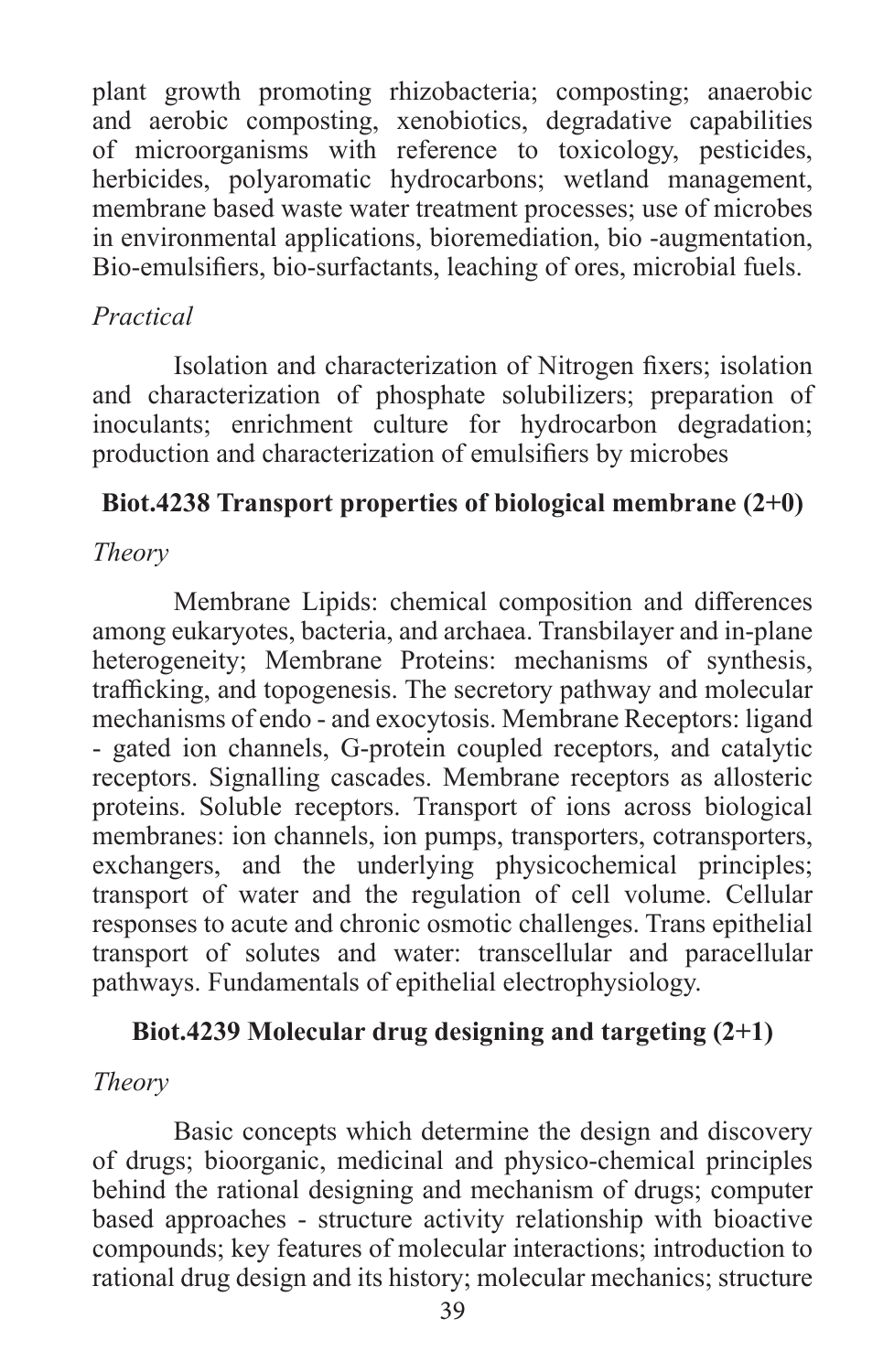plant growth promoting rhizobacteria; composting; anaerobic and aerobic composting, xenobiotics, degradative capabilities of microorganisms with reference to toxicology, pesticides, herbicides, polyaromatic hydrocarbons; wetland management, membrane based waste water treatment processes; use of microbes in environmental applications, bioremediation, bio -augmentation, Bio-emulsifiers, bio-surfactants, leaching of ores, microbial fuels.

## *Practical*

 Isolation and characterization of Nitrogen fixers; isolation and characterization of phosphate solubilizers; preparation of inoculants; enrichment culture for hydrocarbon degradation; production and characterization of emulsifiers by microbes

# **Biot.4238 Transport properties of biological membrane (2+0)**

## *Theory*

 Membrane Lipids: chemical composition and differences among eukaryotes, bacteria, and archaea. Transbilayer and in-plane heterogeneity; Membrane Proteins: mechanisms of synthesis, trafficking, and topogenesis. The secretory pathway and molecular mechanisms of endo - and exocytosis. Membrane Receptors: ligand - gated ion channels, G-protein coupled receptors, and catalytic receptors. Signalling cascades. Membrane receptors as allosteric proteins. Soluble receptors. Transport of ions across biological membranes: ion channels, ion pumps, transporters, cotransporters, exchangers, and the underlying physicochemical principles; transport of water and the regulation of cell volume. Cellular responses to acute and chronic osmotic challenges. Trans epithelial transport of solutes and water: transcellular and paracellular pathways. Fundamentals of epithelial electrophysiology.

## **Biot.4239 Molecular drug designing and targeting (2+1)**

# *Theory*

Basic concepts which determine the design and discovery of drugs; bioorganic, medicinal and physico-chemical principles behind the rational designing and mechanism of drugs; computer based approaches - structure activity relationship with bioactive compounds; key features of molecular interactions; introduction to rational drug design and its history; molecular mechanics; structure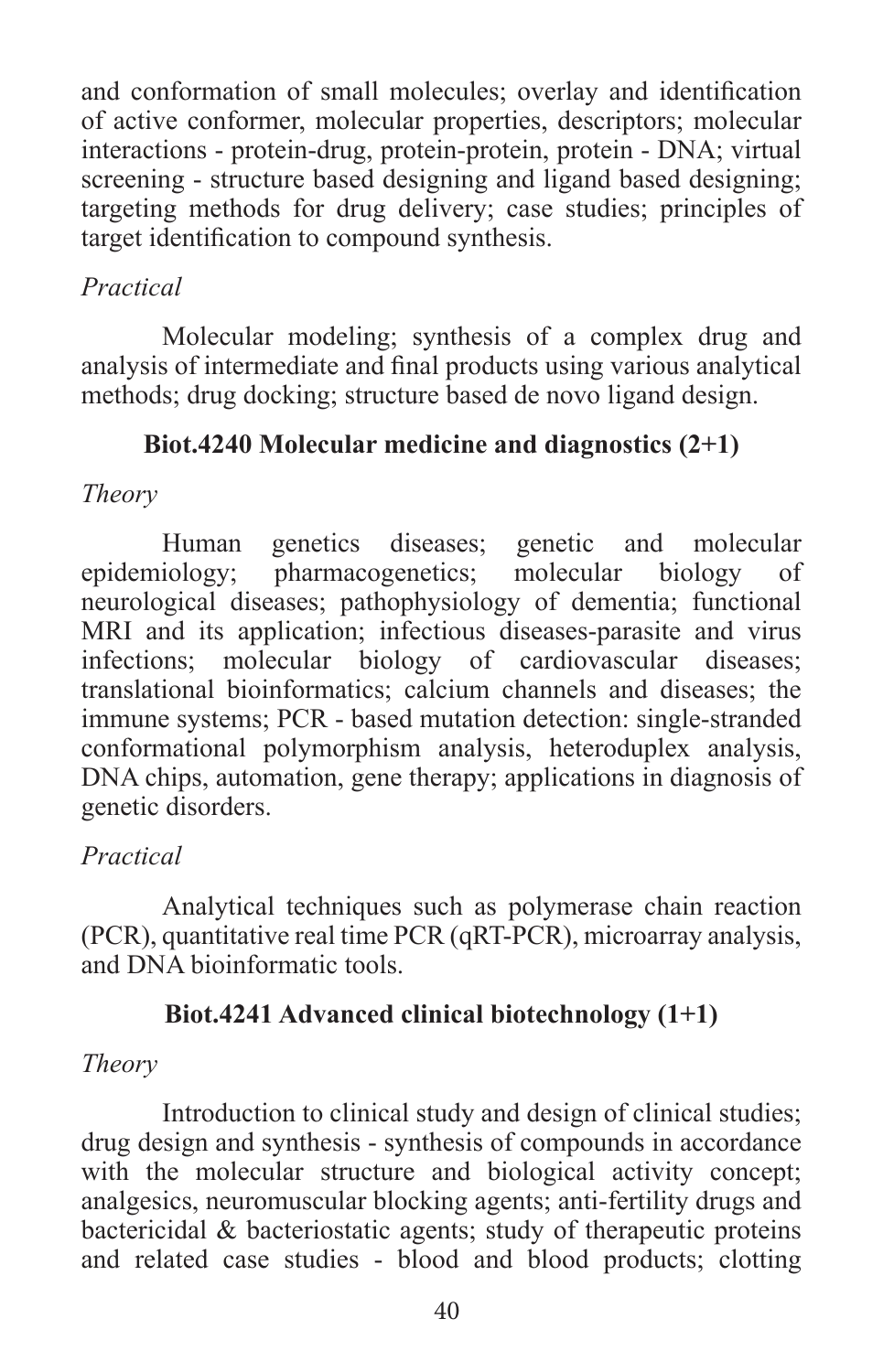and conformation of small molecules; overlay and identification of active conformer, molecular properties, descriptors; molecular interactions - protein-drug, protein-protein, protein - DNA; virtual screening - structure based designing and ligand based designing; targeting methods for drug delivery; case studies; principles of target identification to compound synthesis.

#### *Practical*

Molecular modeling; synthesis of a complex drug and analysis of intermediate and final products using various analytical methods; drug docking; structure based de novo ligand design.

## **Biot.4240 Molecular medicine and diagnostics (2+1)**

#### *Theory*

Human genetics diseases; genetic and molecular epidemiology; pharmacogenetics; molecular biology of neurological diseases; pathophysiology of dementia; functional MRI and its application; infectious diseases-parasite and virus infections; molecular biology of cardiovascular diseases; translational bioinformatics; calcium channels and diseases; the immune systems; PCR - based mutation detection: single-stranded conformational polymorphism analysis, heteroduplex analysis, DNA chips, automation, gene therapy; applications in diagnosis of genetic disorders.

## *Practical*

Analytical techniques such as polymerase chain reaction (PCR), quantitative real time PCR (qRT-PCR), microarray analysis, and DNA bioinformatic tools.

## **Biot.4241 Advanced clinical biotechnology (1+1)**

#### *Theory*

Introduction to clinical study and design of clinical studies; drug design and synthesis - synthesis of compounds in accordance with the molecular structure and biological activity concept; analgesics, neuromuscular blocking agents; anti-fertility drugs and bactericidal & bacteriostatic agents; study of therapeutic proteins and related case studies - blood and blood products; clotting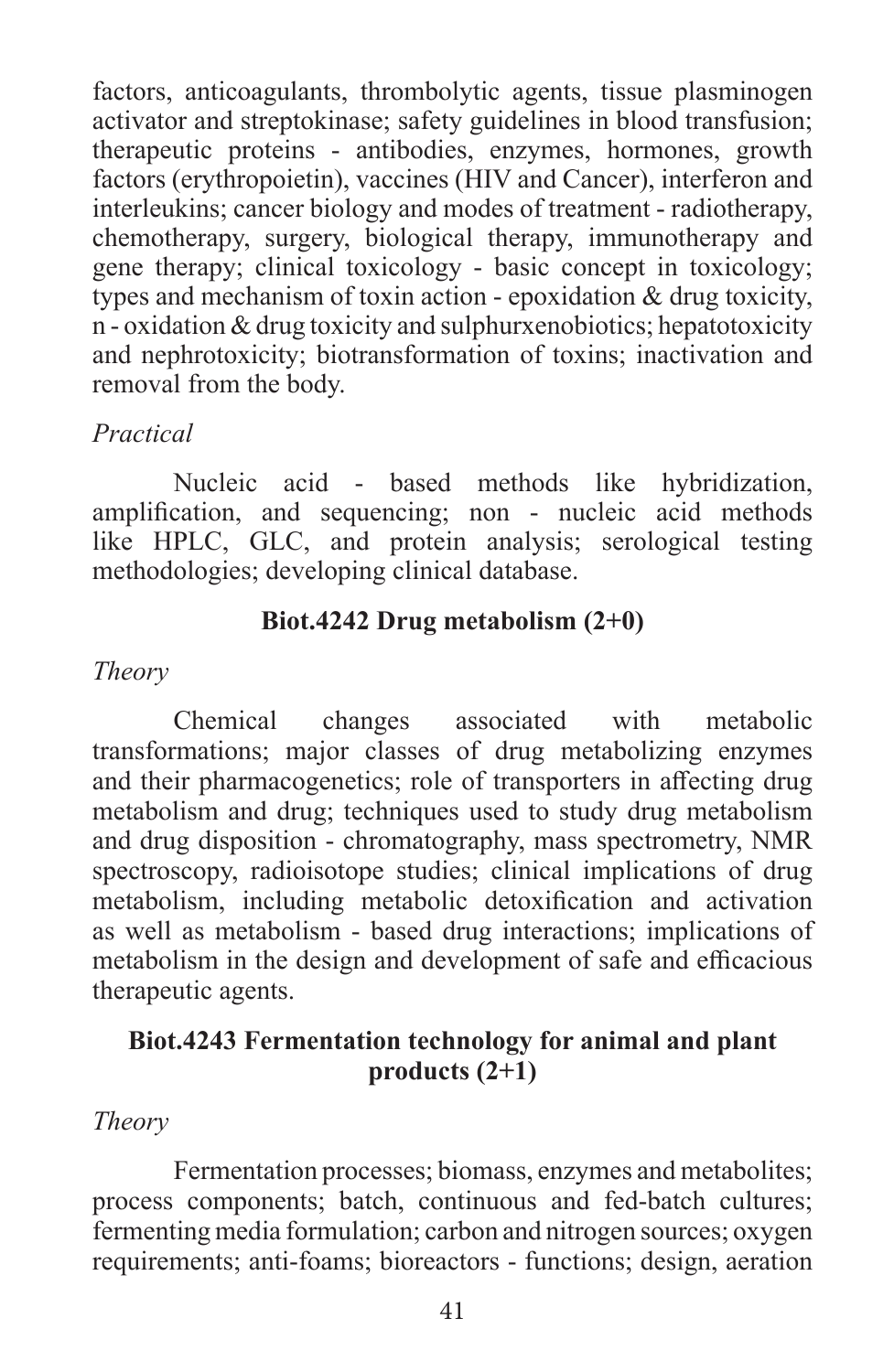factors, anticoagulants, thrombolytic agents, tissue plasminogen activator and streptokinase; safety guidelines in blood transfusion; therapeutic proteins - antibodies, enzymes, hormones, growth factors (erythropoietin), vaccines (HIV and Cancer), interferon and interleukins; cancer biology and modes of treatment - radiotherapy, chemotherapy, surgery, biological therapy, immunotherapy and gene therapy; clinical toxicology - basic concept in toxicology; types and mechanism of toxin action - epoxidation & drug toxicity, n - oxidation & drug toxicity and sulphurxenobiotics; hepatotoxicity and nephrotoxicity; biotransformation of toxins; inactivation and removal from the body.

## *Practical*

Nucleic acid - based methods like hybridization, amplification, and sequencing; non - nucleic acid methods like HPLC, GLC, and protein analysis; serological testing methodologies; developing clinical database.

## **Biot.4242 Drug metabolism (2+0)**

## *Theory*

Chemical changes associated with metabolic transformations; major classes of drug metabolizing enzymes and their pharmacogenetics; role of transporters in affecting drug metabolism and drug; techniques used to study drug metabolism and drug disposition - chromatography, mass spectrometry, NMR spectroscopy, radioisotope studies; clinical implications of drug metabolism, including metabolic detoxification and activation as well as metabolism - based drug interactions; implications of metabolism in the design and development of safe and efficacious therapeutic agents.

# **Biot.4243 Fermentation technology for animal and plant products (2+1)**

## *Theory*

Fermentation processes; biomass, enzymes and metabolites; process components; batch, continuous and fed-batch cultures; fermenting media formulation; carbon and nitrogen sources; oxygen requirements; anti-foams; bioreactors - functions; design, aeration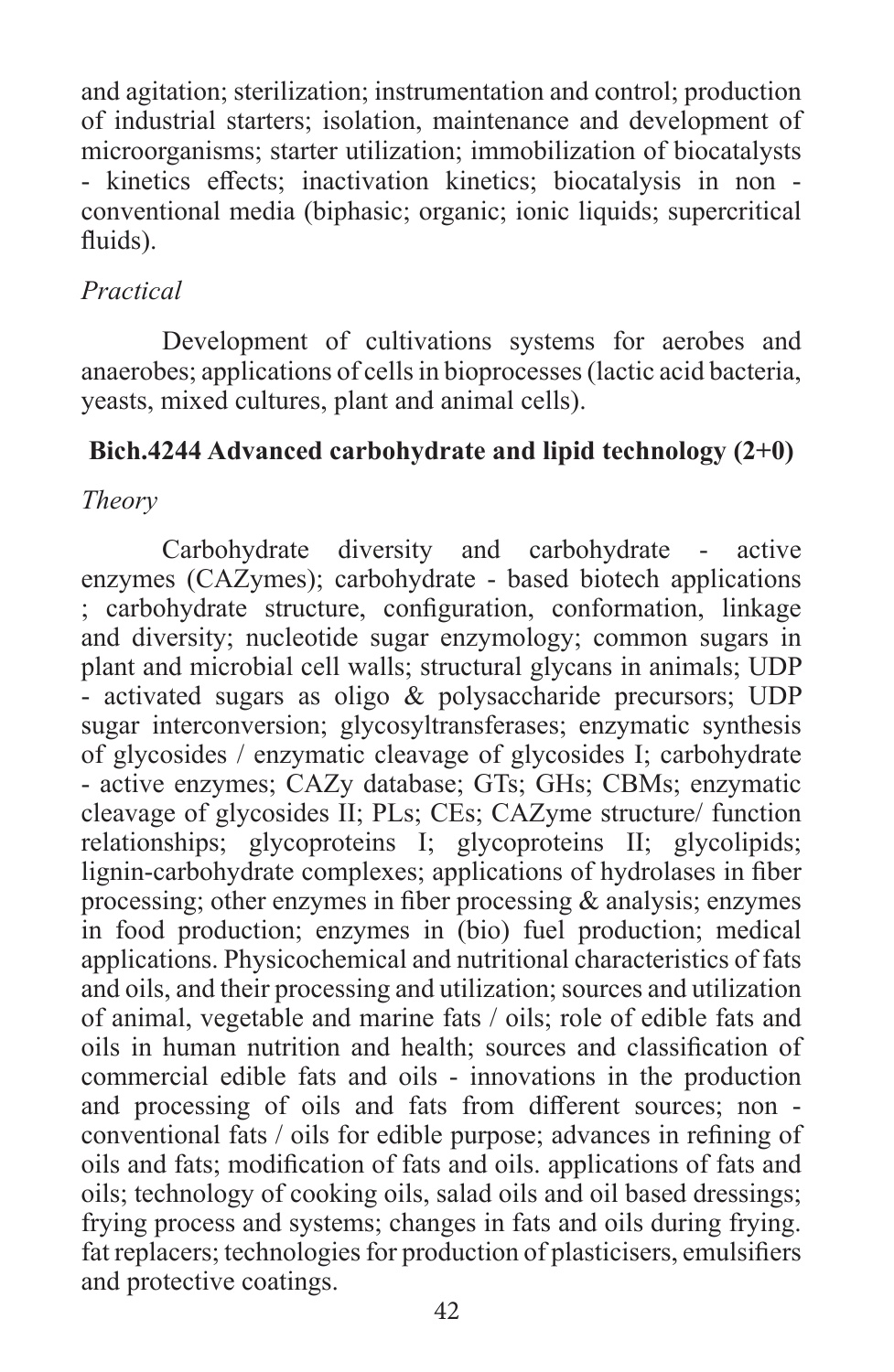and agitation; sterilization; instrumentation and control; production of industrial starters; isolation, maintenance and development of microorganisms; starter utilization; immobilization of biocatalysts - kinetics effects; inactivation kinetics; biocatalysis in non conventional media (biphasic; organic; ionic liquids; supercritical fluids).

## *Practical*

Development of cultivations systems for aerobes and anaerobes; applications of cells in bioprocesses (lactic acid bacteria, yeasts, mixed cultures, plant and animal cells).

# **Bich.4244 Advanced carbohydrate and lipid technology (2+0)**

*Theory*

Carbohydrate diversity and carbohydrate - active enzymes (CAZymes); carbohydrate - based biotech applications ; carbohydrate structure, configuration, conformation, linkage and diversity; nucleotide sugar enzymology; common sugars in plant and microbial cell walls; structural glycans in animals; UDP - activated sugars as oligo & polysaccharide precursors; UDP sugar interconversion; glycosyltransferases; enzymatic synthesis of glycosides / enzymatic cleavage of glycosides I; carbohydrate - active enzymes; CAZy database; GTs; GHs; CBMs; enzymatic cleavage of glycosides II; PLs; CEs; CAZyme structure/ function relationships; glycoproteins I; glycoproteins II; glycolipids; lignin-carbohydrate complexes; applications of hydrolases in fiber processing; other enzymes in fiber processing & analysis; enzymes in food production; enzymes in (bio) fuel production; medical applications. Physicochemical and nutritional characteristics of fats and oils, and their processing and utilization; sources and utilization of animal, vegetable and marine fats / oils; role of edible fats and oils in human nutrition and health; sources and classification of commercial edible fats and oils - innovations in the production and processing of oils and fats from different sources; non conventional fats / oils for edible purpose; advances in refining of oils and fats; modification of fats and oils. applications of fats and oils; technology of cooking oils, salad oils and oil based dressings; frying process and systems; changes in fats and oils during frying. fat replacers; technologies for production of plasticisers, emulsifiers and protective coatings.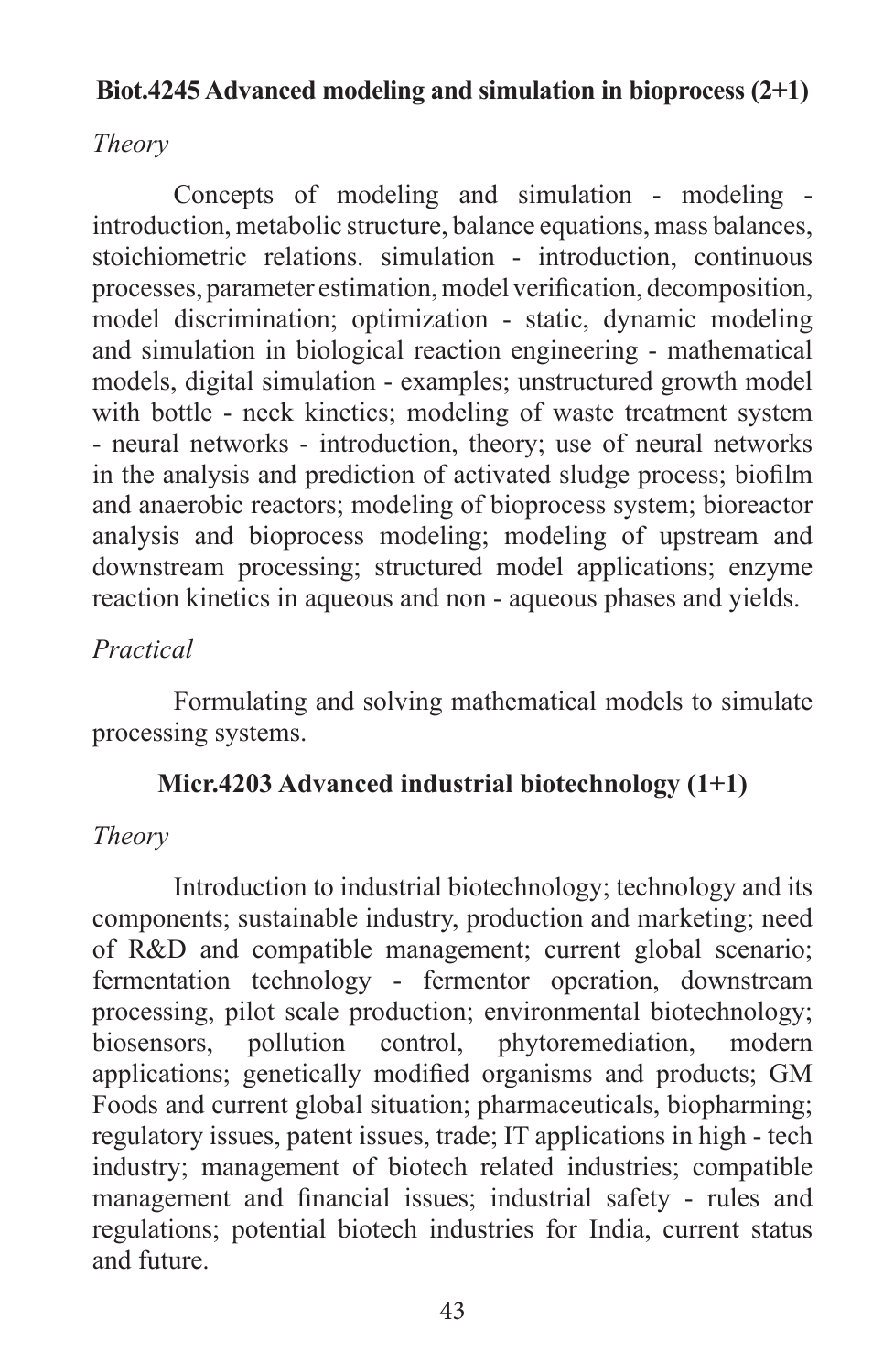## **Biot.4245 Advanced modeling and simulation in bioprocess (2+1)**

## *Theory*

Concepts of modeling and simulation - modeling introduction, metabolic structure, balance equations, mass balances, stoichiometric relations. simulation - introduction, continuous processes, parameter estimation, model verification, decomposition, model discrimination; optimization - static, dynamic modeling and simulation in biological reaction engineering - mathematical models, digital simulation - examples; unstructured growth model with bottle - neck kinetics; modeling of waste treatment system - neural networks - introduction, theory; use of neural networks in the analysis and prediction of activated sludge process; biofilm and anaerobic reactors; modeling of bioprocess system; bioreactor analysis and bioprocess modeling; modeling of upstream and downstream processing; structured model applications; enzyme reaction kinetics in aqueous and non - aqueous phases and yields.

## *Practical*

Formulating and solving mathematical models to simulate processing systems.

## **Micr.4203 Advanced industrial biotechnology (1+1)**

## *Theory*

Introduction to industrial biotechnology; technology and its components; sustainable industry, production and marketing; need of R&D and compatible management; current global scenario; fermentation technology - fermentor operation, downstream processing, pilot scale production; environmental biotechnology; biosensors, pollution control, phytoremediation, modern applications; genetically modified organisms and products; GM Foods and current global situation; pharmaceuticals, biopharming; regulatory issues, patent issues, trade; IT applications in high - tech industry; management of biotech related industries; compatible management and financial issues; industrial safety - rules and regulations; potential biotech industries for India, current status and future.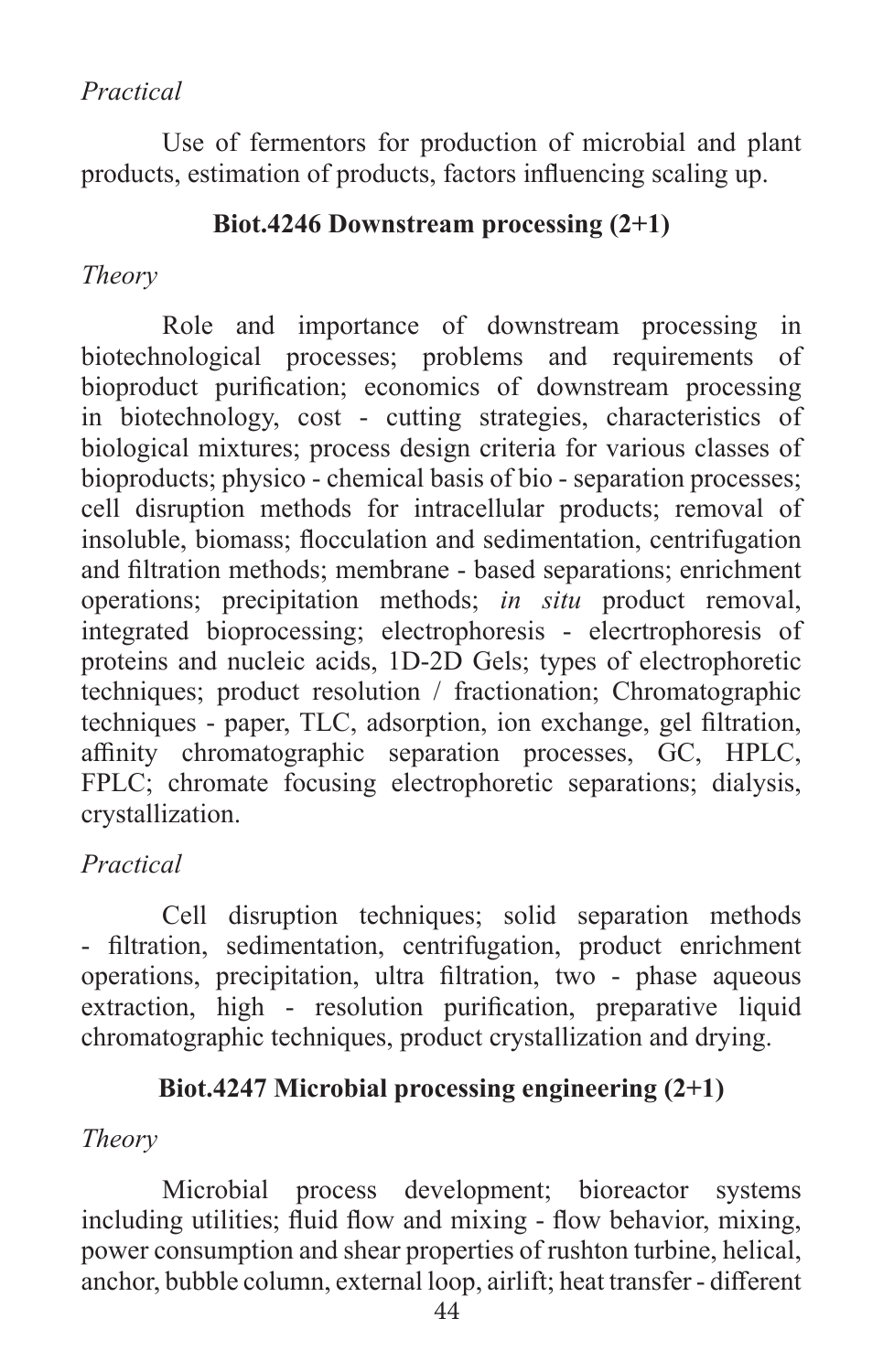# *Practical*

Use of fermentors for production of microbial and plant products, estimation of products, factors influencing scaling up.

# **Biot.4246 Downstream processing (2+1)**

# *Theory*

Role and importance of downstream processing in biotechnological processes; problems and requirements of bioproduct purification; economics of downstream processing in biotechnology, cost - cutting strategies, characteristics of biological mixtures; process design criteria for various classes of bioproducts; physico - chemical basis of bio - separation processes; cell disruption methods for intracellular products; removal of insoluble, biomass; flocculation and sedimentation, centrifugation and filtration methods; membrane - based separations; enrichment operations; precipitation methods; *in situ* product removal, integrated bioprocessing; electrophoresis - elecrtrophoresis of proteins and nucleic acids, 1D-2D Gels; types of electrophoretic techniques; product resolution / fractionation; Chromatographic techniques - paper, TLC, adsorption, ion exchange, gel filtration, affinity chromatographic separation processes, GC, HPLC, FPLC; chromate focusing electrophoretic separations; dialysis, crystallization.

# *Practical*

Cell disruption techniques; solid separation methods - filtration, sedimentation, centrifugation, product enrichment operations, precipitation, ultra filtration, two - phase aqueous extraction, high - resolution purification, preparative liquid chromatographic techniques, product crystallization and drying.

# **Biot.4247 Microbial processing engineering (2+1)**

# *Theory*

Microbial process development; bioreactor systems including utilities; fluid flow and mixing - flow behavior, mixing, power consumption and shear properties of rushton turbine, helical, anchor, bubble column, external loop, airlift; heat transfer - different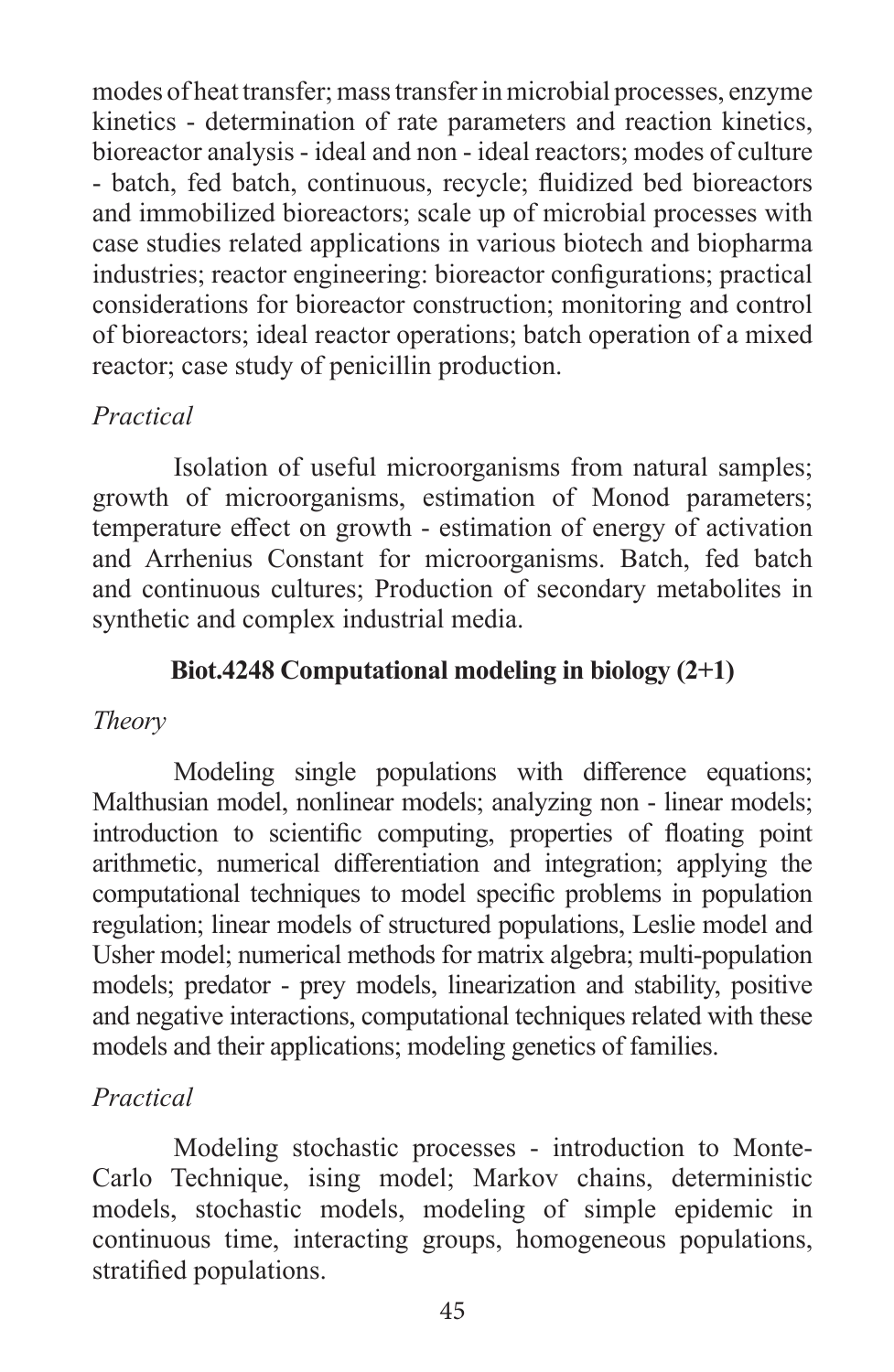modes of heat transfer; mass transfer in microbial processes, enzyme kinetics - determination of rate parameters and reaction kinetics, bioreactor analysis - ideal and non - ideal reactors; modes of culture - batch, fed batch, continuous, recycle; fluidized bed bioreactors and immobilized bioreactors; scale up of microbial processes with case studies related applications in various biotech and biopharma industries; reactor engineering: bioreactor configurations; practical considerations for bioreactor construction; monitoring and control of bioreactors; ideal reactor operations; batch operation of a mixed reactor; case study of penicillin production.

# *Practical*

Isolation of useful microorganisms from natural samples; growth of microorganisms, estimation of Monod parameters; temperature effect on growth - estimation of energy of activation and Arrhenius Constant for microorganisms. Batch, fed batch and continuous cultures; Production of secondary metabolites in synthetic and complex industrial media.

# **Biot.4248 Computational modeling in biology (2+1)**

# *Theory*

 Modeling single populations with difference equations; Malthusian model, nonlinear models; analyzing non - linear models; introduction to scientific computing, properties of floating point arithmetic, numerical differentiation and integration; applying the computational techniques to model specific problems in population regulation; linear models of structured populations, Leslie model and Usher model; numerical methods for matrix algebra; multi-population models; predator - prey models, linearization and stability, positive and negative interactions, computational techniques related with these models and their applications; modeling genetics of families.

# *Practical*

Modeling stochastic processes - introduction to Monte-Carlo Technique, ising model; Markov chains, deterministic models, stochastic models, modeling of simple epidemic in continuous time, interacting groups, homogeneous populations, stratified populations.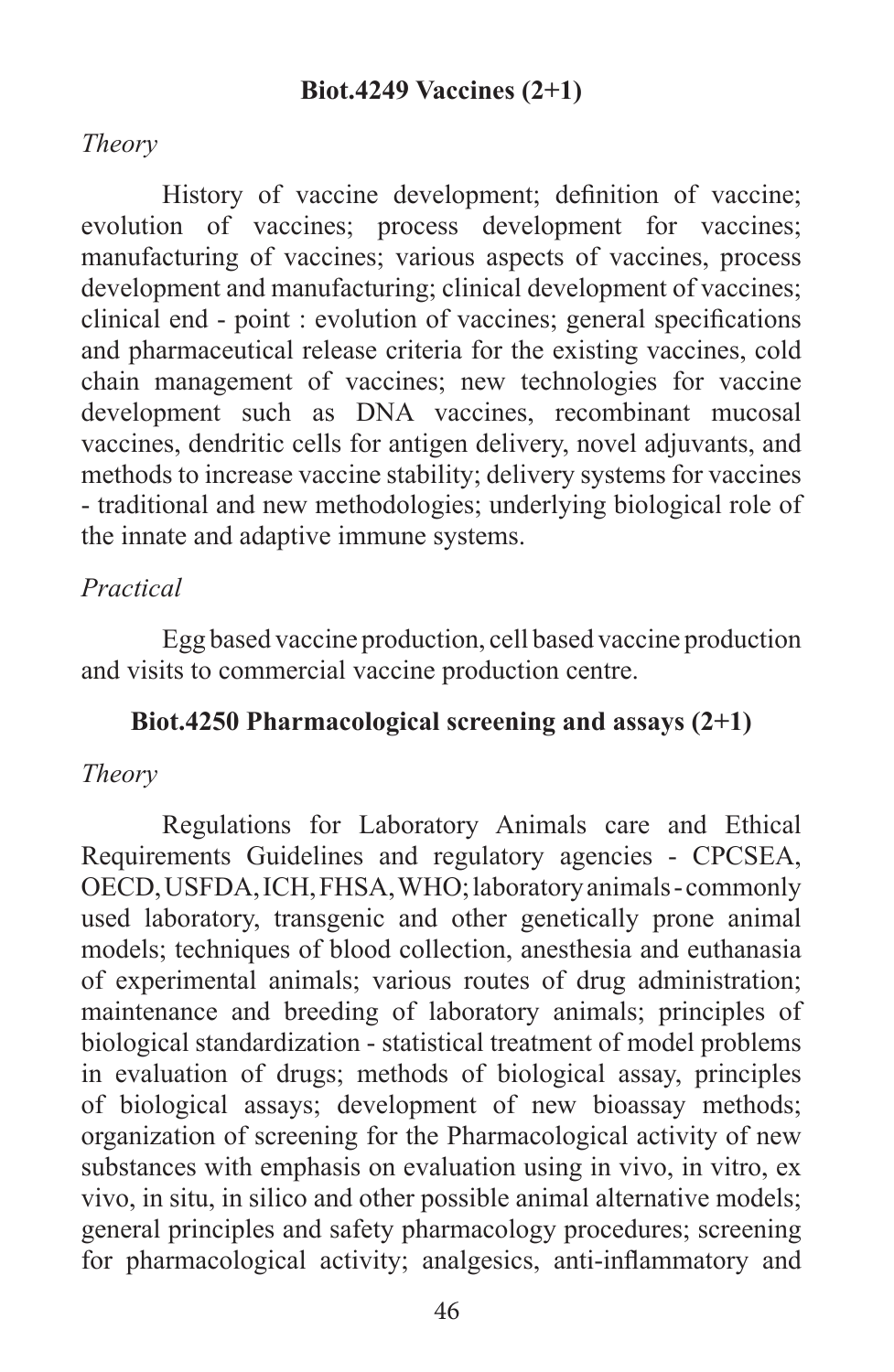## **Biot.4249 Vaccines (2+1)**

#### *Theory*

 History of vaccine development; definition of vaccine; evolution of vaccines; process development for vaccines; manufacturing of vaccines; various aspects of vaccines, process development and manufacturing; clinical development of vaccines; clinical end - point : evolution of vaccines; general specifications and pharmaceutical release criteria for the existing vaccines, cold chain management of vaccines; new technologies for vaccine development such as DNA vaccines, recombinant mucosal vaccines, dendritic cells for antigen delivery, novel adjuvants, and methods to increase vaccine stability; delivery systems for vaccines - traditional and new methodologies; underlying biological role of the innate and adaptive immune systems.

## *Practical*

Egg based vaccine production, cell based vaccine production and visits to commercial vaccine production centre.

## **Biot.4250 Pharmacological screening and assays (2+1)**

#### *Theory*

Regulations for Laboratory Animals care and Ethical Requirements Guidelines and regulatory agencies - CPCSEA, OECD, USFDA, ICH, FHSA, WHO; laboratory animals - commonly used laboratory, transgenic and other genetically prone animal models; techniques of blood collection, anesthesia and euthanasia of experimental animals; various routes of drug administration; maintenance and breeding of laboratory animals; principles of biological standardization - statistical treatment of model problems in evaluation of drugs; methods of biological assay, principles of biological assays; development of new bioassay methods; organization of screening for the Pharmacological activity of new substances with emphasis on evaluation using in vivo, in vitro, ex vivo, in situ, in silico and other possible animal alternative models; general principles and safety pharmacology procedures; screening for pharmacological activity; analgesics, anti-inflammatory and